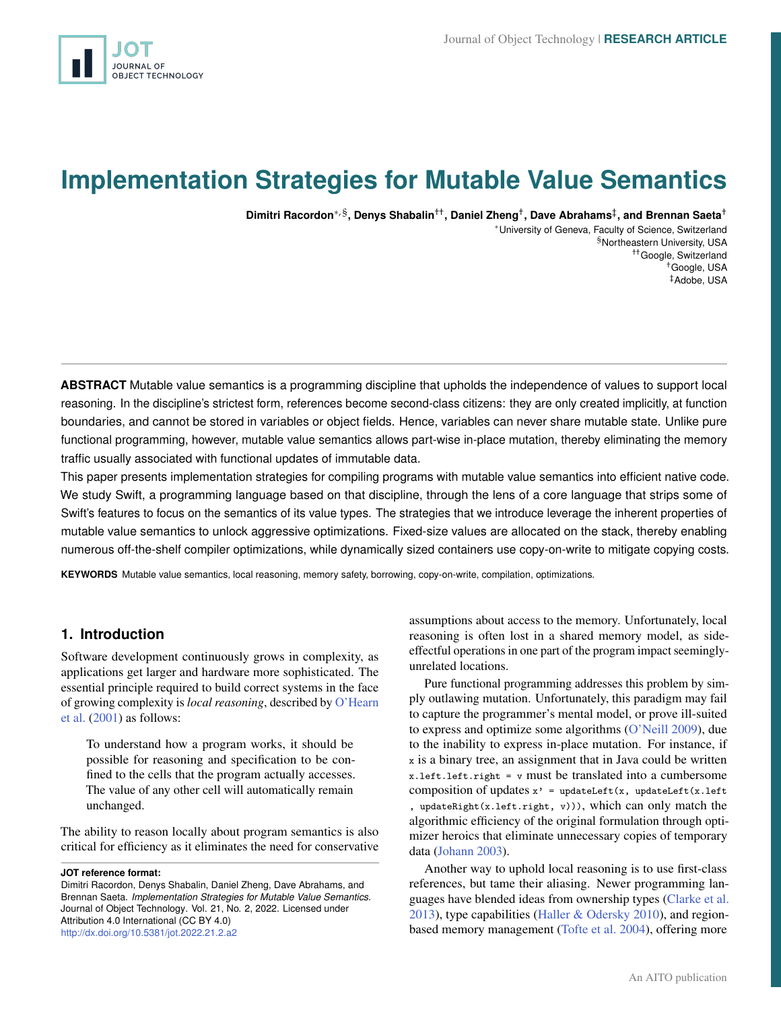# <span id="page-0-0"></span>**Implementation Strategies for Mutable Value Semantics**

**Dimitri Racordon**∗, § **, Denys Shabalin**†† **, Daniel Zheng**† **, Dave Abrahams**‡ **, and Brennan Saeta**†

<sup>∗</sup>University of Geneva, Faculty of Science, Switzerland §Northeastern University, USA ††Google, Switzerland †Google, USA ‡Adobe, USA

**ABSTRACT** Mutable value semantics is a programming discipline that upholds the independence of values to support local reasoning. In the discipline's strictest form, references become second-class citizens: they are only created implicitly, at function boundaries, and cannot be stored in variables or object fields. Hence, variables can never share mutable state. Unlike pure functional programming, however, mutable value semantics allows part-wise in-place mutation, thereby eliminating the memory traffic usually associated with functional updates of immutable data.

This paper presents implementation strategies for compiling programs with mutable value semantics into efficient native code. We study Swift, a programming language based on that discipline, through the lens of a core language that strips some of Swift's features to focus on the semantics of its value types. The strategies that we introduce leverage the inherent properties of mutable value semantics to unlock aggressive optimizations. Fixed-size values are allocated on the stack, thereby enabling numerous off-the-shelf compiler optimizations, while dynamically sized containers use copy-on-write to mitigate copying costs.

**KEYWORDS** Mutable value semantics, local reasoning, memory safety, borrowing, copy-on-write, compilation, optimizations.

# **1. Introduction**

Software development continuously grows in complexity, as applications get larger and hardware more sophisticated. The essential principle required to build correct systems in the face of growing complexity is *local reasoning*, described by [O'Hearn](#page-23-0) [et al.](#page-23-0) [\(2001\)](#page-23-0) as follows:

To understand how a program works, it should be possible for reasoning and specification to be confined to the cells that the program actually accesses. The value of any other cell will automatically remain unchanged.

The ability to reason locally about program semantics is also critical for efficiency as it eliminates the need for conservative

**JOT reference format:**

Dimitri Racordon, Denys Shabalin, Daniel Zheng, Dave Abrahams, and Brennan Saeta. *Implementation Strategies for Mutable Value Semantics*. Journal of Object Technology. Vol. 21, No. 2, 2022. Licensed under Attribution 4.0 International (CC BY 4.0) <http://dx.doi.org/10.5381/jot.2022.21.2.a2>

assumptions about access to the memory. Unfortunately, local reasoning is often lost in a shared memory model, as sideeffectful operations in one part of the program impact seeminglyunrelated locations.

Pure functional programming addresses this problem by simply outlawing mutation. Unfortunately, this paradigm may fail to capture the programmer's mental model, or prove ill-suited to express and optimize some algorithms [\(O'Neill](#page-24-0) [2009\)](#page-24-0), due to the inability to express in-place mutation. For instance, if x is a binary tree, an assignment that in Java could be written x.left.left.right = v must be translated into a cumbersome composition of updates  $x'$  = updateLeft(x, updateLeft(x.left updateRight(x.left.right, v))), which can only match the algorithmic efficiency of the original formulation through optimizer heroics that eliminate unnecessary copies of temporary data [\(Johann](#page-23-1) [2003\)](#page-23-1).

Another way to uphold local reasoning is to use first-class references, but tame their aliasing. Newer programming languages have blended ideas from ownership types [\(Clarke et al.](#page-23-2) [2013\)](#page-23-2), type capabilities [\(Haller & Odersky](#page-23-3) [2010\)](#page-23-3), and regionbased memory management [\(Tofte et al.](#page-24-1) [2004\)](#page-24-1), offering more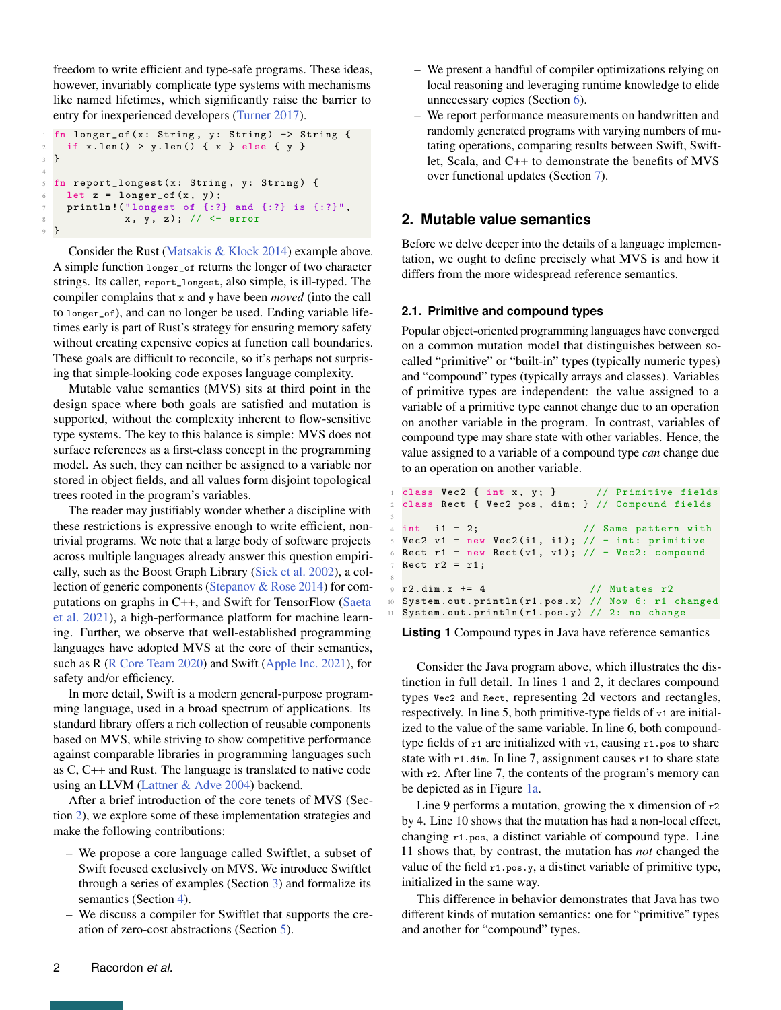freedom to write efficient and type-safe programs. These ideas, however, invariably complicate type systems with mechanisms like named lifetimes, which significantly raise the barrier to entry for inexperienced developers [\(Turner](#page-24-2) [2017\)](#page-24-2).

```
fn longer_of (x: String, y: String) -> String {
   if x.length() > y.length() { x } else { y }3 }
4
5 fn report_longest (x: String , y: String ) {
   let z = longer_of(x, y);println! ("longest of {:?} and {:?} is {:?}",
             x, y, z); // <- error
9 }
```
Consider the Rust [\(Matsakis & Klock](#page-23-4) [2014\)](#page-23-4) example above. A simple function longer\_of returns the longer of two character strings. Its caller, report\_longest, also simple, is ill-typed. The compiler complains that x and y have been *moved* (into the call to longer\_of), and can no longer be used. Ending variable lifetimes early is part of Rust's strategy for ensuring memory safety without creating expensive copies at function call boundaries. These goals are difficult to reconcile, so it's perhaps not surprising that simple-looking code exposes language complexity.

Mutable value semantics (MVS) sits at third point in the design space where both goals are satisfied and mutation is supported, without the complexity inherent to flow-sensitive type systems. The key to this balance is simple: MVS does not surface references as a first-class concept in the programming model. As such, they can neither be assigned to a variable nor stored in object fields, and all values form disjoint topological trees rooted in the program's variables.

The reader may justifiably wonder whether a discipline with these restrictions is expressive enough to write efficient, nontrivial programs. We note that a large body of software projects across multiple languages already answer this question empirically, such as the Boost Graph Library [\(Siek et al.](#page-24-3) [2002\)](#page-24-3), a collection of generic components [\(Stepanov & Rose](#page-24-4) [2014\)](#page-24-4) for computations on graphs in C++, and Swift for TensorFlow [\(Saeta](#page-24-5) [et al.](#page-24-5) [2021\)](#page-24-5), a high-performance platform for machine learning. Further, we observe that well-established programming languages have adopted MVS at the core of their semantics, such as R [\(R Core Team](#page-24-6) [2020\)](#page-24-6) and Swift [\(Apple Inc.](#page-22-0) [2021\)](#page-22-0), for safety and/or efficiency.

In more detail, Swift is a modern general-purpose programming language, used in a broad spectrum of applications. Its standard library offers a rich collection of reusable components based on MVS, while striving to show competitive performance against comparable libraries in programming languages such as C, C++ and Rust. The language is translated to native code using an LLVM [\(Lattner & Adve](#page-23-5) [2004\)](#page-23-5) backend.

After a brief introduction of the core tenets of MVS (Section [2\)](#page-1-0), we explore some of these implementation strategies and make the following contributions:

- We propose a core language called Swiftlet, a subset of Swift focused exclusively on MVS. We introduce Swiftlet through a series of examples (Section [3\)](#page-4-0) and formalize its semantics (Section [4\)](#page-6-0).
- We discuss a compiler for Swiftlet that supports the creation of zero-cost abstractions (Section [5\)](#page-14-0).
- We present a handful of compiler optimizations relying on local reasoning and leveraging runtime knowledge to elide unnecessary copies (Section [6\)](#page-17-0).
- We report performance measurements on handwritten and randomly generated programs with varying numbers of mutating operations, comparing results between Swift, Swiftlet, Scala, and C++ to demonstrate the benefits of MVS over functional updates (Section [7\)](#page-19-0).

# <span id="page-1-0"></span>**2. Mutable value semantics**

Before we delve deeper into the details of a language implementation, we ought to define precisely what MVS is and how it differs from the more widespread reference semantics.

#### **2.1. Primitive and compound types**

3

8

Popular object-oriented programming languages have converged on a common mutation model that distinguishes between socalled "primitive" or "built-in" types (typically numeric types) and "compound" types (typically arrays and classes). Variables of primitive types are independent: the value assigned to a variable of a primitive type cannot change due to an operation on another variable in the program. In contrast, variables of compound type may share state with other variables. Hence, the value assigned to a variable of a compound type *can* change due to an operation on another variable.

```
class Vec2 \{ int x, y; \} // Primitive fields
 class Rect { Vec2 pos, dim; } // Compound fields
 int i1 = 2; // Same pattern with
 Vec2 v1 = new Vec2(i1, i1); // - int: primitive
 Rect r1 = new Rect (v1, v1); // - Vec2: compoundRect r2 = r1;
9 \t r2.dim.x += 4 // Mutates r2
 System.out.println (r1.pos.x) // Now 6: r1 changed
 System.out.println(r1.pos.y) // 2: no change
```
**Listing 1** Compound types in Java have reference semantics

Consider the Java program above, which illustrates the distinction in full detail. In lines 1 and 2, it declares compound types Vec2 and Rect, representing 2d vectors and rectangles, respectively. In line 5, both primitive-type fields of v1 are initialized to the value of the same variable. In line 6, both compoundtype fields of  $r1$  are initialized with  $v1$ , causing  $r1$ . pos to share state with r1.dim. In line 7, assignment causes r1 to share state with r2. After line 7, the contents of the program's memory can be depicted as in Figure [1a.](#page-2-0)

Line 9 performs a mutation, growing the x dimension of  $r^2$ by 4. Line 10 shows that the mutation has had a non-local effect, changing r1.pos, a distinct variable of compound type. Line 11 shows that, by contrast, the mutation has *not* changed the value of the field r1.pos.y, a distinct variable of primitive type, initialized in the same way.

This difference in behavior demonstrates that Java has two different kinds of mutation semantics: one for "primitive" types and another for "compound" types.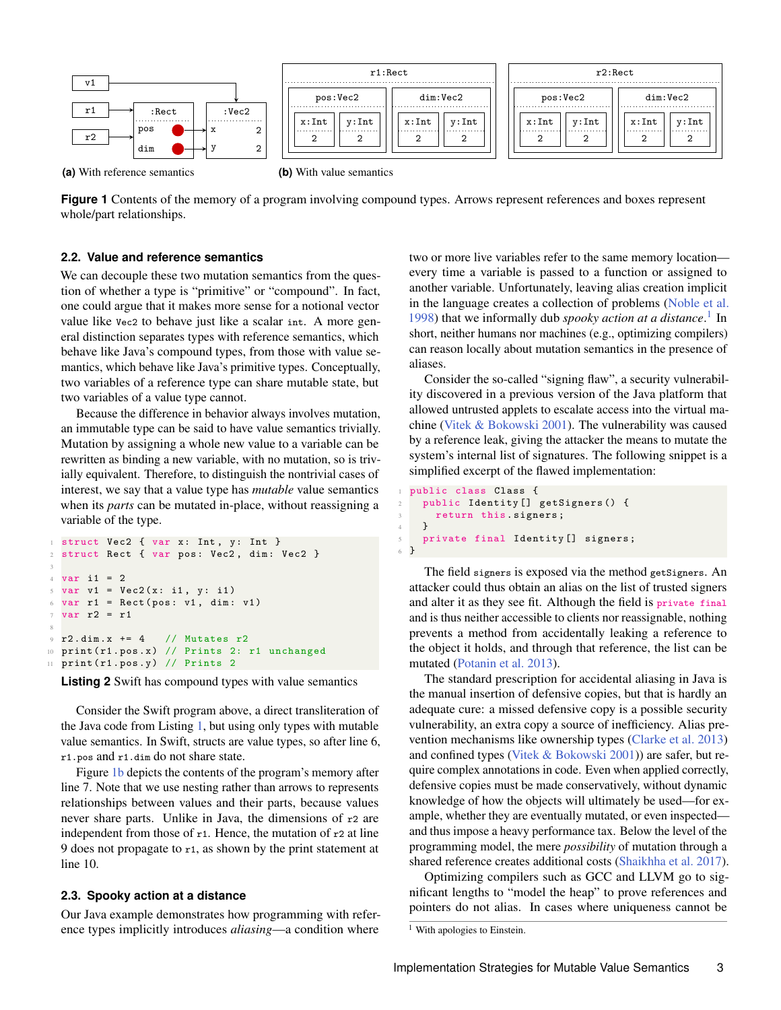<span id="page-2-0"></span>

**(a)** With reference semantics

**(b)** With value semantics

**Figure 1** Contents of the memory of a program involving compound types. Arrows represent references and boxes represent whole/part relationships.

#### **2.2. Value and reference semantics**

We can decouple these two mutation semantics from the question of whether a type is "primitive" or "compound". In fact, one could argue that it makes more sense for a notional vector value like Vec2 to behave just like a scalar int. A more general distinction separates types with reference semantics, which behave like Java's compound types, from those with value semantics, which behave like Java's primitive types. Conceptually, two variables of a reference type can share mutable state, but two variables of a value type cannot.

Because the difference in behavior always involves mutation, an immutable type can be said to have value semantics trivially. Mutation by assigning a whole new value to a variable can be rewritten as binding a new variable, with no mutation, so is trivially equivalent. Therefore, to distinguish the nontrivial cases of interest, we say that a value type has *mutable* value semantics when its *parts* can be mutated in-place, without reassigning a variable of the type.

```
struct Vec2 { var x: Int, y: Int }
2 struct Rect { var pos: Vec2, dim: Vec2 }
3
4 \text{ var } i1 = 25 \text{ var } v1 = \text{Vec2}(x: i1, y: i1)6 \text{ var } r1 = \text{Rect}(\text{pos}: v1, \text{ dim}: v1)7 \text{ var } r2 = r18
9 r2.dim.x += 4 // Mutates r2
10 print (r1.pos.x) // Prints 2: r1 unchanged
11 print (r1.pos.y) // Prints 2
```
**Listing 2** Swift has compound types with value semantics

Consider the Swift program above, a direct transliteration of the Java code from Listing [1,](#page-1-1) but using only types with mutable value semantics. In Swift, structs are value types, so after line 6, r1.pos and r1.dim do not share state.

Figure [1b](#page-2-0) depicts the contents of the program's memory after line 7. Note that we use nesting rather than arrows to represents relationships between values and their parts, because values never share parts. Unlike in Java, the dimensions of r2 are independent from those of  $r1$ . Hence, the mutation of  $r2$  at line 9 does not propagate to r1, as shown by the print statement at line 10.

#### **2.3. Spooky action at a distance**

Our Java example demonstrates how programming with reference types implicitly introduces *aliasing*—a condition where

two or more live variables refer to the same memory location every time a variable is passed to a function or assigned to another variable. Unfortunately, leaving alias creation implicit in the language creates a collection of problems [\(Noble et al.](#page-23-6) [1998\)](#page-23-6) that we informally dub *spooky action at a distance*. [1](#page-0-0) In short, neither humans nor machines (e.g., optimizing compilers) can reason locally about mutation semantics in the presence of aliases.

Consider the so-called "signing flaw", a security vulnerability discovered in a previous version of the Java platform that allowed untrusted applets to escalate access into the virtual machine [\(Vitek & Bokowski](#page-25-0) [2001\)](#page-25-0). The vulnerability was caused by a reference leak, giving the attacker the means to mutate the system's internal list of signatures. The following snippet is a simplified excerpt of the flawed implementation:

```
1 public class Class {
    2 public Identity [] getSigners () {
      return this. signers;
    \lambda5 private final Identity [] signers ;
6 }
```
The field signers is exposed via the method getSigners. An attacker could thus obtain an alias on the list of trusted signers and alter it as they see fit. Although the field is private final and is thus neither accessible to clients nor reassignable, nothing prevents a method from accidentally leaking a reference to the object it holds, and through that reference, the list can be mutated [\(Potanin et al.](#page-24-7) [2013\)](#page-24-7).

The standard prescription for accidental aliasing in Java is the manual insertion of defensive copies, but that is hardly an adequate cure: a missed defensive copy is a possible security vulnerability, an extra copy a source of inefficiency. Alias prevention mechanisms like ownership types [\(Clarke et al.](#page-23-2) [2013\)](#page-23-2) and confined types [\(Vitek & Bokowski](#page-25-0) [2001\)](#page-25-0)) are safer, but require complex annotations in code. Even when applied correctly, defensive copies must be made conservatively, without dynamic knowledge of how the objects will ultimately be used—for example, whether they are eventually mutated, or even inspected and thus impose a heavy performance tax. Below the level of the programming model, the mere *possibility* of mutation through a shared reference creates additional costs [\(Shaikhha et al.](#page-24-8) [2017\)](#page-24-8).

Optimizing compilers such as GCC and LLVM go to significant lengths to "model the heap" to prove references and pointers do not alias. In cases where uniqueness cannot be

<sup>&</sup>lt;sup>1</sup> With apologies to Einstein.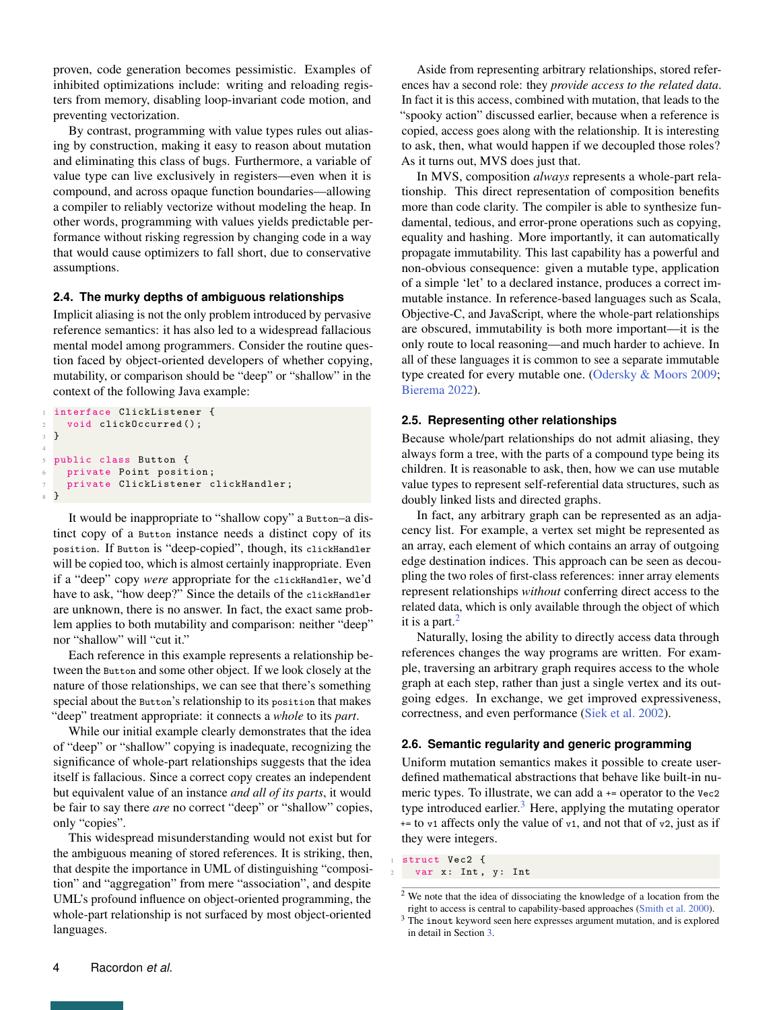proven, code generation becomes pessimistic. Examples of inhibited optimizations include: writing and reloading registers from memory, disabling loop-invariant code motion, and preventing vectorization.

By contrast, programming with value types rules out aliasing by construction, making it easy to reason about mutation and eliminating this class of bugs. Furthermore, a variable of value type can live exclusively in registers—even when it is compound, and across opaque function boundaries—allowing a compiler to reliably vectorize without modeling the heap. In other words, programming with values yields predictable performance without risking regression by changing code in a way that would cause optimizers to fall short, due to conservative assumptions.

## <span id="page-3-0"></span>**2.4. The murky depths of ambiguous relationships**

Implicit aliasing is not the only problem introduced by pervasive reference semantics: it has also led to a widespread fallacious mental model among programmers. Consider the routine question faced by object-oriented developers of whether copying, mutability, or comparison should be "deep" or "shallow" in the context of the following Java example:

```
interface ClickListener {
    void clickOccurred ();
3 }
4
 public class Button {
    private Point position;
    7 private ClickListener clickHandler ;
8 }
```
It would be inappropriate to "shallow copy" a Button–a distinct copy of a Button instance needs a distinct copy of its position. If Button is "deep-copied", though, its clickHandler will be copied too, which is almost certainly inappropriate. Even if a "deep" copy *were* appropriate for the clickHandler, we'd have to ask, "how deep?" Since the details of the clickHandler are unknown, there is no answer. In fact, the exact same problem applies to both mutability and comparison: neither "deep" nor "shallow" will "cut it."

Each reference in this example represents a relationship between the Button and some other object. If we look closely at the nature of those relationships, we can see that there's something special about the Button's relationship to its position that makes "deep" treatment appropriate: it connects a *whole* to its *part*.

While our initial example clearly demonstrates that the idea of "deep" or "shallow" copying is inadequate, recognizing the significance of whole-part relationships suggests that the idea itself is fallacious. Since a correct copy creates an independent but equivalent value of an instance *and all of its parts*, it would be fair to say there *are* no correct "deep" or "shallow" copies, only "copies".

This widespread misunderstanding would not exist but for the ambiguous meaning of stored references. It is striking, then, that despite the importance in UML of distinguishing "composition" and "aggregation" from mere "association", and despite UML's profound influence on object-oriented programming, the whole-part relationship is not surfaced by most object-oriented languages.

Aside from representing arbitrary relationships, stored references hav a second role: they *provide access to the related data*. In fact it is this access, combined with mutation, that leads to the "spooky action" discussed earlier, because when a reference is copied, access goes along with the relationship. It is interesting to ask, then, what would happen if we decoupled those roles? As it turns out, MVS does just that.

In MVS, composition *always* represents a whole-part relationship. This direct representation of composition benefits more than code clarity. The compiler is able to synthesize fundamental, tedious, and error-prone operations such as copying, equality and hashing. More importantly, it can automatically propagate immutability. This last capability has a powerful and non-obvious consequence: given a mutable type, application of a simple 'let' to a declared instance, produces a correct immutable instance. In reference-based languages such as Scala, Objective-C, and JavaScript, where the whole-part relationships are obscured, immutability is both more important—it is the only route to local reasoning—and much harder to achieve. In all of these languages it is common to see a separate immutable type created for every mutable one. [\(Odersky & Moors](#page-23-7) [2009;](#page-23-7) [Bierema](#page-22-1) [2022\)](#page-22-1).

## **2.5. Representing other relationships**

Because whole/part relationships do not admit aliasing, they always form a tree, with the parts of a compound type being its children. It is reasonable to ask, then, how we can use mutable value types to represent self-referential data structures, such as doubly linked lists and directed graphs.

In fact, any arbitrary graph can be represented as an adjacency list. For example, a vertex set might be represented as an array, each element of which contains an array of outgoing edge destination indices. This approach can be seen as decoupling the two roles of first-class references: inner array elements represent relationships *without* conferring direct access to the related data, which is only available through the object of which it is a part. $<sup>2</sup>$  $<sup>2</sup>$  $<sup>2</sup>$ </sup>

Naturally, losing the ability to directly access data through references changes the way programs are written. For example, traversing an arbitrary graph requires access to the whole graph at each step, rather than just a single vertex and its outgoing edges. In exchange, we get improved expressiveness, correctness, and even performance [\(Siek et al.](#page-24-3) [2002\)](#page-24-3).

#### **2.6. Semantic regularity and generic programming**

Uniform mutation semantics makes it possible to create userdefined mathematical abstractions that behave like built-in numeric types. To illustrate, we can add a += operator to the Vec2 type introduced earlier.<sup>[3](#page-0-0)</sup> Here, applying the mutating operator  $+=$  to  $v1$  affects only the value of  $v1$ , and not that of  $v2$ , just as if they were integers.

struct Vec2 { var x: Int, y: Int

<sup>2</sup> We note that the idea of dissociating the knowledge of a location from the right to access is central to capability-based approaches [\(Smith et al.](#page-24-9) [2000\)](#page-24-9).

<sup>&</sup>lt;sup>3</sup> The inout keyword seen here expresses argument mutation, and is explored in detail in Section [3.](#page-4-0)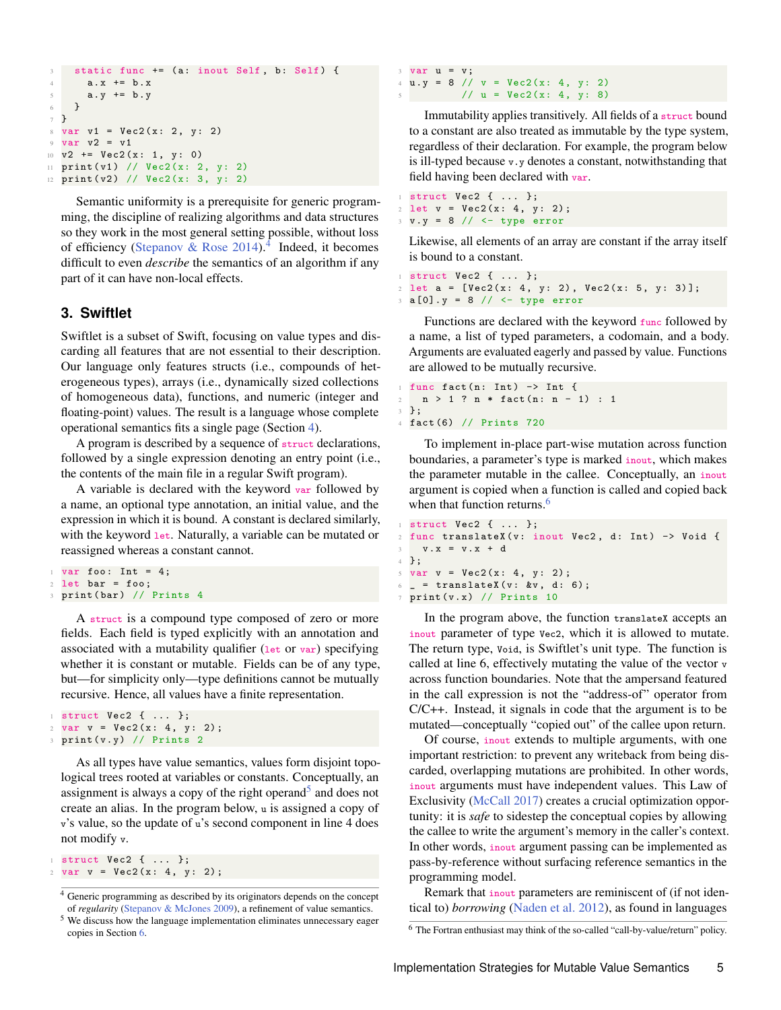```
3 static func += (a: inout Self, b: Self) {
4 a.x += b.x
5 a.y += b.y
6 }
7 }
8 \text{ var } v1 = \text{Vec2}(x: 2, y: 2)9 var v2 = v1
10 \text{ y2 } += \text{Vec2(x: 1, y: 0)}11 print(v1) // Vec2(x: 2, y: 2)12 print(v2) // Vec2(x: 3, y: 2)
```
Semantic uniformity is a prerequisite for generic programming, the discipline of realizing algorithms and data structures so they work in the most general setting possible, without loss of efficiency [\(Stepanov & Rose](#page-24-4)  $2014$  $2014$ ).<sup>4</sup> Indeed, it becomes difficult to even *describe* the semantics of an algorithm if any part of it can have non-local effects.

# <span id="page-4-0"></span>**3. Swiftlet**

Swiftlet is a subset of Swift, focusing on value types and discarding all features that are not essential to their description. Our language only features structs (i.e., compounds of heterogeneous types), arrays (i.e., dynamically sized collections of homogeneous data), functions, and numeric (integer and floating-point) values. The result is a language whose complete operational semantics fits a single page (Section [4\)](#page-6-0).

A program is described by a sequence of struct declarations, followed by a single expression denoting an entry point (i.e., the contents of the main file in a regular Swift program).

A variable is declared with the keyword var followed by a name, an optional type annotation, an initial value, and the expression in which it is bound. A constant is declared similarly, with the keyword let. Naturally, a variable can be mutated or reassigned whereas a constant cannot.

```
var foo: Int = 4;
2 let bar = foo;
3 print (bar) // Prints 4
```
A struct is a compound type composed of zero or more fields. Each field is typed explicitly with an annotation and associated with a mutability qualifier (let or var) specifying whether it is constant or mutable. Fields can be of any type, but—for simplicity only—type definitions cannot be mutually recursive. Hence, all values have a finite representation.

```
1 struct Vec2 { ... };
2 \text{ var } v = \text{Vec2}(x: 4, y: 2);3 print (v. y) // Prints 2
```
As all types have value semantics, values form disjoint topological trees rooted at variables or constants. Conceptually, an assignment is always a copy of the right operand<sup>[5](#page-0-0)</sup> and does not create an alias. In the program below, u is assigned a copy of v's value, so the update of u's second component in line 4 does not modify v.

```
1 struct Vec2 { ... };
2 \text{ var } v = \text{Vec2}(x: 4, y: 2);
```

```
3 \text{ var } u = v:
4 u \cdot y = 8 // v = Vec2(x: 4, y: 2)5 // u = Vec2(x: 4, y: 8)
```
Immutability applies transitively. All fields of a struct bound to a constant are also treated as immutable by the type system, regardless of their declaration. For example, the program below is ill-typed because v.y denotes a constant, notwithstanding that field having been declared with var.

<sup>1</sup> struct Vec2 { ... };  $2 \text{ let } v = \text{Vec2}(x: 4, y: 2);$ <sup>3</sup> v. y = 8 // <− type error

Likewise, all elements of an array are constant if the array itself is bound to a constant.

```
1 struct Vec2 { ... };
2 \text{ let } a = [Vec2(x: 4, y: 2), Vec2(x: 5, y: 3)];
3 a [0]. y = 8 // <− type error
```
Functions are declared with the keyword func followed by a name, a list of typed parameters, a codomain, and a body. Arguments are evaluated eagerly and passed by value. Functions are allowed to be mutually recursive.

```
1 func fact (n: Int ) −> Int {
2 n > 1 ? n * fact (n: n - 1) : 1
3 };
4 fact (6) // Prints 720
```
To implement in-place part-wise mutation across function boundaries, a parameter's type is marked inout, which makes the parameter mutable in the callee. Conceptually, an inout argument is copied when a function is called and copied back when that function returns.<sup>[6](#page-0-0)</sup>

```
1 struct Vec2 { ... };
2 func translateX(v: inout Vec2, d: Int) -> Void {
3 \t v. x = v. x + d4 };
5 \text{ var } v = \text{Vec2}(x: 4, y: 2);6 = = translateX(v: &v, d: 6);
7 print (v. x) // Prints 10
```
In the program above, the function translateX accepts an inout parameter of type Vec2, which it is allowed to mutate. The return type, Void, is Swiftlet's unit type. The function is called at line 6, effectively mutating the value of the vector v across function boundaries. Note that the ampersand featured in the call expression is not the "address-of" operator from C/C++. Instead, it signals in code that the argument is to be mutated—conceptually "copied out" of the callee upon return.

Of course, inout extends to multiple arguments, with one important restriction: to prevent any writeback from being discarded, overlapping mutations are prohibited. In other words, inout arguments must have independent values. This Law of Exclusivity [\(McCall](#page-23-8) [2017\)](#page-23-8) creates a crucial optimization opportunity: it is *safe* to sidestep the conceptual copies by allowing the callee to write the argument's memory in the caller's context. In other words, inout argument passing can be implemented as pass-by-reference without surfacing reference semantics in the programming model.

Remark that inout parameters are reminiscent of (if not identical to) *borrowing* [\(Naden et al.](#page-23-9) [2012\)](#page-23-9), as found in languages

<sup>4</sup> Generic programming as described by its originators depends on the concept of *regularity* [\(Stepanov & McJones](#page-24-10) [2009\)](#page-24-10), a refinement of value semantics.

<sup>5</sup> We discuss how the language implementation eliminates unnecessary eager copies in Section [6.](#page-17-0)

<sup>6</sup> The Fortran enthusiast may think of the so-called "call-by-value/return" policy.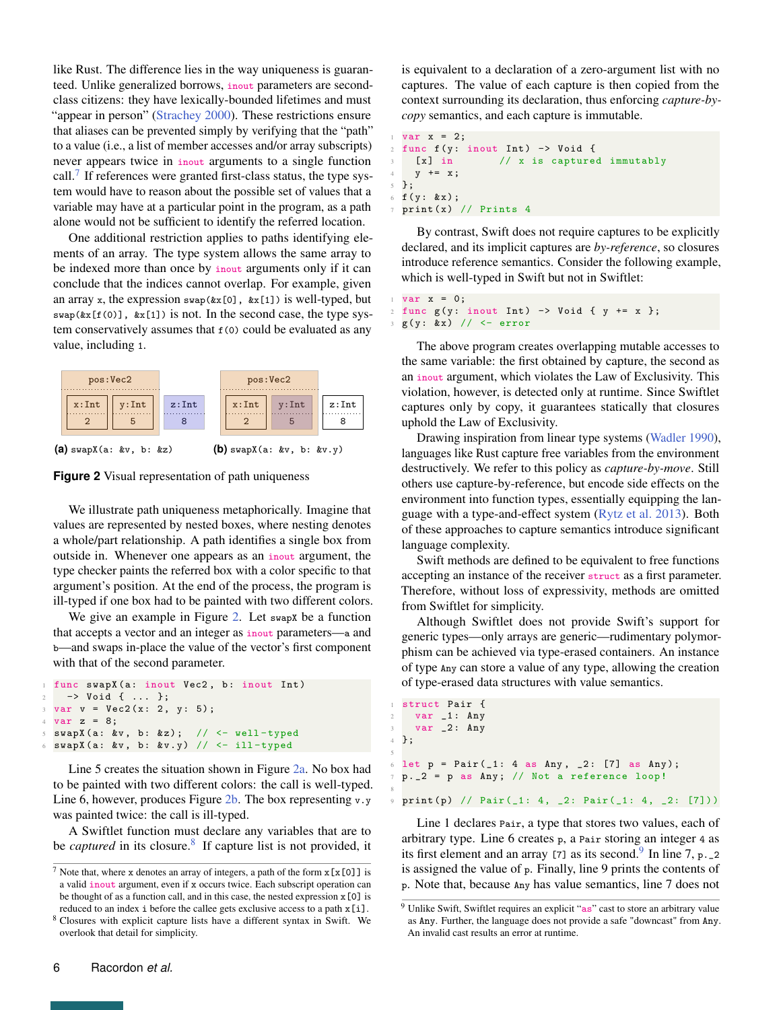like Rust. The difference lies in the way uniqueness is guaranteed. Unlike generalized borrows, inout parameters are secondclass citizens: they have lexically-bounded lifetimes and must "appear in person" [\(Strachey](#page-24-11) [2000\)](#page-24-11). These restrictions ensure that aliases can be prevented simply by verifying that the "path" to a value (i.e., a list of member accesses and/or array subscripts) never appears twice in inout arguments to a single function call. $7$  If references were granted first-class status, the type system would have to reason about the possible set of values that a variable may have at a particular point in the program, as a path alone would not be sufficient to identify the referred location.

One additional restriction applies to paths identifying elements of an array. The type system allows the same array to be indexed more than once by inout arguments only if it can conclude that the indices cannot overlap. For example, given an array x, the expression  $swap(kx[0], kx[1])$  is well-typed, but  $swap(\&x[f(0)], \&x[1])$  is not. In the second case, the type system conservatively assumes that  $f(0)$  could be evaluated as any value, including 1.

<span id="page-5-0"></span>

**(a)** swapX(a: &v, b: &z) **(b)** swapX(a: &v, b: &v.y)

**Figure 2** Visual representation of path uniqueness

We illustrate path uniqueness metaphorically. Imagine that values are represented by nested boxes, where nesting denotes a whole/part relationship. A path identifies a single box from outside in. Whenever one appears as an inout argument, the type checker paints the referred box with a color specific to that argument's position. At the end of the process, the program is ill-typed if one box had to be painted with two different colors.

We give an example in Figure [2.](#page-5-0) Let swapx be a function that accepts a vector and an integer as inout parameters—a and b—and swaps in-place the value of the vector's first component with that of the second parameter.

```
func swapX (a: inout Vec2, b: inout Int)
    2 −> Void { ... };
 var v = Vec2(x: 2, y: 5);4 \text{ var } z = 8;5 swapX (a: &v , b: &z) ; // <− well − typed
 swapX(a: &v, b: &v.y) // <- ill-typed
```
Line 5 creates the situation shown in Figure [2a.](#page-5-0) No box had to be painted with two different colors: the call is well-typed. Line 6, however, produces Figure [2b.](#page-5-0) The box representing  $v \cdot y$ was painted twice: the call is ill-typed.

A Swiftlet function must declare any variables that are to be *captured* in its closure.<sup>[8](#page-0-0)</sup> If capture list is not provided, it is equivalent to a declaration of a zero-argument list with no captures. The value of each capture is then copied from the context surrounding its declaration, thus enforcing *capture-bycopy* semantics, and each capture is immutable.

```
var x = 2;
2 func f(y: inout Int) -> Void {
    [x] in // x is captured immutably
   y += x;
5 };
6 f(y : kx);\frac{1}{7} print (x) // Prints 4
```
By contrast, Swift does not require captures to be explicitly declared, and its implicit captures are *by-reference*, so closures introduce reference semantics. Consider the following example, which is well-typed in Swift but not in Swiftlet:

```
var x = 0;2 func g(y: inout Int) -> Void { y += x };
 3 g(y : & x) // <− error
```
The above program creates overlapping mutable accesses to the same variable: the first obtained by capture, the second as an inout argument, which violates the Law of Exclusivity. This violation, however, is detected only at runtime. Since Swiftlet captures only by copy, it guarantees statically that closures uphold the Law of Exclusivity.

Drawing inspiration from linear type systems [\(Wadler](#page-25-1) [1990\)](#page-25-1), languages like Rust capture free variables from the environment destructively. We refer to this policy as *capture-by-move*. Still others use capture-by-reference, but encode side effects on the environment into function types, essentially equipping the language with a type-and-effect system [\(Rytz et al.](#page-24-12) [2013\)](#page-24-12). Both of these approaches to capture semantics introduce significant language complexity.

Swift methods are defined to be equivalent to free functions accepting an instance of the receiver struct as a first parameter. Therefore, without loss of expressivity, methods are omitted from Swiftlet for simplicity.

Although Swiftlet does not provide Swift's support for generic types—only arrays are generic—rudimentary polymorphism can be achieved via type-erased containers. An instance of type Any can store a value of any type, allowing the creation of type-erased data structures with value semantics.

```
1 struct Pair {
2 var _1 : Any
3 var -2: Any
4 };
 let p = Pair( 1: 4 as Any, 2: [7] as Any);p. _2 = p as Any; // Not a reference loop!
 print (p) // Pair (_1: 4, _2: Pair (_1: 4, _2: [7]))
```
5

8

Line 1 declares Pair, a type that stores two values, each of arbitrary type. Line 6 creates p, a Pair storing an integer 4 as its first element and an array [7] as its second. In line 7, p.  $2$ is assigned the value of p. Finally, line 9 prints the contents of p. Note that, because Any has value semantics, line 7 does not

<sup>&</sup>lt;sup>7</sup> Note that, where x denotes an array of integers, a path of the form  $x[x[0]]$  is a valid inout argument, even if x occurs twice. Each subscript operation can be thought of as a function call, and in this case, the nested expression  $x[0]$  is reduced to an index i before the callee gets exclusive access to a path  $x[i]$ .

<sup>8</sup> Closures with explicit capture lists have a different syntax in Swift. We overlook that detail for simplicity.

<sup>&</sup>lt;sup>9</sup> Unlike Swift, Swiftlet requires an explicit "as" cast to store an arbitrary value as Any. Further, the language does not provide a safe "downcast" from Any. An invalid cast results an error at runtime.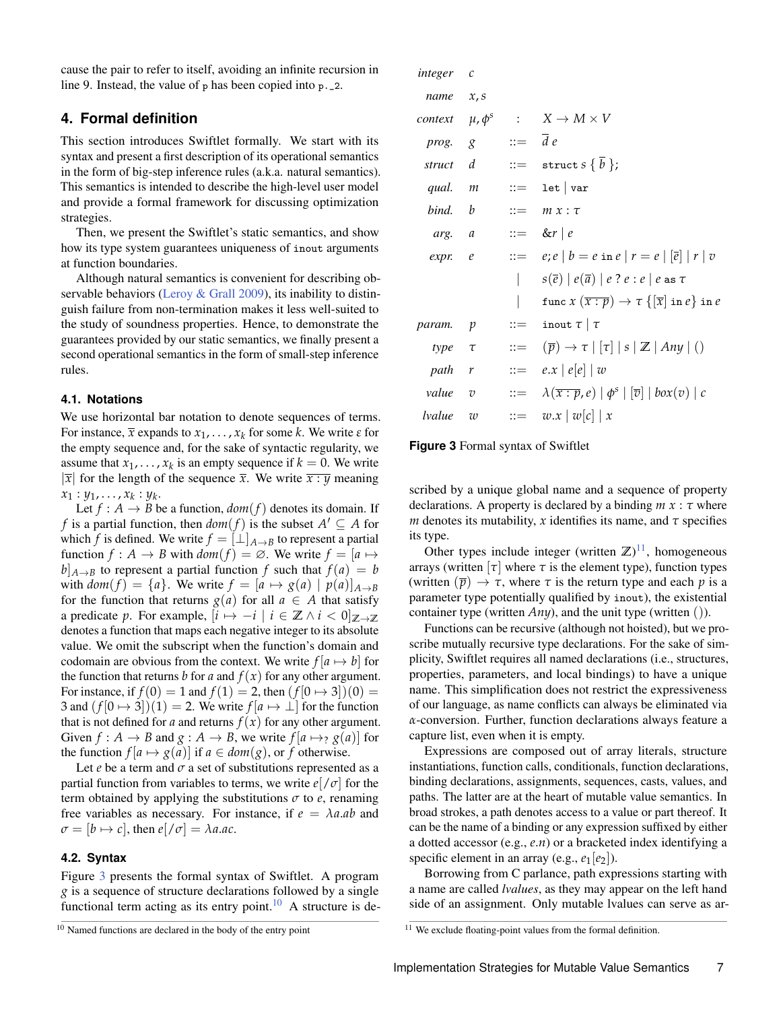cause the pair to refer to itself, avoiding an infinite recursion in line 9. Instead, the value of p has been copied into p.\_2.

# <span id="page-6-0"></span>**4. Formal definition**

This section introduces Swiftlet formally. We start with its syntax and present a first description of its operational semantics in the form of big-step inference rules (a.k.a. natural semantics). This semantics is intended to describe the high-level user model and provide a formal framework for discussing optimization strategies.

Then, we present the Swiftlet's static semantics, and show how its type system guarantees uniqueness of inout arguments at function boundaries.

Although natural semantics is convenient for describing ob-servable behaviors [\(Leroy & Grall](#page-23-10) [2009\)](#page-23-10), its inability to distinguish failure from non-termination makes it less well-suited to the study of soundness properties. Hence, to demonstrate the guarantees provided by our static semantics, we finally present a second operational semantics in the form of small-step inference rules.

#### **4.1. Notations**

We use horizontal bar notation to denote sequences of terms. For instance,  $\bar{x}$  expands to  $x_1, \ldots, x_k$  for some *k*. We write  $\varepsilon$  for the empty sequence and, for the sake of syntactic regularity, we assume that  $x_1, \ldots, x_k$  is an empty sequence if  $k = 0$ . We write  $|\overline{x}|$  for the length of the sequence  $\overline{x}$ . We write  $\overline{x}$  :  $\overline{y}$  meaning  $x_1: y_1, \ldots, x_k: y_k.$ 

Let  $f : A \rightarrow B$  be a function,  $dom(f)$  denotes its domain. If *f* is a partial function, then  $dom(f)$  is the subset  $A' \subseteq A$  for which *f* is defined. We write  $f = [\perp]_{A \to B}$  to represent a partial function  $f : A \rightarrow B$  with  $dom(f) = \emptyset$ . We write  $f = [a \mapsto$  $b|_{A\rightarrow B}$  to represent a partial function *f* such that  $f(a) = b$ with  $dom(f) = \{a\}$ . We write  $f = [a \mapsto g(a) | p(a)]_{A \rightarrow B}$ for the function that returns  $g(a)$  for all  $a \in A$  that satisfy a predicate *p*. For example,  $[i \mapsto -i \mid i \in \mathbb{Z} \land i < 0]_{\mathbb{Z} \to \mathbb{Z}}$ denotes a function that maps each negative integer to its absolute value. We omit the subscript when the function's domain and codomain are obvious from the context. We write  $f[a \mapsto b]$  for the function that returns *b* for *a* and  $f(x)$  for any other argument. For instance, if  $f(0) = 1$  and  $f(1) = 2$ , then  $(f[0 \mapsto 3])(0) =$ 3 and  $(f[0 \rightarrow 3])(1) = 2$ . We write  $f[a \rightarrow \perp]$  for the function that is not defined for *a* and returns  $f(x)$  for any other argument. Given  $f : A \rightarrow B$  and  $g : A \rightarrow B$ , we write  $f[a \mapsto g(a)]$  for the function  $f[a \mapsto g(a)]$  if  $a \in dom(g)$ , or f otherwise.

Let  $e$  be a term and  $\sigma$  a set of substitutions represented as a partial function from variables to terms, we write  $e$ [ $/\sigma$ ] for the term obtained by applying the substitutions  $\sigma$  to  $e$ , renaming free variables as necessary. For instance, if  $e = \lambda a \cdot ab$  and  $\sigma = [b \mapsto c]$ , then  $e[\sqrt{\sigma}] = \lambda a.a.c.$ 

#### **4.2. Syntax**

Figure [3](#page-6-1) presents the formal syntax of Swiftlet. A program *g* is a sequence of structure declarations followed by a single functional term acting as its entry point.<sup>[10](#page-0-0)</sup> A structure is de-

<span id="page-6-1"></span>

| integer c                       |                           |                                                                                 |
|---------------------------------|---------------------------|---------------------------------------------------------------------------------|
| $name \ x, s$                   |                           |                                                                                 |
| <i>context</i> $\mu$ , $\phi^s$ |                           | $\colon X \to M \times V$                                                       |
| prog. g                         | $ ::= \overline{d} e$     |                                                                                 |
| struct d                        |                           | $ ::=$ struct $s \{ b \};$                                                      |
| qual. m                         |                           | $::=$ 1et $\vert$ var                                                           |
| bind. b                         |                           | $ ::= m x : \tau$                                                               |
| arg. a                          |                           | $ ::= \&r   e$                                                                  |
| expr. e                         |                           | $\therefore = e; e   b = e \text{ in } e   r = e   \overline{e}   r   v$        |
|                                 | I                         | $s(\overline{e})   e(\overline{a})   e ? e : e   e$ as $\tau$                   |
|                                 |                           | func $x(\overline{x:p}) \to \tau \{[\overline{x}] \text{ in } e\}$ in $e$       |
| $\mathcal{V}$                   | $\mathbf{r} = \mathbf{r}$ | inout $\tau   \tau$                                                             |
| $type \tau$                     | $\mathrel{\mathop:}=$     | $(\overline{p}) \rightarrow \tau   [\tau]   s   \mathbb{Z}   Any   ()$          |
| path r                          |                           | $ ::= e.x   e[e]   w$                                                           |
| value v                         |                           | $\therefore = \lambda(\overline{x:p},e)   \phi^s   [\overline{v}]   box(v)   c$ |
| w                               | $::=$                     | $w.x \mid w[c] \mid x$                                                          |
|                                 |                           |                                                                                 |

#### **Figure 3** Formal syntax of Swiftlet

scribed by a unique global name and a sequence of property declarations. A property is declared by a binding *m x* : *τ* where *m* denotes its mutability, *x* identifies its name, and  $\tau$  specifies its type.

Other types include integer (written  $\mathbb{Z}$ )<sup>[11](#page-0-0)</sup>, homogeneous arrays (written  $\lceil \tau \rceil$  where  $\tau$  is the element type), function types (written  $(\bar{p}) \rightarrow \tau$ , where  $\tau$  is the return type and each  $p$  is a parameter type potentially qualified by inout), the existential container type (written *Any*), and the unit type (written ()).

Functions can be recursive (although not hoisted), but we proscribe mutually recursive type declarations. For the sake of simplicity, Swiftlet requires all named declarations (i.e., structures, properties, parameters, and local bindings) to have a unique name. This simplification does not restrict the expressiveness of our language, as name conflicts can always be eliminated via *α*-conversion. Further, function declarations always feature a capture list, even when it is empty.

Expressions are composed out of array literals, structure instantiations, function calls, conditionals, function declarations, binding declarations, assignments, sequences, casts, values, and paths. The latter are at the heart of mutable value semantics. In broad strokes, a path denotes access to a value or part thereof. It can be the name of a binding or any expression suffixed by either a dotted accessor (e.g., *e*.*n*) or a bracketed index identifying a specific element in an array (e.g.,  $e_1[e_2]$ ).

Borrowing from C parlance, path expressions starting with a name are called *lvalues*, as they may appear on the left hand side of an assignment. Only mutable lvalues can serve as ar-

 $10$  Named functions are declared in the body of the entry point

<sup>&</sup>lt;sup>11</sup> We exclude floating-point values from the formal definition.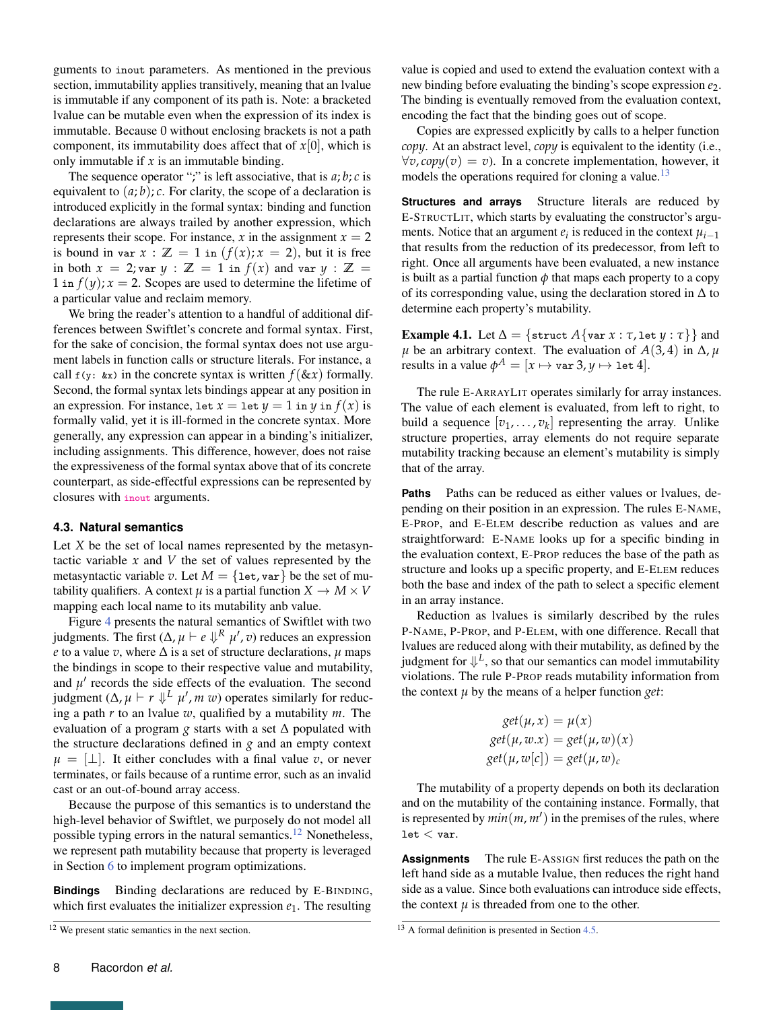guments to inout parameters. As mentioned in the previous section, immutability applies transitively, meaning that an lvalue is immutable if any component of its path is. Note: a bracketed lvalue can be mutable even when the expression of its index is immutable. Because 0 without enclosing brackets is not a path component, its immutability does affect that of  $x[0]$ , which is only immutable if *x* is an immutable binding.

The sequence operator ";" is left associative, that is  $a; b; c$  is equivalent to  $(a, b)$ ; *c*. For clarity, the scope of a declaration is introduced explicitly in the formal syntax: binding and function declarations are always trailed by another expression, which represents their scope. For instance,  $x$  in the assignment  $x = 2$ is bound in var  $x : \mathbb{Z} = 1$  in  $(f(x); x = 2)$ , but it is free in both  $x = 2$ ; var  $y : \mathbb{Z} = 1$  in  $f(x)$  and var  $y : \mathbb{Z} =$ 1 in  $f(y)$ ;  $x = 2$ . Scopes are used to determine the lifetime of a particular value and reclaim memory.

We bring the reader's attention to a handful of additional differences between Swiftlet's concrete and formal syntax. First, for the sake of concision, the formal syntax does not use argument labels in function calls or structure literals. For instance, a call  $f(y: \& x)$  in the concrete syntax is written  $f(\& x)$  formally. Second, the formal syntax lets bindings appear at any position in an expression. For instance, let  $x = \text{let } y = 1$  in *y* in  $f(x)$  is formally valid, yet it is ill-formed in the concrete syntax. More generally, any expression can appear in a binding's initializer, including assignments. This difference, however, does not raise the expressiveness of the formal syntax above that of its concrete counterpart, as side-effectful expressions can be represented by closures with inout arguments.

#### <span id="page-7-0"></span>**4.3. Natural semantics**

Let *X* be the set of local names represented by the metasyntactic variable  $x$  and  $V$  the set of values represented by the metasyntactic variable *v*. Let  $M = \{$ let, var $\}$  be the set of mutability qualifiers. A context  $\mu$  is a partial function  $X \to M \times V$ mapping each local name to its mutability anb value.

Figure [4](#page-8-0) presents the natural semantics of Swiftlet with two judgments. The first  $(\Delta, \mu \vdash e \Downarrow^R \mu', v)$  reduces an expression *e* to a value *v*, where  $\Delta$  is a set of structure declarations,  $\mu$  maps the bindings in scope to their respective value and mutability, and  $\mu'$  records the side effects of the evaluation. The second judgment  $(\Delta, \mu \vdash r \Downarrow^L \mu', m \ w)$  operates similarly for reducing a path *r* to an lvalue *w*, qualified by a mutability *m*. The evaluation of a program  $g$  starts with a set  $\Delta$  populated with the structure declarations defined in *g* and an empty context  $\mu = [\perp]$ . It either concludes with a final value *v*, or never terminates, or fails because of a runtime error, such as an invalid cast or an out-of-bound array access.

Because the purpose of this semantics is to understand the high-level behavior of Swiftlet, we purposely do not model all possible typing errors in the natural semantics. $12$  Nonetheless, we represent path mutability because that property is leveraged in Section [6](#page-17-0) to implement program optimizations.

**Bindings** Binding declarations are reduced by E-BINDING, which first evaluates the initializer expression  $e_1$ . The resulting

value is copied and used to extend the evaluation context with a new binding before evaluating the binding's scope expression *e*2. The binding is eventually removed from the evaluation context, encoding the fact that the binding goes out of scope.

Copies are expressed explicitly by calls to a helper function *copy*. At an abstract level, *copy* is equivalent to the identity (i.e.,  $\forall v, copy(v) = v$ ). In a concrete implementation, however, it models the operations required for cloning a value.<sup>[13](#page-0-0)</sup>

**Structures and arrays** Structure literals are reduced by E-STRUCTLIT, which starts by evaluating the constructor's arguments. Notice that an argument  $e_i$  is reduced in the context  $\mu_{i-1}$ that results from the reduction of its predecessor, from left to right. Once all arguments have been evaluated, a new instance is built as a partial function  $\phi$  that maps each property to a copy of its corresponding value, using the declaration stored in ∆ to determine each property's mutability.

**Example 4.1.** Let  $\Delta = \{$  struct  $A\{$ var  $x : \tau$ , let  $y : \tau\}$  and  $\mu$  be an arbitrary context. The evaluation of *A*(3,4) in  $\Delta$ ,  $\mu$ results in a value  $\phi^A = [x \mapsto$  var  $3, y \mapsto$  let  $4].$ 

The rule E-ARRAYLIT operates similarly for array instances. The value of each element is evaluated, from left to right, to build a sequence  $[v_1, \ldots, v_k]$  representing the array. Unlike structure properties, array elements do not require separate mutability tracking because an element's mutability is simply that of the array.

**Paths** Paths can be reduced as either values or lvalues, depending on their position in an expression. The rules E-NAME, E-PROP, and E-ELEM describe reduction as values and are straightforward: E-NAME looks up for a specific binding in the evaluation context, E-PROP reduces the base of the path as structure and looks up a specific property, and E-ELEM reduces both the base and index of the path to select a specific element in an array instance.

Reduction as lvalues is similarly described by the rules P-NAME, P-PROP, and P-ELEM, with one difference. Recall that lvalues are reduced along with their mutability, as defined by the judgment for  $\Downarrow^L$ , so that our semantics can model immutability violations. The rule P-PROP reads mutability information from the context  $\mu$  by the means of a helper function *get*:

$$
get(\mu, x) = \mu(x)
$$
  
\n
$$
get(\mu, w.x) = get(\mu, w)(x)
$$
  
\n
$$
get(\mu, w[c]) = get(\mu, w)_c
$$

The mutability of a property depends on both its declaration and on the mutability of the containing instance. Formally, that is represented by  $min(m, m')$  in the premises of the rules, where  $let < var$ .

**Assignments** The rule E-ASSIGN first reduces the path on the left hand side as a mutable lvalue, then reduces the right hand side as a value. Since both evaluations can introduce side effects, the context  $\mu$  is threaded from one to the other.

<sup>&</sup>lt;sup>12</sup> We present static semantics in the next section.

<sup>&</sup>lt;sup>13</sup> A formal definition is presented in Section [4.5.](#page-11-0)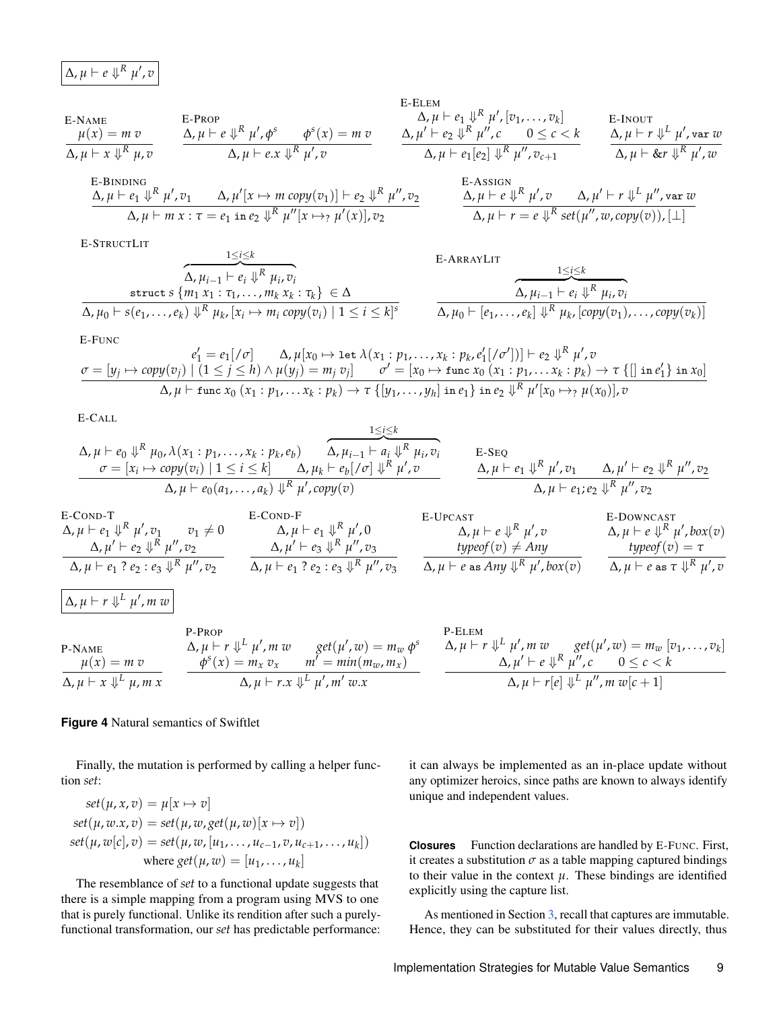<span id="page-8-0"></span>
$$
\Delta, \mu \vdash e \Downarrow^R \mu', v
$$

E-NAME  
\n
$$
\mu(x) = m v
$$
  
\n $\Delta, \mu \vdash x \Downarrow^R \mu, v$   
\n $\Delta, \mu \vdash e \Downarrow^R \mu', \phi^s$   
\n $\phi^s(x) = m v$   
\n $\Delta, \mu \vdash x \Downarrow^R \mu, v$   
\n $\Delta, \mu \vdash e \cdot x \Downarrow^R \mu', v$ 

E-BINDING

$$
\Delta, \mu \vdash e_1 \Downarrow^{R} \mu', v_1 \qquad \Delta, \mu'[x \mapsto m \text{ copy}(v_1)] \vdash e_2 \Downarrow^{R} \mu'', v_2
$$
  

$$
\Delta, \mu \vdash m \ x : \tau = e_1 \text{ in } e_2 \Downarrow^{R} \mu''[x \mapsto_{?} \mu'(x)], v_2
$$

E-STRUCTLIT

$$
\overbrace{\Delta, \mu_{i-1} \vdash e_i \Downarrow^{R} \mu_i, v_i}^{\text{1} \searrow \searrow \atop \Delta, \mu_{i-1} \vdash e_i \Downarrow^{R} \mu_i, v_i} \text{struct } s \{m_1 \ x_1 : \tau_1, \ldots, m_k \ x_k : \tau_k\} \in \Delta \atop \Delta, \mu_0 \vdash s(e_1, \ldots, e_k) \Downarrow^{R} \mu_k, [x_i \mapsto m_i \text{ copy}(v_i) \mid 1 \le i \le k]^s}
$$

1≤*i*≤*k*

E-ELEM  
\n
$$
\Delta, \mu \vdash e_1 \Downarrow^R \mu', [v_1, \ldots, v_k]
$$
  
\n $\Delta, \mu' \vdash e_2 \Downarrow^R \mu'', c$   
\n $\Delta, \mu \vdash e_1[e_2] \Downarrow^R \mu'', v_{c+1}$   
\nE-INOUT  
\n $\Delta, \mu \vdash r \Downarrow^L \mu', \text{var } w$   
\n $\Delta, \mu \vdash e \Downarrow^R \mu'', w$ 

E-ASSIGN  
\n
$$
\Delta, \mu \vdash e \Downarrow^{R} \mu', v \qquad \Delta, \mu' \vdash r \Downarrow^{L} \mu'', v \text{ar } w
$$
\n
$$
\Delta, \mu \vdash r = e \Downarrow^{R} set(\mu'', w, copy(v)), [\perp]
$$

E-ARRAYLIT 1≤*i*≤*k*  $\overline{\Delta, \mu_{i-1} \vdash e_i \Downarrow^R \mu_i, v_i}$  $Δ, μ<sub>0</sub> ⊢ [e<sub>1</sub>, ..., e<sub>k</sub>] √<sup>R</sup> μ<sub>k</sub>, [copy(v<sub>1</sub>), ..., copy(v<sub>k</sub>)]$ 

E-FUNC

$$
e'_1 = e_1[\n\{\n\sigma\} \quad \Delta, \mu[x_0 \mapsto \text{let } \lambda(x_1 : p_1, \ldots, x_k : p_k, e'_1[\n\{\sigma'\}])\n\} \vdash e_2 \Downarrow^R \mu', v
$$
\n
$$
\sigma = [y_j \mapsto \text{copy}(v_j) \mid (1 \leq j \leq h) \land \mu(y_j) = m_j v_j] \quad \sigma' = [x_0 \mapsto \text{func } x_0 \ (x_1 : p_1, \ldots, x_k : p_k) \to \tau \{[] \text{ in } e'_1\} \text{ in } x_0]\n\Delta, \mu \vdash \text{func } x_0 \ (x_1 : p_1, \ldots, x_k : p_k) \to \tau \{[y_1, \ldots, y_h] \text{ in } e_1\} \text{ in } e_2 \Downarrow^R \mu'[x_0 \mapsto_{?} \mu(x_0)], v
$$

E-CALL

$$
\Delta, \mu \vdash e_0 \Downarrow^R \mu_0, \lambda(x_1 : p_1, \ldots, x_k : p_k, e_b) \qquad \Delta, \mu_{i-1} \vdash a_i \Downarrow^R \mu_i, v_i
$$
\n
$$
\sigma = [x_i \mapsto copy(v_i) \mid 1 \leq i \leq k] \qquad \Delta, \mu_k \vdash e_b [\sigma] \Downarrow^R \mu', v
$$
\n
$$
\Delta, \mu \vdash e_1 \Downarrow^R \mu', v_1 \qquad \Delta, \mu' \vdash e_2 \Downarrow^R \mu'', v_2
$$
\n
$$
\Delta, \mu \vdash e_0(a_1, \ldots, a_k) \Downarrow^R \mu', copy(v)
$$
\n
$$
\Delta, \mu \vdash e_1 \vdash e_1 \Downarrow^R \mu', v_1 \qquad \Delta, \mu' \vdash e_2 \Downarrow^R \mu'', v_2
$$

1≤*i*≤*k*

E-COND-T  
\n
$$
\Delta, \mu \vdash e_1 \Downarrow^R \mu', v_1 \qquad v_1 \neq 0
$$
\n
$$
\Delta, \mu \vdash e_2 \Downarrow^R \mu'', v_2
$$
\n
$$
\Delta, \mu \vdash e_1 ? e_2 : e_3 \Downarrow^R \mu'', v_2
$$
\n
$$
\Delta, \mu \vdash e_1 ? e_2 : e_3 \Downarrow^R \mu'', v_3
$$
\n
$$
\Delta, \mu \vdash e_1 ? e_2 : e_3 \Downarrow^R \mu'', v_2
$$
\n
$$
\Delta, \mu \vdash e_1 ? e_2 : e_3 \Downarrow^R \mu'', v_3
$$
\n
$$
\Delta, \mu \vdash e_1 ? e_2 : e_3 \Downarrow^R \mu'', v_3
$$
\n
$$
\Delta, \mu \vdash e \text{ as Any } \Downarrow^R \mu', \text{box}(v)
$$
\n
$$
\Delta, \mu \vdash e \text{ as } \tau \Downarrow^R \mu', v_3
$$
\n
$$
\Delta, \mu \vdash e \text{ as any } \Downarrow^R \mu', \text{box}(v)
$$
\n
$$
\Delta, \mu \vdash e \text{ as } \tau \Downarrow^R \mu', v_3
$$
\n
$$
\Delta, \mu \vdash r \Downarrow^L \mu', m w
$$
\n
$$
\text{P-RAME}
$$
\n
$$
\Delta, \mu \vdash r \Downarrow^L \mu', m w
$$
\n
$$
\text{get}(\mu', w) = m_w \phi^s
$$
\n
$$
\Delta, \mu \vdash r \Downarrow^L \mu', m w
$$
\n
$$
\text{get}(\mu', w) = m_w [v_1, \ldots, v_k]
$$

$$
\frac{\mu(x) = m v}{\Delta, \mu \vdash x \Downarrow^L \mu, m x} \qquad \frac{\phi^s(x) = m_x v_x \qquad m^2 = \min(m_w, m_x)}{\Delta, \mu \vdash r.x \Downarrow^L \mu', m' w.x} \qquad \frac{\Delta, \mu' \vdash e \Downarrow^R \mu'', c \qquad 0 \leq c < k}{\Delta, \mu \vdash r[e] \Downarrow^L \mu'', m w[c+1]}
$$

#### **Figure 4** Natural semantics of Swiftlet

Finally, the mutation is performed by calling a helper function *set*:

$$
set(\mu, x, v) = \mu[x \mapsto v]
$$
  
\n
$$
set(\mu, w.x, v) = set(\mu, w, get(\mu, w)[x \mapsto v])
$$
  
\n
$$
set(\mu, w[c], v) = set(\mu, w, [u_1, \dots, u_{c-1}, v, u_{c+1}, \dots, u_k])
$$
  
\nwhere  $get(\mu, w) = [u_1, \dots, u_k]$ 

The resemblance of *set* to a functional update suggests that there is a simple mapping from a program using MVS to one that is purely functional. Unlike its rendition after such a purelyfunctional transformation, our *set* has predictable performance: it can always be implemented as an in-place update without any optimizer heroics, since paths are known to always identify unique and independent values.

**Closures** Function declarations are handled by E-FUNC. First, it creates a substitution  $\sigma$  as a table mapping captured bindings to their value in the context  $\mu$ . These bindings are identified explicitly using the capture list.

As mentioned in Section [3,](#page-4-0) recall that captures are immutable. Hence, they can be substituted for their values directly, thus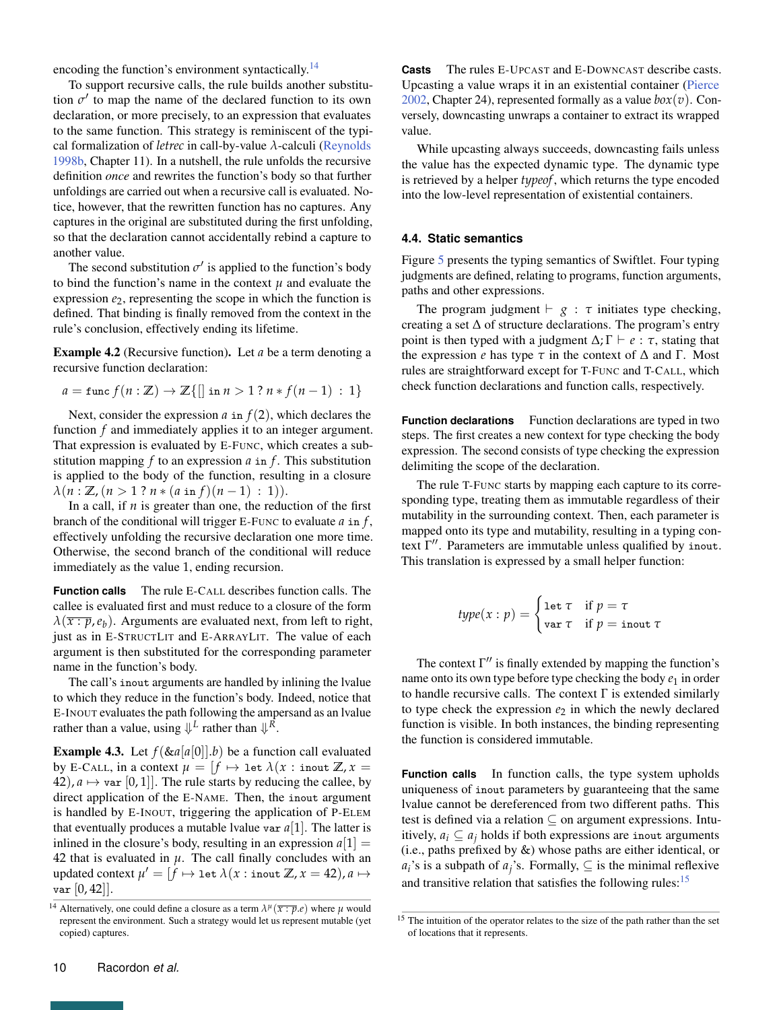encoding the function's environment syntactically.<sup>[14](#page-0-0)</sup>

To support recursive calls, the rule builds another substitution  $\sigma'$  to map the name of the declared function to its own declaration, or more precisely, to an expression that evaluates to the same function. This strategy is reminiscent of the typical formalization of *letrec* in call-by-value *λ*-calculi [\(Reynolds](#page-24-13) [1998b,](#page-24-13) Chapter 11). In a nutshell, the rule unfolds the recursive definition *once* and rewrites the function's body so that further unfoldings are carried out when a recursive call is evaluated. Notice, however, that the rewritten function has no captures. Any captures in the original are substituted during the first unfolding, so that the declaration cannot accidentally rebind a capture to another value.

The second substitution  $\sigma'$  is applied to the function's body to bind the function's name in the context  $\mu$  and evaluate the expression  $e_2$ , representing the scope in which the function is defined. That binding is finally removed from the context in the rule's conclusion, effectively ending its lifetime.

Example 4.2 (Recursive function). Let *a* be a term denoting a recursive function declaration:

$$
a = \text{func } f(n: \mathbb{Z}) \rightarrow \mathbb{Z}\{[] \text{ in } n > 1 ? n * f(n-1) : 1 \}
$$

Next, consider the expression  $a$  in  $f(2)$ , which declares the function *f* and immediately applies it to an integer argument. That expression is evaluated by E-FUNC, which creates a substitution mapping *f* to an expression *a* in *f* . This substitution is applied to the body of the function, resulting in a closure  $\lambda(n : \mathbb{Z}, (n > 1 ? n * (a \text{ in } f)(n-1) : 1)).$ 

In a call, if *n* is greater than one, the reduction of the first branch of the conditional will trigger E-FUNC to evaluate *a* in *f* , effectively unfolding the recursive declaration one more time. Otherwise, the second branch of the conditional will reduce immediately as the value 1, ending recursion.

**Function calls** The rule E-CALL describes function calls. The callee is evaluated first and must reduce to a closure of the form  $\lambda(\overline{x:p},e_b)$ . Arguments are evaluated next, from left to right, just as in E-STRUCTLIT and E-ARRAYLIT. The value of each argument is then substituted for the corresponding parameter name in the function's body.

The call's inout arguments are handled by inlining the lvalue to which they reduce in the function's body. Indeed, notice that E-INOUT evaluates the path following the ampersand as an lvalue rather than a value, using  $\Downarrow^L$  rather than  $\Downarrow^R$ .

**Example 4.3.** Let  $f(\&a[a[0]]b)$  be a function call evaluated by E-CALL, in a context  $\mu = \int f \mapsto \text{let } \lambda(x : \text{inout } \mathbb{Z}, x =$ 42),  $a \mapsto \text{var}[0, 1]$ . The rule starts by reducing the callee, by direct application of the E-NAME. Then, the inout argument is handled by E-INOUT, triggering the application of P-ELEM that eventually produces a mutable lvalue var  $a[1]$ . The latter is inlined in the closure's body, resulting in an expression  $a[1] =$ 42 that is evaluated in  $\mu$ . The call finally concludes with an updated context  $\mu' = [\widetilde{f} \mapsto \texttt{let }\lambda(x:\texttt{inout }\mathbb{Z}, x=42)$ ,  $a \mapsto$  $var[0, 42]$ .

**Casts** The rules E-UPCAST and E-DOWNCAST describe casts. Upcasting a value wraps it in an existential container [\(Pierce](#page-24-14) [2002,](#page-24-14) Chapter 24), represented formally as a value  $box(v)$ . Conversely, downcasting unwraps a container to extract its wrapped value.

While upcasting always succeeds, downcasting fails unless the value has the expected dynamic type. The dynamic type is retrieved by a helper *typeof*, which returns the type encoded into the low-level representation of existential containers.

## <span id="page-9-0"></span>**4.4. Static semantics**

Figure [5](#page-10-0) presents the typing semantics of Swiftlet. Four typing judgments are defined, relating to programs, function arguments, paths and other expressions.

The program judgment  $\vdash g : \tau$  initiates type checking, creating a set  $\Delta$  of structure declarations. The program's entry point is then typed with a judgment  $\Delta$ ;  $\Gamma \vdash e : \tau$ , stating that the expression *e* has type  $\tau$  in the context of  $\Delta$  and  $\Gamma$ . Most rules are straightforward except for T-FUNC and T-CALL, which check function declarations and function calls, respectively.

**Function declarations** Function declarations are typed in two steps. The first creates a new context for type checking the body expression. The second consists of type checking the expression delimiting the scope of the declaration.

The rule T-FUNC starts by mapping each capture to its corresponding type, treating them as immutable regardless of their mutability in the surrounding context. Then, each parameter is mapped onto its type and mutability, resulting in a typing context Γ". Parameters are immutable unless qualified by inout. This translation is expressed by a small helper function:

$$
type(x:p) = \begin{cases} \text{let } \tau & \text{if } p = \tau \\ \text{var } \tau & \text{if } p = \text{inout } \tau \end{cases}
$$

The context  $\Gamma''$  is finally extended by mapping the function's name onto its own type before type checking the body  $e_1$  in order to handle recursive calls. The context  $\Gamma$  is extended similarly to type check the expression  $e_2$  in which the newly declared function is visible. In both instances, the binding representing the function is considered immutable.

**Function calls** In function calls, the type system upholds uniqueness of inout parameters by guaranteeing that the same lvalue cannot be dereferenced from two different paths. This test is defined via a relation ⊆ on argument expressions. Intuitively,  $a_i \subseteq a_j$  holds if both expressions are inout arguments (i.e., paths prefixed by &) whose paths are either identical, or  $a_i$ 's is a subpath of  $a_j$ 's. Formally, ⊆ is the minimal reflexive and transitive relation that satisfies the following rules: $15$ 

<sup>&</sup>lt;sup>14</sup> Alternatively, one could define a closure as a term  $\lambda^{\mu}(\overline{x:p}.e)$  where  $\mu$  would represent the environment. Such a strategy would let us represent mutable (yet copied) captures.

<sup>&</sup>lt;sup>15</sup> The intuition of the operator relates to the size of the path rather than the set of locations that it represents.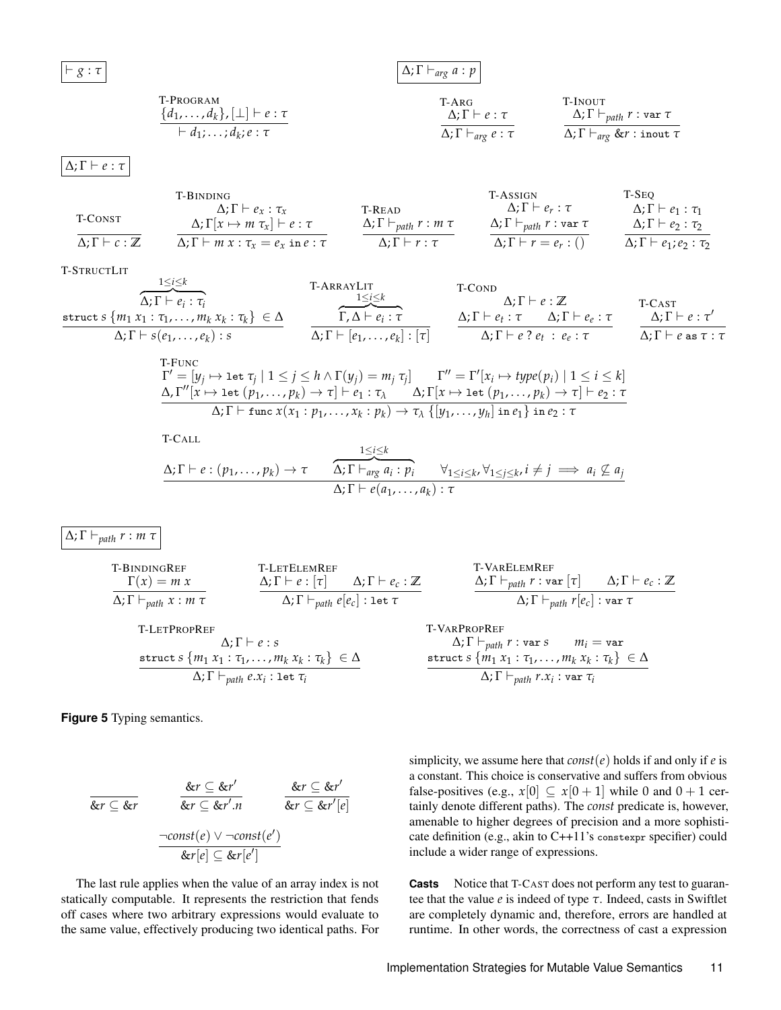<span id="page-10-0"></span> $\vdash g : \tau$ 

# $Δ; Γ ⊢<sub>arg</sub> a : p$

T-PROGRAM

\n
$$
\frac{\{d_1, \ldots, d_k\}, [\perp] \vdash e : \tau \qquad \qquad \Delta; \Gamma \vdash e : \tau \qquad \qquad \Delta; \Gamma \vdash_{path} r : \text{var } \tau \qquad \qquad \Delta; \Gamma \vdash_{arg} e : \tau \qquad \qquad \Delta; \Gamma \vdash_{arg} \& r : \text{var } \tau \qquad \qquad \Delta; \Gamma \vdash_{arg} \& r : \text{inout } \tau \qquad \qquad \Delta; \Gamma \vdash_{arg} \exists \forall x \in \mathcal{I} \qquad \qquad \Delta; \Gamma \vdash_{arg} \exists x \in \mathcal{I} \qquad \qquad \Delta; \Gamma \vdash_{arg} \exists x \in \mathcal{I} \qquad \qquad \Delta; \Gamma \vdash_{arg} \exists x \in \mathcal{I} \qquad \qquad \Delta; \Gamma \vdash_{arg} \exists x \in \mathcal{I} \qquad \qquad \Delta; \Gamma \vdash_{arg} \exists x \in \mathcal{I} \qquad \qquad \Delta; \Gamma \vdash_{arg} \exists x \in \mathcal{I} \qquad \qquad \Delta; \Gamma \vdash_{arg} \exists x \in \mathcal{I} \qquad \qquad \Delta; \Gamma \vdash_{arg} \exists x \in \mathcal{I} \qquad \qquad \Delta; \Gamma \vdash_{arg} \exists x \in \mathcal{I} \qquad \qquad \Delta; \Gamma \vdash_{arg} \exists x \in \mathcal{I} \qquad \qquad \Delta; \Gamma \vdash_{arg} \exists x \in \mathcal{I} \qquad \qquad \Delta; \Gamma \vdash_{arg} \exists x \in \mathcal{I} \qquad \qquad \Delta; \Gamma \vdash_{arg} \exists x \in \mathcal{I} \qquad \qquad \Delta; \Gamma \vdash_{arg} \exists x \in \mathcal{I} \qquad \qquad \Delta; \Gamma \vdash_{arg} \exists x \in \mathcal{I} \qquad \qquad \Delta; \Gamma \vdash_{arg} \exists x \in \mathcal{I} \qquad \qquad \Delta; \Gamma \vdash_{arg} \exists x \in \mathcal{I} \qquad \qquad \Delta; \Gamma \vdash_{arg} \exists x \in \mathcal{I} \qquad \qquad \Delta; \Gamma \vdash_{arg} \exists x \in \mathcal{I} \qquad \qquad \Delta; \Gamma \vdash_{arg} \exists x \in \mathcal{I} \qquad \qquad
$$

 $Δ; Γ ⊢ e : τ$ 

|                                        | T-BINDING                                                                  |                                      | <b>T-ASSIGN</b>                                  | T-SEO                                |
|----------------------------------------|----------------------------------------------------------------------------|--------------------------------------|--------------------------------------------------|--------------------------------------|
| T-CONST                                | $\Delta: \Gamma \vdash e_x : \tau_x$                                       | T-READ                               | $\Delta;\Gamma\vdash e_{r}:\tau$                 | $\Delta;\Gamma\vdash e_1:\tau_1$     |
|                                        | $\Delta$ ; $\Gamma[x \mapsto m \tau_x] \vdash e : \tau$                    | $\Delta;\Gamma\vdash_{path} r:m\tau$ | $\Delta;\Gamma\vdash_{path} r:\texttt{var }\tau$ | $\Delta;\Gamma\vdash e_2:\tau_2$     |
| $\Delta: \Gamma \vdash c : \mathbb{Z}$ | $\Delta$ ; $\Gamma$ $\vdash$ <i>m</i> $x$ : $\tau_x = e_x$ in $e$ : $\tau$ | $\Delta: \Gamma \vdash r : \tau$     | $\Delta; \Gamma \vdash r = e_r : \Theta$         | $\Delta;\Gamma\vdash e_1;e_2:\tau_2$ |

#### T-STRUCTLIT

| 1.91100<br>$1 \leq i \leq k$                                         | T-ARRAYLIT                                    | T-COND                                                                     |                                        |
|----------------------------------------------------------------------|-----------------------------------------------|----------------------------------------------------------------------------|----------------------------------------|
| $\Delta;\Gamma\vdash e_i:\tau_i$                                     | $1 \leq i \leq k$                             | $\Delta: \Gamma \vdash e : \mathbb{Z}$                                     | T-CAST                                 |
| struct $s \{m_1 x_1 : \tau_1, \ldots, m_k x_k : \tau_k\} \in \Delta$ | $\Gamma, \Delta \vdash e_i : \tau$            | $\Delta; \Gamma \vdash e_t : \tau \qquad \Delta; \Gamma \vdash e_e : \tau$ | $\Delta;\Gamma\vdash e:\tau'$          |
| $\Delta;\Gamma\vdash s(e_1,\ldots,e_k):s$                            | $\Delta;\Gamma\vdash [e_1,\ldots,e_k]:[\tau]$ | $\Delta;\Gamma\vdash e\ ?\ e_t\ :\ e_e:\tau$                               | $\Delta;\Gamma\vdash e$ as $\tau:\tau$ |

T-FUNC  
\n
$$
\Gamma' = [y_j \mapsto \text{let } \tau_j \mid 1 \leq j \leq h \land \Gamma(y_j) = m_j \tau_j] \qquad \Gamma'' = \Gamma'[x_i \mapsto type(p_i) \mid 1 \leq i \leq k]
$$
\n
$$
\Delta, \Gamma''[x \mapsto \text{let } (p_1, \ldots, p_k) \to \tau] \vdash e_1 : \tau_\lambda \qquad \Delta, \Gamma[x \mapsto \text{let } (p_1, \ldots, p_k) \to \tau] \vdash e_2 : \tau
$$
\n
$$
\Delta, \Gamma \vdash \text{func } x(x_1 : p_1, \ldots, x_k : p_k) \to \tau_\lambda \{[y_1, \ldots, y_h] \text{ in } e_1\} \text{ in } e_2 : \tau
$$

T-CALL  
\n
$$
\Delta; \Gamma \vdash e : (p_1, ..., p_k) \rightarrow \tau
$$
\n
$$
\frac{1 \leq i \leq k}{\Delta; \Gamma \vdash arg a_i : p_i} \quad \forall_{1 \leq i \leq k}, \forall_{1 \leq j \leq k}, i \neq j \implies a_i \not\subseteq a_j
$$
\n
$$
\Delta; \Gamma \vdash e(a_1, ..., a_k) : \tau
$$

 $Δ; Γ ⊢_{path} r : m τ$ 

**THEOREMREF**

\n
$$
\frac{\Delta; \Gamma \vdash e : [\tau] \quad \Delta; \Gamma \vdash e_{c} : \mathbb{Z}}{\Delta; \Gamma \vdash_{path} x : m \tau} \qquad \frac{\Delta; \Gamma \vdash e : [\tau] \quad \Delta; \Gamma \vdash e_{c} : \mathbb{Z}}{\Delta; \Gamma \vdash_{path} e[e_{c}] : \text{let } \tau} \qquad \frac{\Delta; \Gamma \vdash_{path} r : \text{var} [\tau] \quad \Delta; \Gamma \vdash e_{c} : \mathbb{Z}}{\Delta; \Gamma \vdash_{path} r [e_{c}] : \text{var} \tau}
$$
\n**THEIPROPREF**

\n
$$
\Delta; \Gamma \vdash e : s \qquad \Delta; \Gamma \vdash_{path} r : \text{var} s \qquad m_{i} = \text{var}
$$
\n**struct**

\n
$$
\Delta; \Gamma \vdash_{path} r : \text{var} s \qquad m_{i} = \text{var}
$$
\n**struct**

\n
$$
\Delta; \Gamma \vdash_{path} r : \text{var} s \qquad m_{i} = \text{var}
$$
\n
$$
\Delta; \Gamma \vdash_{path} e x_{i} : \text{let } \tau_{i}
$$
\n**struct**

\n
$$
\Delta; \Gamma \vdash_{path} e x_{i} : \text{let } \tau_{i}
$$
\n**struct**

\n
$$
\Delta; \Gamma \vdash_{path} r x_{i} : \text{var} \tau_{i}
$$
\n**EXECUTE**

\n
$$
\Delta; \Gamma \vdash_{path} r x_{i} : \text{var} \tau_{i}
$$
\n**EXECUTE**

\n
$$
\Delta; \Gamma \vdash_{path} r x_{i} : \text{var} \tau_{i}
$$
\n**EXECUTE**

\n
$$
\Delta; \Gamma \vdash_{path} r x_{i} : \text{var} \tau_{i}
$$
\n**EXECUTE**

\n
$$
\Delta; \Gamma \vdash_{path} r x_{i} : \text{var} \tau_{i}
$$
\n**EXECUTE**

\n
$$
\Delta; \Gamma \vdash_{path} r x_{i} : \text{var} \tau_{i}
$$
\n**EXECUTE**

\n
$$
\Delta;
$$

**Figure 5** Typing semantics.

$$
\frac{\&r \subseteq \&r'}{\&r \subseteq \&r'} \qquad \frac{\&r \subseteq \&r'}{\&r \subseteq \&r'.n} \qquad \frac{\&r \subseteq \&r'[e]}{\&r \subseteq \&r'[e]} \qquad \frac{\neg const(e) \vee \neg const(e')}{\&r[e] \subseteq \&r[e']}
$$

The last rule applies when the value of an array index is not statically computable. It represents the restriction that fends off cases where two arbitrary expressions would evaluate to the same value, effectively producing two identical paths. For simplicity, we assume here that  $const(e)$  holds if and only if *e* is a constant. This choice is conservative and suffers from obvious false-positives (e.g.,  $x[0] \subseteq x[0+1]$  while 0 and  $0+1$  certainly denote different paths). The *const* predicate is, however, amenable to higher degrees of precision and a more sophisticate definition (e.g., akin to C++11's constexpr specifier) could include a wider range of expressions.

**Casts** Notice that T-CAST does not perform any test to guarantee that the value *e* is indeed of type *τ*. Indeed, casts in Swiftlet are completely dynamic and, therefore, errors are handled at runtime. In other words, the correctness of cast a expression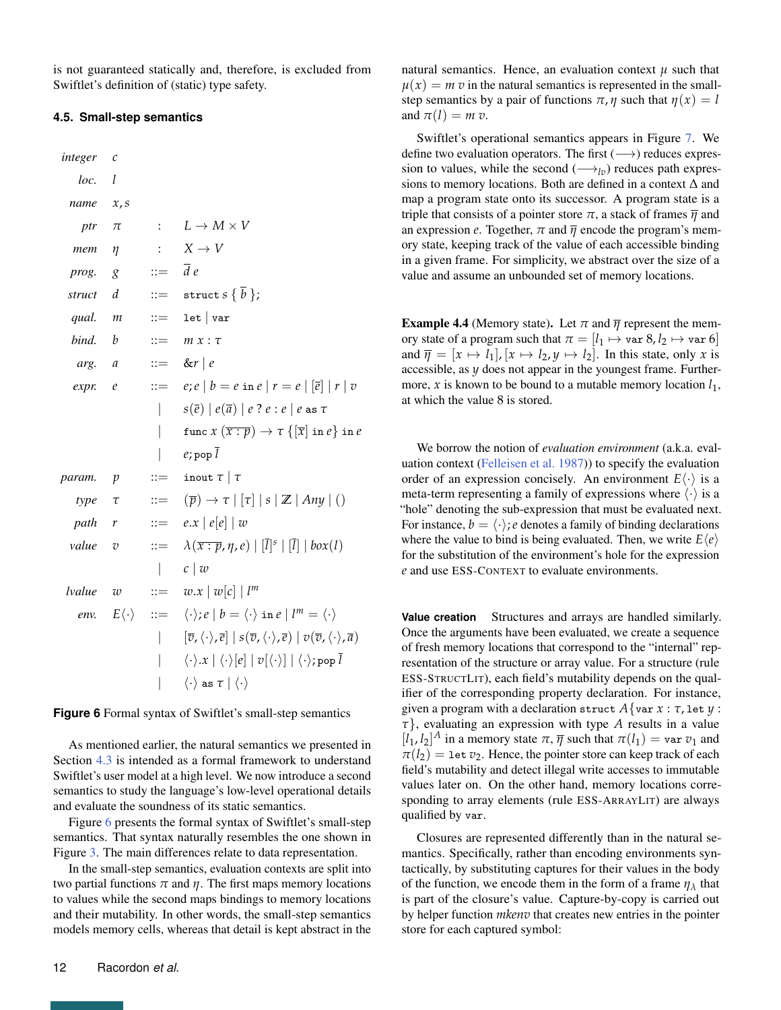is not guaranteed statically and, therefore, is excluded from Swiftlet's definition of (static) type safety.

#### <span id="page-11-0"></span>**4.5. Small-step semantics**

<span id="page-11-1"></span>*integer c loc. l name x*,*s ptr*  $\pi$  :  $L \rightarrow M \times V$ *mem η* :  $X \rightarrow V$ *prog.*  $g$  ::=  $\overline{d} e$ *struct d* ::= **struct**  $s \{\overline{b}\}$ ; *qual.*  $m$  ::= let | var *bind.*  $b$  ::=  $m x : \tau$ *arg.*  $a$  ::= &*r* | *e expr. e*  $:=$   $e; e | b = e \text{ in } e | r = e | |\overline{e}| | r | v$  $s(\overline{e}) | e(\overline{a}) | e$ ?  $e : e | e$  as  $\tau$  $\tan c x (\overline{x : p}) \rightarrow \tau \{[\overline{x}] \text{ in } e\}$  in *e*  $|$  *e*; pop  $\overline{l}$ *param. p* ::= inout  $\tau | \tau$  $type \quad \tau \quad ::= \quad (\overline{p}) \rightarrow \tau \mid [\tau] \mid s \mid \mathbb{Z} \mid \text{Any} \mid ()$ *path*  $r$  ::=  $e.x | e[e] | w$ *value*  $v$  ::=  $\lambda(\overline{x:p}, \eta, e) | [\overline{l}]^s | [\overline{l}] | box(l)$ | *c* | *w lvalue*  $w$  ::=  $w.x | w[c] | l^m$ *env.*  $E\langle \cdot \rangle$  ::=  $\langle \cdot \rangle$ ;  $e | b = \langle \cdot \rangle$  in  $e | l^m = \langle \cdot \rangle$  $| \qquad [\overline{v}, \langle \cdot \rangle, \overline{e}] | s(\overline{v}, \langle \cdot \rangle, \overline{e}) | v(\overline{v}, \langle \cdot \rangle, \overline{a})$  $\langle \cdot \rangle \cdot x \mid \langle \cdot \rangle [e] \mid v[\langle \cdot \rangle] \mid \langle \cdot \rangle$ ; pop  $\overline{l}$  $\langle \cdot \rangle$  as  $\tau | \langle \cdot \rangle$ 

**Figure 6** Formal syntax of Swiftlet's small-step semantics

As mentioned earlier, the natural semantics we presented in Section [4.3](#page-7-0) is intended as a formal framework to understand Swiftlet's user model at a high level. We now introduce a second semantics to study the language's low-level operational details and evaluate the soundness of its static semantics.

Figure [6](#page-11-1) presents the formal syntax of Swiftlet's small-step semantics. That syntax naturally resembles the one shown in Figure [3.](#page-6-1) The main differences relate to data representation.

In the small-step semantics, evaluation contexts are split into two partial functions  $\pi$  and  $\eta$ . The first maps memory locations to values while the second maps bindings to memory locations and their mutability. In other words, the small-step semantics models memory cells, whereas that detail is kept abstract in the natural semantics. Hence, an evaluation context  $\mu$  such that  $\mu(x) = m \nu$  in the natural semantics is represented in the smallstep semantics by a pair of functions  $\pi$ , *η* such that  $\eta(x) = l$ and  $\pi(l) = m v$ .

Swiftlet's operational semantics appears in Figure [7.](#page-12-0) We define two evaluation operators. The first  $(\longrightarrow)$  reduces expression to values, while the second  $(\longrightarrow_{l_v})$  reduces path expressions to memory locations. Both are defined in a context  $\Delta$  and map a program state onto its successor. A program state is a triple that consists of a pointer store  $\pi$ , a stack of frames  $\overline{\eta}$  and an expression *e*. Together,  $\pi$  and  $\overline{\eta}$  encode the program's memory state, keeping track of the value of each accessible binding in a given frame. For simplicity, we abstract over the size of a value and assume an unbounded set of memory locations.

**Example 4.4** (Memory state). Let  $\pi$  and  $\overline{\eta}$  represent the memory state of a program such that  $\pi = [l_1 \mapsto \text{var } 8, l_2 \mapsto \text{var } 6]$ and  $\overline{\eta} = [x \mapsto l_1], [x \mapsto l_2, y \mapsto l_2]$ . In this state, only *x* is accessible, as *y* does not appear in the youngest frame. Furthermore,  $x$  is known to be bound to a mutable memory location  $l_1$ , at which the value 8 is stored.

We borrow the notion of *evaluation environment* (a.k.a. evaluation context [\(Felleisen et al.](#page-23-11) [1987\)](#page-23-11)) to specify the evaluation order of an expression concisely. An environment  $E(\cdot)$  is a meta-term representing a family of expressions where  $\langle \cdot \rangle$  is a "hole" denoting the sub-expression that must be evaluated next. For instance,  $b = \langle \cdot \rangle$ ; *e* denotes a family of binding declarations where the value to bind is being evaluated. Then, we write  $E\langle e \rangle$ for the substitution of the environment's hole for the expression *e* and use ESS-CONTEXT to evaluate environments.

**Value creation** Structures and arrays are handled similarly. Once the arguments have been evaluated, we create a sequence of fresh memory locations that correspond to the "internal" representation of the structure or array value. For a structure (rule ESS-STRUCTLIT), each field's mutability depends on the qualifier of the corresponding property declaration. For instance, given a program with a declaration struct  $A$ {var  $x : \tau$ , let  $y :$ *τ*}, evaluating an expression with type *A* results in a value  $[l_1, l_2]^A$  in a memory state  $\pi$ ,  $\overline{\eta}$  such that  $\pi(l_1) = \text{var } v_1$  and  $\pi(l_2)$  = 1et *v*<sub>2</sub>. Hence, the pointer store can keep track of each field's mutability and detect illegal write accesses to immutable values later on. On the other hand, memory locations corresponding to array elements (rule ESS-ARRAYLIT) are always qualified by var.

Closures are represented differently than in the natural semantics. Specifically, rather than encoding environments syntactically, by substituting captures for their values in the body of the function, we encode them in the form of a frame  $\eta_{\lambda}$  that is part of the closure's value. Capture-by-copy is carried out by helper function *mkenv* that creates new entries in the pointer store for each captured symbol: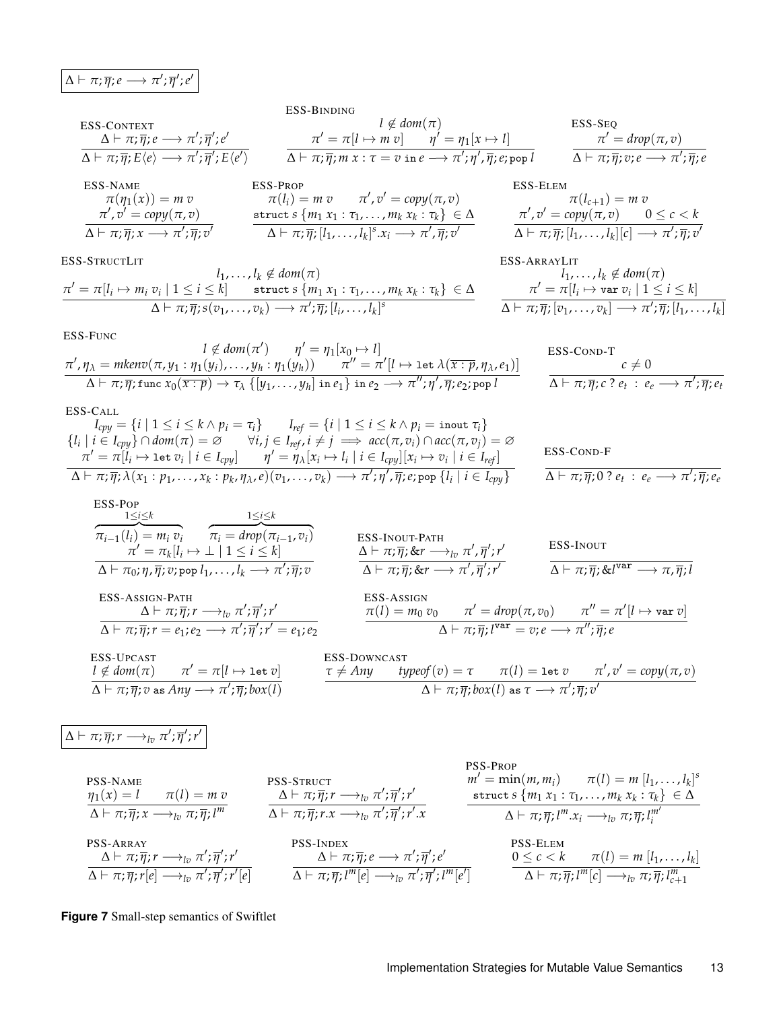<span id="page-12-0"></span>
$$
\Delta \vdash \pi; \overline{\eta}; e \longrightarrow \pi'; \overline{\eta}'; e'
$$

$$
\begin{array}{ccc}\n\text{ESS-CDNTEXT} & I \notin dom(\pi) & \text{ESS-SEQ} \\
\Delta \vdash \pi; \overline{\eta}; e \longrightarrow \pi'; \overline{\eta}'; e' & \pi' = \pi[I \mapsto m \, v] & \eta' = \eta_1[x \mapsto I] & \pi' = drop(\pi, v) \\
\Delta \vdash \pi; \overline{\eta}; E\langle e \rangle \longrightarrow \pi'; \overline{\eta}'; E\langle e' \rangle & \Delta \vdash \pi; \overline{\eta}; m \, x : \tau = v \text{ in } e \longrightarrow \pi'; \eta', \overline{\eta}; e; \text{pop } I & \Delta \vdash \pi; \overline{\eta}; v; e \longrightarrow \pi'; \overline{\eta}; e \\
\text{ESS-NAME} & \text{ESS-PROP} & \text{ESS-ELEM} & \text{ESS-ELEM} & \text{ESS-ELEM}\n\end{array}
$$

$$
\pi(\eta_1(x)) = m v \qquad \pi(l_i) = m v \qquad \pi', v' = copy(\pi, v)
$$
\n
$$
\pi', v' = copy(\pi, v)
$$
\n
$$
\Delta \vdash \pi; \overline{\eta}; x \longrightarrow \pi'; \overline{\eta}; v' \qquad \text{struct } s \{m_1 x_1 : \tau_1, \dots, m_k x_k : \tau_k\} \in \Delta
$$
\n
$$
\Delta \vdash \pi; \overline{\eta}; \overline{\eta}; v' \qquad \Delta \vdash \pi; \overline{\eta}; [l_1, \dots, l_k]^s x_i \longrightarrow \pi', \overline{\eta}; v' \qquad \Delta \vdash \pi; \overline{\eta}; v' \qquad \Delta \vdash \pi; \overline{\eta}; v' \qquad \Delta \vdash \overline{\eta}; v' \qquad \Delta \vdash \overline{\eta}; v'' \qquad \Delta \vdash \overline{\eta}; v'' \qquad \Delta \vdash \overline{\eta}; v'' \qquad \Delta \vdash \overline{\eta}; v'' \qquad \Delta \vdash \overline{\eta}; v'' \qquad \Delta \vdash \overline{\eta}; v'' \qquad \Delta \vdash \overline{\eta}; v'' \qquad \Delta \vdash \overline{\eta}; v'' \qquad \Delta \vdash \overline{\eta}; v'' \qquad \Delta \vdash \overline{\eta}; v'' \qquad \Delta \vdash \overline{\eta}; v'' \qquad \Delta \vdash \overline{\eta}; v'' \qquad \Delta \vdash \overline{\eta}; v'' \qquad \Delta \vdash \overline{\eta}; v'' \qquad \Delta \vdash \overline{\eta}; v'' \qquad \Delta \vdash \overline{\eta}; v'' \qquad \Delta \vdash \overline{\eta}; v'' \qquad \Delta \vdash \overline{\eta}; v'' \qquad \Delta \vdash \overline{\eta}; v'' \qquad \Delta \vdash \overline{\eta}; v'' \qquad \Delta \vdash \overline{\eta}; v'' \qquad \Delta \vdash \overline{\eta}; v'' \qquad \Delta \vdash \overline{\eta}; v'' \qquad \Delta \vdash \overline{\eta}; v'' \qquad \Delta \vdash \overline{\eta}; v'' \qquad \Delta \vdash \overline{\eta}; v'' \qquad \Delta \vdash \overline{\eta}; v'' \qquad \Delta \vdash \overline{\eta}; v'' \qquad \Delta \vdash \overline{\eta}; v'' \qquad \Delta \vdash \overline{\eta}; v'' \qquad \Delta \vdash \overline{\eta}; v'' \q
$$

ESS-STRUCTLIT

$$
\pi' = \pi[l_i \mapsto m_i v_i \mid 1 \leq i \leq k] \quad \text{struct } s \{m_1 x_1 : \tau_1, \ldots, m_k x_k : \tau_k\} \in \Delta
$$
\n
$$
\Delta \vdash \pi; \overline{\eta}; s(v_1, \ldots, v_k) \longrightarrow \pi'; \overline{\eta}; [l_i, \ldots, l_k]^s
$$

$$
\pi(l_{c+1}) = m v
$$
  
\n
$$
\pi', v' = copy(\pi, v) \quad 0 \le c < k
$$
  
\n
$$
\Delta \vdash \pi; \overline{\eta}; [l_1, \ldots, l_k][c] \longrightarrow \pi'; \overline{\eta}; v'
$$

ESS-ARRAYLIT  
\n
$$
l_1, ..., l_k \notin dom(\pi)
$$
\n
$$
\pi' = \pi[l_i \mapsto \text{var } v_i \mid 1 \leq i \leq k]
$$
\n
$$
\Delta \vdash \pi; \overline{\eta}; [v_1, ..., v_k] \longrightarrow \pi'; \overline{\eta}; [l_1, ..., l_k]
$$

ESS-FUNC

$$
l \notin dom(\pi') \qquad \eta' = \eta_1[x_0 \mapsto l]
$$
  
\n
$$
\frac{\pi', \eta_{\lambda} = mkenv(\pi, y_1 : \eta_1(y_i), \dots, y_h : \eta_1(y_h)) \qquad \pi'' = \pi'[l \mapsto \text{let } \lambda(\overline{x : p}, \eta_{\lambda}, e_1)] \qquad \qquad \text{ESS-COND-T}
$$
  
\n
$$
\Delta \vdash \pi; \overline{\eta}; \text{func } x_0(\overline{x : p}) \to \tau_{\lambda} \{[y_1, \dots, y_h] \text{ in } e_1\} \text{ in } e_2 \longrightarrow \pi'', \eta', \overline{\eta}; e_2; \text{pop } l \qquad \qquad \Delta \vdash \pi; \overline{\eta}; c ? e_t : e_e \longrightarrow \pi'; \overline{\eta}; e_t \mapsto \pi'
$$

$$
\text{ESS-}\text{CALL}
$$
\n
$$
I_{cpy} = \{i \mid 1 \leq i \leq k \land p_i = \tau_i\}
$$
\n
$$
I_{ref} = \{i \mid 1 \leq i \leq k \land p_i = \text{inout } \tau_i\}
$$
\n
$$
\{I_i \mid i \in I_{cpy}\} \cap dom(\pi) = \varnothing \qquad \forall i, j \in I_{ref}, i \neq j \implies acc(\pi, v_i) \cap acc(\pi, v_j) = \varnothing
$$
\n
$$
\pi' = \pi[I_i \mapsto \text{let } v_i \mid i \in I_{cpy}] \qquad \eta' = \eta_{\lambda}[x_i \mapsto I_i \mid i \in I_{cpy}][x_i \mapsto v_i \mid i \in I_{ref}] \qquad \text{ESS-}\text{CONI}
$$
\n
$$
\Delta \vdash \pi; \overline{\eta}; \lambda(x_1 : p_1, \ldots, x_k : p_k, \eta_{\lambda}, e)(v_1, \ldots, v_k) \longrightarrow \pi'; \eta', \overline{\eta}; e; \text{pop } \{I_i \mid i \in I_{cpy}\} \qquad \Delta \vdash \pi; \overline{\eta};
$$

$$
\frac{\text{ESS-COND-F}}{\Delta \vdash \pi; \overline{\eta}; 0 ? e_t : e_e \longrightarrow \pi'; \overline{\eta}; e_e}
$$

$$
\frac{\text{ESS-POP}}{\Delta \vdash \pi_{i-1}(l_i) = m_i v_i} \quad \overbrace{\pi_i = \text{drop}(\pi_{i-1}, v_i)}^{\text{1 \leq i \leq k}} \quad \overbrace{\pi_i = \text{drop}(\pi_{i-1}, v_i)}^{\text{1 \leq i \leq k}}^{\text{1 \leq i \leq k}} \quad \overbrace{\Delta \vdash \pi; \overline{\eta}; \& r \rightarrow_{lv} \pi', \overline{\eta}'; r' \atop \Delta \vdash \pi; \overline{\eta}; \& r \rightarrow_{lv} \pi', \overline{\eta}'; r' \atop \Delta \vdash \pi; \overline{\eta}; \& r \rightarrow_{lv} \pi', \overline{\eta}'; r' \atop \Delta \vdash \pi; \overline{\eta}; r = e_1, e_2 \rightarrow \pi'; \overline{\eta}'; r' \atop \overline{\Delta \vdash \pi; \overline{\eta}; r = e_1; e_2 \rightarrow \pi'; \overline{\eta}'; r' = e_1; e_2}^{\text{ESS-ASSIGN}} \quad \overbrace{\pi(l) = m_0 v_0}^{\text{SSS-ASSIGN}} \quad \overbrace{\pi(l) = m_0 v_0}^{\text{SSS-ASSIGN}} \quad \overbrace{\pi(l) = m_0 v_0}^{\text{SSS-ASSIGN}} \quad \overbrace{\pi(l) = m_0 v_0}^{\text{SSS-ASSIGN}} \quad \overbrace{\pi(l) = m_0 v_0}^{\text{SSS-DSUNCAST}} \quad \overbrace{\pi(l) = \text{let } v \pi', \overline{\eta}; e}^{\text{ESS-DVCAST}} \quad \overbrace{\pi \vdash \text{A} \text{my typeof}(v) = \tau \quad \pi(l) = \text{let } v \pi', v' = \text{copy}(\pi, v)}^{\text{SNS-DVCAST}} \quad \overbrace{\Delta \vdash \pi; \overline{\eta}; v \text{ as } \text{Any} \rightarrow \pi'; \overline{\eta}; b \text{ox}(l)}^{\text{SNS-DSWICAST}} \quad \overbrace{\pi \vdash \text{Mypeof}(v) = \tau \quad \pi(l) = \text{let } v \quad \pi', v' = \text{copy}(\pi, v)}^{\text{SNS-US(N-ST)}} \quad \overbrace{\pi \vdash \pi; \overline{\eta}; v \text{ as } \text{Any} \rightarrow \pi'; \overline{\eta}; b \text{ox}(l)}}^{\text{ESS-DSWICAST
$$

$$
\Delta \vdash \pi; \overline{\eta}; r \longrightarrow_{lv} \pi'; \overline{\eta}'; r'
$$

\n
$$
\begin{array}{ll}\n \text{PSS-NAME} & \text{PSS-PROP} \\
 \eta_1(x) = l & \pi(l) = m \, v \\
 \Delta \vdash \pi; \overline{\eta}; x \longrightarrow_{l^p} \pi; \overline{\eta}'; l^m\n \end{array}
$$
\n

\n\n $\begin{array}{ll}\n \text{PSS-STRUCT} & \text{m'} = \min(m, m_i) & \pi(l) = m [l_1, \ldots, l_k]^s \\
 \Delta \vdash \pi; \overline{\eta}; r \longrightarrow_{l^p} \pi'; \overline{\eta}'; r'\n \end{array}$ \n

\n\n $\begin{array}{ll}\n \text{PSS-TRY} & \text{structure} & \text{HST} \\
 \Delta \vdash \pi; \overline{\eta}; r \longrightarrow_{l^p} \pi'; \overline{\eta}'; r'\n \end{array}$ \n

\n\n $\begin{array}{ll}\n \text{PSS-TRY} & \text{structure} & \text{structure} & \text{HST} \\
 \Delta \vdash \pi; \overline{\eta}; r \longrightarrow_{l^p} \pi'; \overline{\eta}'; r'\n \end{array}$ \n

\n\n $\begin{array}{ll}\n \text{PSS-TRY} & \text{PSS-LINEX} \\
 \Delta \vdash \pi; \overline{\eta}; r \longrightarrow_{l^p} \pi'; \overline{\eta}'; e' & \overline{\Delta \vdash \pi; \overline{\eta}'; l^m [e']} & \overline{\Delta \vdash \pi; \overline{\eta}; l^m [e']} & \overline{\Delta \vdash \pi; \overline{\eta}; l^m [e]} & \overline{\Delta \vdash \pi; \overline{\eta}; l^m [e]} & \overline{\Delta \vdash \pi; \overline{\eta}; l^m [e]} & \overline{\Delta \vdash \pi; \overline{\eta}; l^m [e]} & \overline{\Delta \vdash \pi; \overline{\eta}; l^m [e]} & \overline{\Delta \vdash \pi; \overline{\eta}; l^m [e]} & \overline{\Delta \vdash \pi; \overline{\eta}; l^m [e]} & \overline{\Delta \vdash \pi; \overline{\eta}; l^m [e]} & \overline{\Delta \vdash \pi; \overline{\eta}; l^m [e]} & \overline{\Delta \vdash \pi; \overline{\eta};$ 

# **Figure 7** Small-step semantics of Swiftlet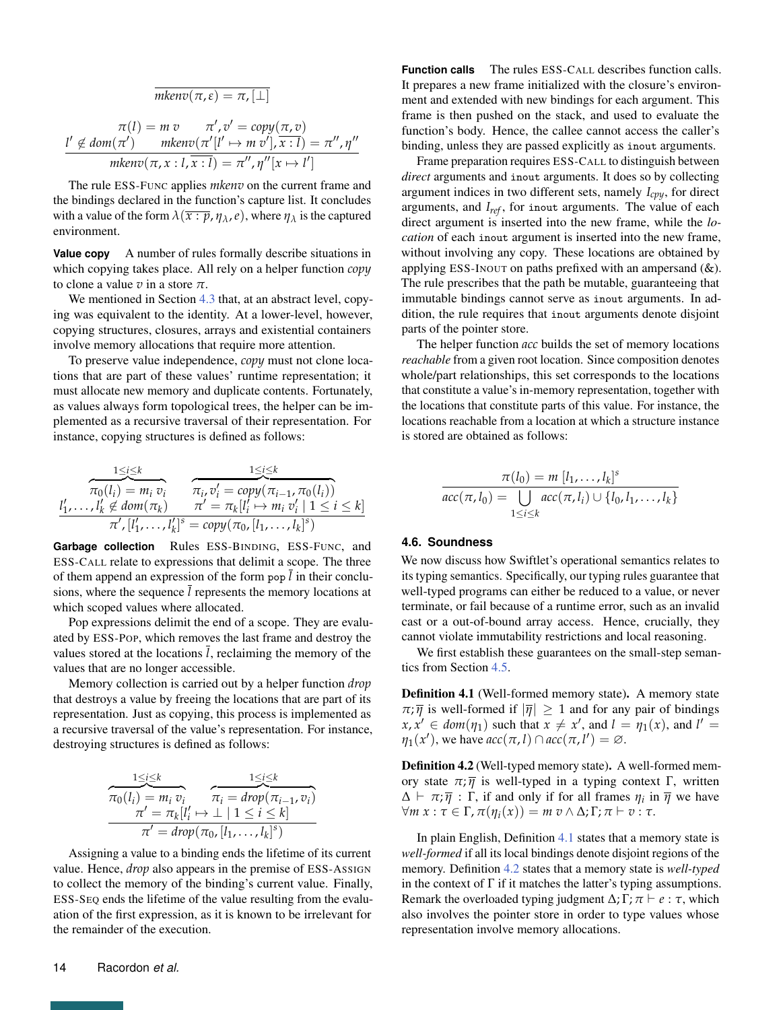$$
\overline{mkenv(\pi,\varepsilon)} = \pi, [\perp]
$$
\n
$$
\pi(l) = m \, v \qquad \pi', v' = copy(\pi, v)
$$
\n
$$
\frac{l' \notin dom(\pi') \qquad mkenv(\pi'[l' \mapsto m'v'], \overline{x:l}) = \pi'', \eta''}{mkenv(\pi, x:l, \overline{x:l}) = \pi'', \eta''[x \mapsto l']}
$$

The rule ESS-FUNC applies *mkenv* on the current frame and the bindings declared in the function's capture list. It concludes with a value of the form  $\lambda(\overline{x:p}, \eta_\lambda, e)$ , where  $\eta_\lambda$  is the captured environment.

**Value copy** A number of rules formally describe situations in which copying takes place. All rely on a helper function *copy* to clone a value *v* in a store *π*.

We mentioned in Section [4.3](#page-7-0) that, at an abstract level, copying was equivalent to the identity. At a lower-level, however, copying structures, closures, arrays and existential containers involve memory allocations that require more attention.

To preserve value independence, *copy* must not clone locations that are part of these values' runtime representation; it must allocate new memory and duplicate contents. Fortunately, as values always form topological trees, the helper can be implemented as a recursive traversal of their representation. For instance, copying structures is defined as follows:

$$
\overbrace{\pi_0(l_i) = m_i \, v_i}_{\pi/[\tbinom{\textit{m}}{\textit{m}}, \, l'_k \neq \textit{dom}(\pi_k) \, \pi' = \textit{copy}(\pi_{i-1}, \pi_0(l_i))}_{\pi'/[\tbinom{\textit{m}}{\textit{m}}, \, l'_k]^s = \textit{copy}(\pi_0, [l_1, \ldots, l_k]^s)}
$$

**Garbage collection** Rules ESS-BINDING, ESS-FUNC, and ESS-CALL relate to expressions that delimit a scope. The three of them append an expression of the form pop  $\bar{l}$  in their conclusions, where the sequence  $\bar{l}$  represents the memory locations at which scoped values where allocated.

Pop expressions delimit the end of a scope. They are evaluated by ESS-POP, which removes the last frame and destroy the values stored at the locations *l*, reclaiming the memory of the values that are no longer accessible.

Memory collection is carried out by a helper function *drop* that destroys a value by freeing the locations that are part of its representation. Just as copying, this process is implemented as a recursive traversal of the value's representation. For instance, destroying structures is defined as follows:

$$
\overbrace{\pi_0(l_i) = m_i v_i}^{\substack{1 \le i \le k \\ \pi_0(l_i) = m_i v_i}} \overbrace{\pi_i = \text{drop}(\pi_{i-1}, v_i)}^{\substack{1 \le i \le k \\ \pi_i = \text{drop}(\pi_{i-1}, v_i) = \text{drop}(\pi_{i-1}, v_i) = \text{drop}(\pi_{i-1}, v_i) = \text{drop}(\pi_{i-1}, v_i) = \text{drop}(\pi_{i-1}, v_i)}
$$

Assigning a value to a binding ends the lifetime of its current value. Hence, *drop* also appears in the premise of ESS-ASSIGN to collect the memory of the binding's current value. Finally, ESS-SEQ ends the lifetime of the value resulting from the evaluation of the first expression, as it is known to be irrelevant for the remainder of the execution.

**Function calls** The rules ESS-CALL describes function calls. It prepares a new frame initialized with the closure's environment and extended with new bindings for each argument. This frame is then pushed on the stack, and used to evaluate the function's body. Hence, the callee cannot access the caller's binding, unless they are passed explicitly as inout arguments.

Frame preparation requires ESS-CALL to distinguish between *direct* arguments and inout arguments. It does so by collecting argument indices in two different sets, namely *Icpy*, for direct arguments, and *Iref* , for inout arguments. The value of each direct argument is inserted into the new frame, while the *location* of each inout argument is inserted into the new frame, without involving any copy. These locations are obtained by applying ESS-INOUT on paths prefixed with an ampersand (&). The rule prescribes that the path be mutable, guaranteeing that immutable bindings cannot serve as inout arguments. In addition, the rule requires that inout arguments denote disjoint parts of the pointer store.

The helper function *acc* builds the set of memory locations *reachable* from a given root location. Since composition denotes whole/part relationships, this set corresponds to the locations that constitute a value's in-memory representation, together with the locations that constitute parts of this value. For instance, the locations reachable from a location at which a structure instance is stored are obtained as follows:

$$
\frac{\pi(l_0) = m [l_1, \dots, l_k]^s}{\text{acc}(\pi, l_0) = \bigcup_{1 \le i \le k} \text{acc}(\pi, l_i) \cup \{l_0, l_1, \dots, l_k\}}
$$

#### **4.6. Soundness**

We now discuss how Swiftlet's operational semantics relates to its typing semantics. Specifically, our typing rules guarantee that well-typed programs can either be reduced to a value, or never terminate, or fail because of a runtime error, such as an invalid cast or a out-of-bound array access. Hence, crucially, they cannot violate immutability restrictions and local reasoning.

We first establish these guarantees on the small-step semantics from Section [4.5.](#page-11-0)

<span id="page-13-0"></span>Definition 4.1 (Well-formed memory state). A memory state  $\pi$ ;  $\overline{\eta}$  is well-formed if  $|\overline{\eta}| \geq 1$  and for any pair of bindings  $x, x' \in dom(\eta_1)$  such that  $x \neq x'$ , and  $l = \eta_1(x)$ , and  $l' =$  $\eta_1(x')$ , we have  $acc(\pi, l) \cap acc(\pi, l') = \emptyset$ .

<span id="page-13-1"></span>Definition 4.2 (Well-typed memory state). A well-formed memory state  $π; \overline{η}$  is well-typed in a typing context Γ, written  $\Delta \vdash \pi; \overline{\eta}$ :  $\Gamma$ , if and only if for all frames  $\eta_i$  in  $\overline{\eta}$  we have  $\forall m \ x : \tau \in \Gamma$ ,  $\pi(\eta_i(x)) = m \ v \wedge \Delta$ ;  $\Gamma$ ;  $\pi \vdash v : \tau$ .

In plain English, Definition [4.1](#page-13-0) states that a memory state is *well-formed* if all its local bindings denote disjoint regions of the memory. Definition [4.2](#page-13-1) states that a memory state is *well-typed* in the context of  $\Gamma$  if it matches the latter's typing assumptions. Remark the overloaded typing judgment  $\Delta$ ;  $\Gamma$ ;  $\pi \vdash e : \tau$ , which also involves the pointer store in order to type values whose representation involve memory allocations.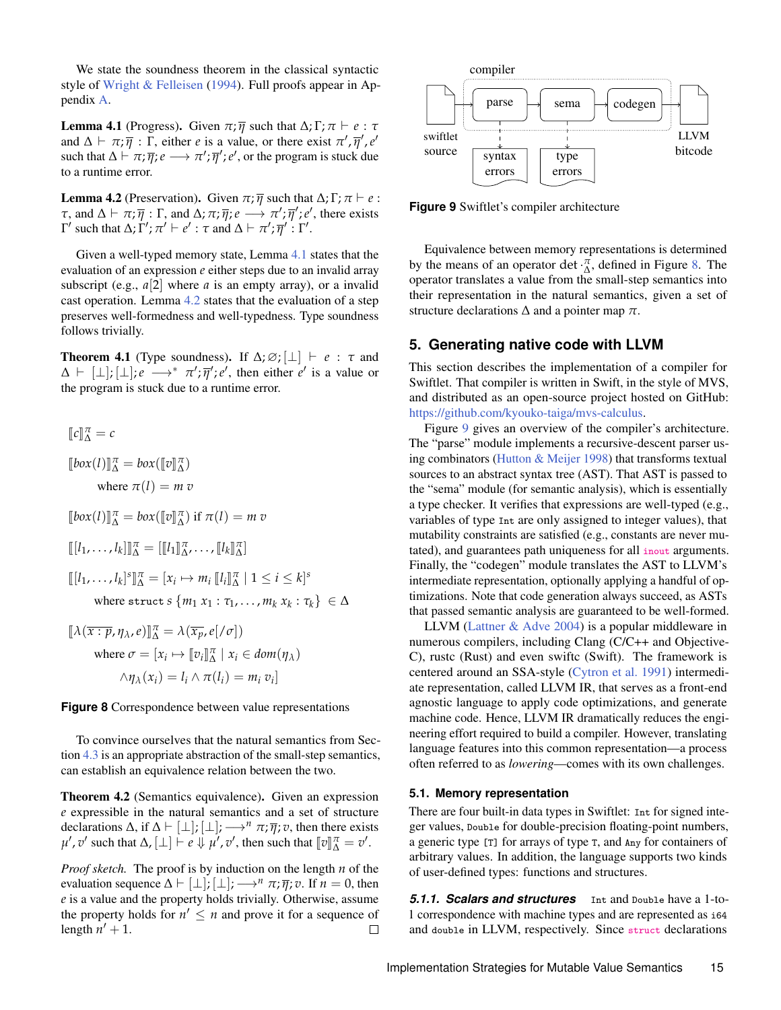We state the soundness theorem in the classical syntactic style of [Wright & Felleisen](#page-25-2) [\(1994\)](#page-25-2). Full proofs appear in Appendix [A.](#page-25-3)

<span id="page-14-1"></span>**Lemma 4.1** (Progress). Given  $\pi$ ;  $\overline{\eta}$  such that  $\Delta$ ;  $\Gamma$ ;  $\pi \vdash e : \tau$ and  $\Delta \vdash \pi; \overline{\eta}$ :  $\overline{\Gamma}$ , either *e* is a value, or there exist  $\pi', \overline{\eta}', e'$ such that  $\Delta \vdash \pi; \overline{\eta}; e \longrightarrow \pi'; \overline{\eta}'; e'$ , or the program is stuck due to a runtime error.

<span id="page-14-2"></span>**Lemma 4.2** (Preservation). Given  $\pi$ ;  $\overline{\eta}$  such that  $\Delta$ ;  $\Gamma$ ;  $\pi \vdash e$ : *τ*, and  $\Delta \vdash \pi; \overline{\eta} : \Gamma$ , and  $\Delta; \pi; \overline{\eta}; e \longrightarrow \pi'; \overline{\eta}'; e'$ , there exists *Γ'* such that Δ; *Γ'*;  $\pi'$  *⊢ e'* : *τ* and Δ *⊢*  $\pi'$ ;  $\overline{\eta}'$  : Γ'.

Given a well-typed memory state, Lemma [4.1](#page-14-1) states that the evaluation of an expression *e* either steps due to an invalid array subscript (e.g.,  $a[2]$  where  $a$  is an empty array), or a invalid cast operation. Lemma [4.2](#page-14-2) states that the evaluation of a step preserves well-formedness and well-typedness. Type soundness follows trivially.

**Theorem 4.1** (Type soundness). If  $\Delta$ ;  $\varnothing$ ;  $\lfloor \perp \rfloor$   $\vdash$  *e* :  $\tau$  and  $\Delta \vdash [\perp]; [\perp]; e \longrightarrow^* \pi'; \overline{\eta}'; e'$ , then either  $e'$  is a value or the program is stuck due to a runtime error.

<span id="page-14-3"></span>
$$
[\![c]\!]_{\Delta}^{\pi} = c
$$
  
\n
$$
[\![box(l)]\!]_{\Delta}^{\pi} = box([\![v]\!]_{\Delta}^{\pi})
$$
  
\nwhere  $\pi(l) = m v$   
\n
$$
[\![box(l)]\!]_{\Delta}^{\pi} = box([\![v]\!]_{\Delta}^{\pi}) \text{ if } \pi(l) = m v
$$
  
\n
$$
[\![l_1, \ldots, l_k]\!]_{\Delta}^{\pi} = [\![l_1]\!]_{\Delta}^{\pi}, \ldots, [\![l_k]\!]_{\Delta}^{\pi}]
$$
  
\n
$$
[\![l_1, \ldots, l_k]^s]\!]_{\Delta}^{\pi} = [x_i \mapsto m_i [\![l_i]\!]_{\Delta}^{\pi} | 1 \leq i \leq k]^s
$$
  
\nwhere  $\text{struct } s \{m_1 x_1 : \tau_1, \ldots, m_k x_k : \tau_k\} \in \Delta$   
\n
$$
[\![\lambda(\overline{x : p}, \eta_\lambda, e)]\!]_{\Delta}^{\pi} = \lambda(\overline{x_p}, e[\ell \sigma])
$$
  
\nwhere  $\sigma = [x_i \mapsto [v_i]\!]_{\Delta}^{\pi} | x_i \in dom(\eta_\lambda)$   
\n
$$
\wedge \eta_\lambda(x_i) = l_i \wedge \pi(l_i) = m_i v_i]
$$

**Figure 8** Correspondence between value representations

To convince ourselves that the natural semantics from Section [4.3](#page-7-0) is an appropriate abstraction of the small-step semantics, can establish an equivalence relation between the two.

Theorem 4.2 (Semantics equivalence). Given an expression *e* expressible in the natural semantics and a set of structure declarations  $\Delta$ , if  $\Delta \vdash [\perp]; [\perp]; \longrightarrow^n \pi; \overline{\eta}; v$ , then there exists  $\mu'$ ,  $v'$  such that  $\Delta$ ,  $[\perp] \vdash e \Downarrow \mu'$ ,  $v'$ , then such that  $[\![v]\!]_{\Delta}^{\pi} = v'.$ 

*Proof sketch.* The proof is by induction on the length *n* of the evaluation sequence  $\Delta \vdash [\perp]; [\perp]; \longrightarrow^n \pi; \overline{\eta}; v$ . If  $n = 0$ , then *e* is a value and the property holds trivially. Otherwise, assume the property holds for  $n' \leq n$  and prove it for a sequence of length  $n' + 1$ .  $\Box$ 

<span id="page-14-4"></span>

**Figure 9** Swiftlet's compiler architecture

Equivalence between memory representations is determined by the means of an operator det  $\cdot \frac{\pi}{\Delta}$ , defined in Figure [8.](#page-14-3) The operator translates a value from the small-step semantics into their representation in the natural semantics, given a set of structure declarations  $\Delta$  and a pointer map  $\pi$ .

## <span id="page-14-0"></span>**5. Generating native code with LLVM**

This section describes the implementation of a compiler for Swiftlet. That compiler is written in Swift, in the style of MVS, and distributed as an open-source project hosted on GitHub: [https://github.com/kyouko-taiga/mvs-calculus.](https://github.com/kyouko-taiga/mvs-calculus)

Figure [9](#page-14-4) gives an overview of the compiler's architecture. The "parse" module implements a recursive-descent parser using combinators [\(Hutton & Meijer](#page-23-12) [1998\)](#page-23-12) that transforms textual sources to an abstract syntax tree (AST). That AST is passed to the "sema" module (for semantic analysis), which is essentially a type checker. It verifies that expressions are well-typed (e.g., variables of type Int are only assigned to integer values), that mutability constraints are satisfied (e.g., constants are never mutated), and guarantees path uniqueness for all inout arguments. Finally, the "codegen" module translates the AST to LLVM's intermediate representation, optionally applying a handful of optimizations. Note that code generation always succeed, as ASTs that passed semantic analysis are guaranteed to be well-formed.

LLVM [\(Lattner & Adve](#page-23-5) [2004\)](#page-23-5) is a popular middleware in numerous compilers, including Clang (C/C++ and Objective-C), rustc (Rust) and even swiftc (Swift). The framework is centered around an SSA-style [\(Cytron et al.](#page-23-13) [1991\)](#page-23-13) intermediate representation, called LLVM IR, that serves as a front-end agnostic language to apply code optimizations, and generate machine code. Hence, LLVM IR dramatically reduces the engineering effort required to build a compiler. However, translating language features into this common representation—a process often referred to as *lowering*—comes with its own challenges.

#### <span id="page-14-5"></span>**5.1. Memory representation**

There are four built-in data types in Swiftlet: Int for signed integer values, Double for double-precision floating-point numbers, a generic type [T] for arrays of type T, and Any for containers of arbitrary values. In addition, the language supports two kinds of user-defined types: functions and structures.

*5.1.1. Scalars and structures* Int and Double have a 1-to-1 correspondence with machine types and are represented as i64 and double in LLVM, respectively. Since struct declarations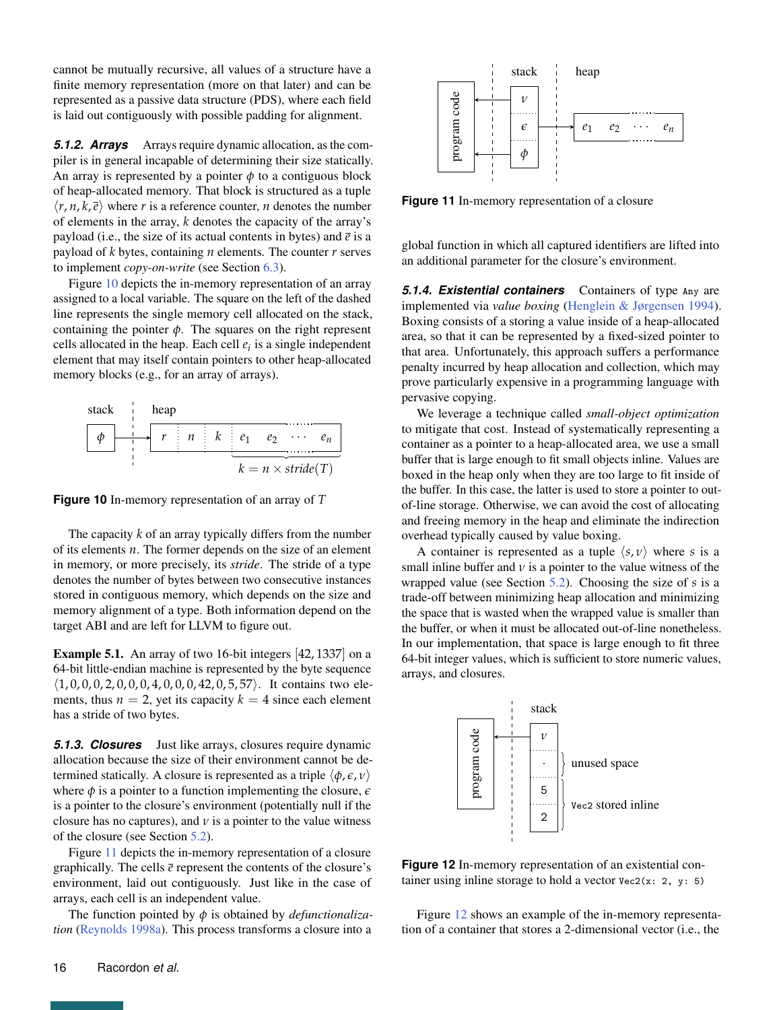cannot be mutually recursive, all values of a structure have a finite memory representation (more on that later) and can be represented as a passive data structure (PDS), where each field is laid out contiguously with possible padding for alignment.

**5.1.2. Arrays** Arrays require dynamic allocation, as the compiler is in general incapable of determining their size statically. An array is represented by a pointer  $\phi$  to a contiguous block of heap-allocated memory. That block is structured as a tuple  $\langle r, n, k, \overline{e} \rangle$  where *r* is a reference counter, *n* denotes the number of elements in the array, *k* denotes the capacity of the array's payload (i.e., the size of its actual contents in bytes) and  $\bar{e}$  is a payload of *k* bytes, containing *n* elements. The counter *r* serves to implement *copy-on-write* (see Section [6.3\)](#page-18-0).

Figure [10](#page-15-0) depicts the in-memory representation of an array assigned to a local variable. The square on the left of the dashed line represents the single memory cell allocated on the stack, containing the pointer  $\phi$ . The squares on the right represent cells allocated in the heap. Each cell *e<sup>i</sup>* is a single independent element that may itself contain pointers to other heap-allocated memory blocks (e.g., for an array of arrays).

<span id="page-15-0"></span>

**Figure 10** In-memory representation of an array of *T*

The capacity *k* of an array typically differs from the number of its elements *n*. The former depends on the size of an element in memory, or more precisely, its *stride*. The stride of a type denotes the number of bytes between two consecutive instances stored in contiguous memory, which depends on the size and memory alignment of a type. Both information depend on the target ABI and are left for LLVM to figure out.

Example 5.1. An array of two 16-bit integers [42, 1337] on a 64-bit little-endian machine is represented by the byte sequence  $(1, 0, 0, 0, 2, 0, 0, 0, 4, 0, 0, 0, 42, 0, 5, 57)$ . It contains two elements, thus  $n = 2$ , yet its capacity  $k = 4$  since each element has a stride of two bytes.

*5.1.3. Closures* Just like arrays, closures require dynamic allocation because the size of their environment cannot be determined statically. A closure is represented as a triple  $\langle \phi, \epsilon, \nu \rangle$ where  $\phi$  is a pointer to a function implementing the closure,  $\epsilon$ is a pointer to the closure's environment (potentially null if the closure has no captures), and  $\nu$  is a pointer to the value witness of the closure (see Section [5.2\)](#page-16-0).

Figure [11](#page-15-1) depicts the in-memory representation of a closure graphically. The cells  $\bar{e}$  represent the contents of the closure's environment, laid out contiguously. Just like in the case of arrays, each cell is an independent value.

The function pointed by *φ* is obtained by *defunctionalization* [\(Reynolds](#page-24-15) [1998a\)](#page-24-15). This process transforms a closure into a

<span id="page-15-1"></span>

**Figure 11** In-memory representation of a closure

global function in which all captured identifiers are lifted into an additional parameter for the closure's environment.

*5.1.4. Existential containers* Containers of type Any are implemented via *value boxing* [\(Henglein & Jørgensen](#page-23-14) [1994\)](#page-23-14). Boxing consists of a storing a value inside of a heap-allocated area, so that it can be represented by a fixed-sized pointer to that area. Unfortunately, this approach suffers a performance penalty incurred by heap allocation and collection, which may prove particularly expensive in a programming language with pervasive copying.

We leverage a technique called *small-object optimization* to mitigate that cost. Instead of systematically representing a container as a pointer to a heap-allocated area, we use a small buffer that is large enough to fit small objects inline. Values are boxed in the heap only when they are too large to fit inside of the buffer. In this case, the latter is used to store a pointer to outof-line storage. Otherwise, we can avoid the cost of allocating and freeing memory in the heap and eliminate the indirection overhead typically caused by value boxing.

A container is represented as a tuple  $\langle s, v \rangle$  where *s* is a small inline buffer and  $\nu$  is a pointer to the value witness of the wrapped value (see Section [5.2\)](#page-16-0). Choosing the size of *s* is a trade-off between minimizing heap allocation and minimizing the space that is wasted when the wrapped value is smaller than the buffer, or when it must be allocated out-of-line nonetheless. In our implementation, that space is large enough to fit three 64-bit integer values, which is sufficient to store numeric values, arrays, and closures.

<span id="page-15-2"></span>

**Figure 12** In-memory representation of an existential container using inline storage to hold a vector  $Vec2(x: 2, y: 5)$ 

Figure [12](#page-15-2) shows an example of the in-memory representation of a container that stores a 2-dimensional vector (i.e., the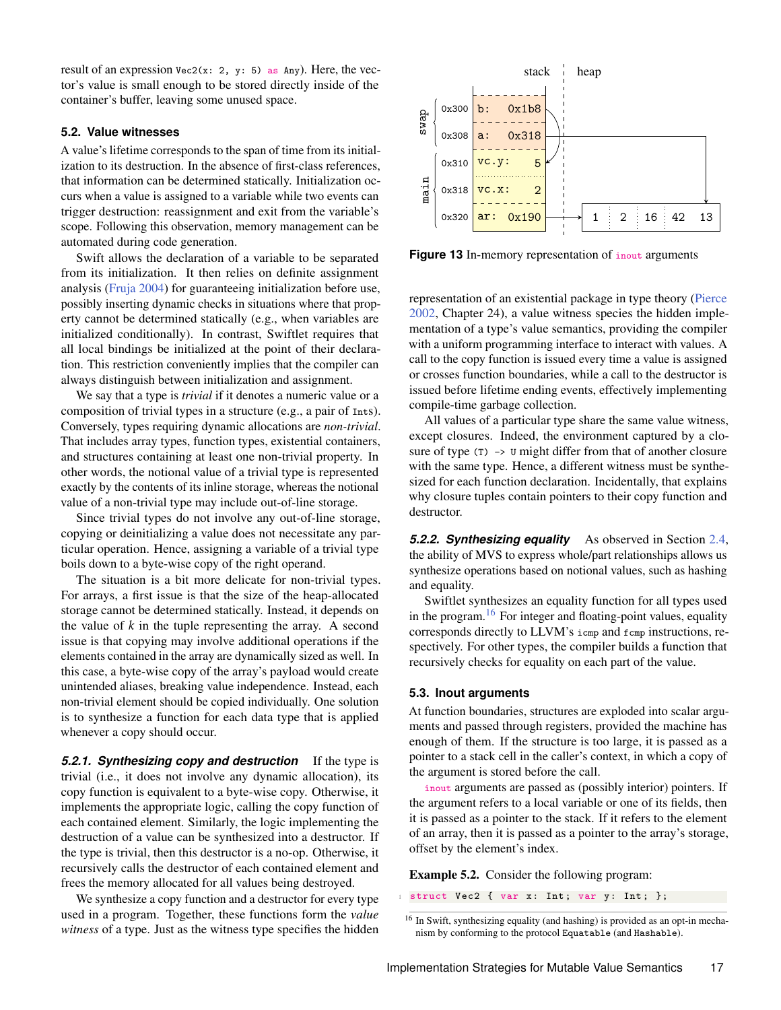result of an expression  $Vec2(x: 2, y: 5)$  as Any). Here, the vector's value is small enough to be stored directly inside of the container's buffer, leaving some unused space.

#### <span id="page-16-0"></span>**5.2. Value witnesses**

A value's lifetime corresponds to the span of time from its initialization to its destruction. In the absence of first-class references, that information can be determined statically. Initialization occurs when a value is assigned to a variable while two events can trigger destruction: reassignment and exit from the variable's scope. Following this observation, memory management can be automated during code generation.

Swift allows the declaration of a variable to be separated from its initialization. It then relies on definite assignment analysis [\(Fruja](#page-23-15) [2004\)](#page-23-15) for guaranteeing initialization before use, possibly inserting dynamic checks in situations where that property cannot be determined statically (e.g., when variables are initialized conditionally). In contrast, Swiftlet requires that all local bindings be initialized at the point of their declaration. This restriction conveniently implies that the compiler can always distinguish between initialization and assignment.

We say that a type is *trivial* if it denotes a numeric value or a composition of trivial types in a structure (e.g., a pair of Ints). Conversely, types requiring dynamic allocations are *non-trivial*. That includes array types, function types, existential containers, and structures containing at least one non-trivial property. In other words, the notional value of a trivial type is represented exactly by the contents of its inline storage, whereas the notional value of a non-trivial type may include out-of-line storage.

Since trivial types do not involve any out-of-line storage, copying or deinitializing a value does not necessitate any particular operation. Hence, assigning a variable of a trivial type boils down to a byte-wise copy of the right operand.

The situation is a bit more delicate for non-trivial types. For arrays, a first issue is that the size of the heap-allocated storage cannot be determined statically. Instead, it depends on the value of *k* in the tuple representing the array. A second issue is that copying may involve additional operations if the elements contained in the array are dynamically sized as well. In this case, a byte-wise copy of the array's payload would create unintended aliases, breaking value independence. Instead, each non-trivial element should be copied individually. One solution is to synthesize a function for each data type that is applied whenever a copy should occur.

*5.2.1. Synthesizing copy and destruction* If the type is trivial (i.e., it does not involve any dynamic allocation), its copy function is equivalent to a byte-wise copy. Otherwise, it implements the appropriate logic, calling the copy function of each contained element. Similarly, the logic implementing the destruction of a value can be synthesized into a destructor. If the type is trivial, then this destructor is a no-op. Otherwise, it recursively calls the destructor of each contained element and frees the memory allocated for all values being destroyed.

We synthesize a copy function and a destructor for every type used in a program. Together, these functions form the *value witness* of a type. Just as the witness type specifies the hidden

<span id="page-16-1"></span>

**Figure 13** In-memory representation of *inout* arguments

representation of an existential package in type theory [\(Pierce](#page-24-14) [2002,](#page-24-14) Chapter 24), a value witness species the hidden implementation of a type's value semantics, providing the compiler with a uniform programming interface to interact with values. A call to the copy function is issued every time a value is assigned or crosses function boundaries, while a call to the destructor is issued before lifetime ending events, effectively implementing compile-time garbage collection.

All values of a particular type share the same value witness, except closures. Indeed, the environment captured by a closure of type (T)  $\rightarrow$  ∪ might differ from that of another closure with the same type. Hence, a different witness must be synthesized for each function declaration. Incidentally, that explains why closure tuples contain pointers to their copy function and destructor.

*5.2.2. Synthesizing equality* As observed in Section [2.4,](#page-3-0) the ability of MVS to express whole/part relationships allows us synthesize operations based on notional values, such as hashing and equality.

Swiftlet synthesizes an equality function for all types used in the program.<sup>[16](#page-0-0)</sup> For integer and floating-point values, equality corresponds directly to LLVM's icmp and fcmp instructions, respectively. For other types, the compiler builds a function that recursively checks for equality on each part of the value.

#### **5.3. Inout arguments**

At function boundaries, structures are exploded into scalar arguments and passed through registers, provided the machine has enough of them. If the structure is too large, it is passed as a pointer to a stack cell in the caller's context, in which a copy of the argument is stored before the call.

inout arguments are passed as (possibly interior) pointers. If the argument refers to a local variable or one of its fields, then it is passed as a pointer to the stack. If it refers to the element of an array, then it is passed as a pointer to the array's storage, offset by the element's index.

Example 5.2. Consider the following program:

struct Vec2 { var x: Int; var y: Int; };

<sup>16</sup> In Swift, synthesizing equality (and hashing) is provided as an opt-in mechanism by conforming to the protocol Equatable (and Hashable).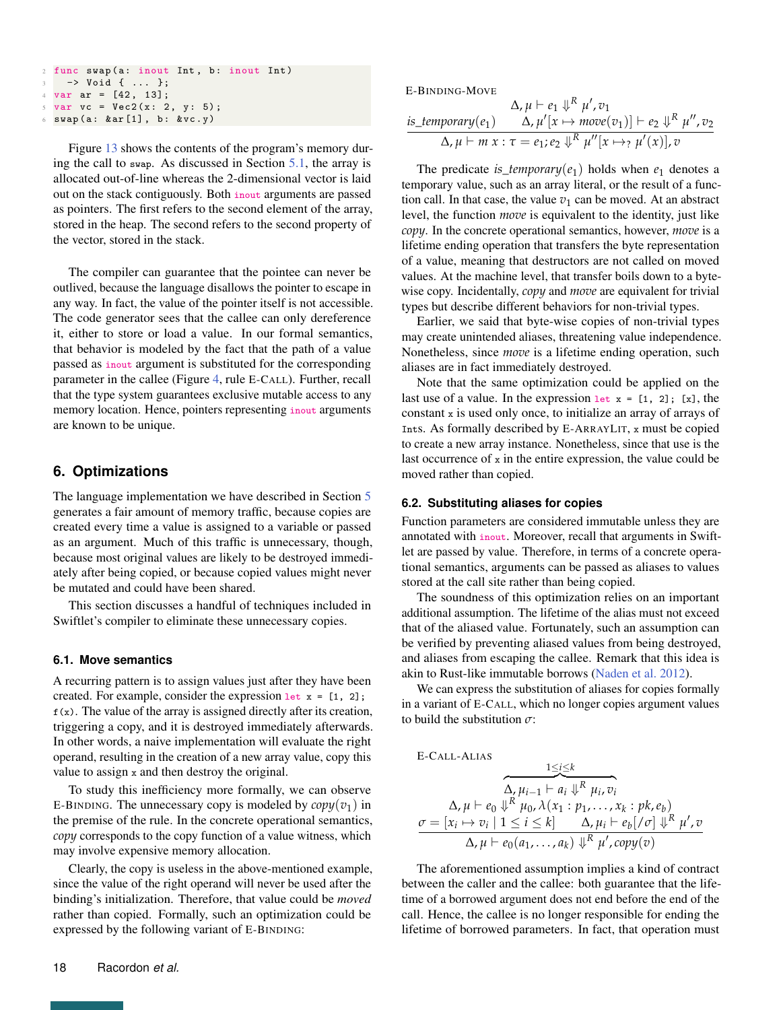```
2 func swap (a: inout Int, b: inout Int)
  3 −> Void { ... };
4 \text{ var } ar = [42, 13];var \space vc = Vec2(x: 2, y: 5);swap (a: & ar [1], b: & vc.y)
```
Figure [13](#page-16-1) shows the contents of the program's memory during the call to swap. As discussed in Section [5.1,](#page-14-5) the array is allocated out-of-line whereas the 2-dimensional vector is laid out on the stack contiguously. Both inout arguments are passed as pointers. The first refers to the second element of the array, stored in the heap. The second refers to the second property of the vector, stored in the stack.

The compiler can guarantee that the pointee can never be outlived, because the language disallows the pointer to escape in any way. In fact, the value of the pointer itself is not accessible. The code generator sees that the callee can only dereference it, either to store or load a value. In our formal semantics, that behavior is modeled by the fact that the path of a value passed as inout argument is substituted for the corresponding parameter in the callee (Figure [4,](#page-8-0) rule E-CALL). Further, recall that the type system guarantees exclusive mutable access to any memory location. Hence, pointers representing inout arguments are known to be unique.

# <span id="page-17-0"></span>**6. Optimizations**

The language implementation we have described in Section [5](#page-14-0) generates a fair amount of memory traffic, because copies are created every time a value is assigned to a variable or passed as an argument. Much of this traffic is unnecessary, though, because most original values are likely to be destroyed immediately after being copied, or because copied values might never be mutated and could have been shared.

This section discusses a handful of techniques included in Swiftlet's compiler to eliminate these unnecessary copies.

#### **6.1. Move semantics**

A recurring pattern is to assign values just after they have been created. For example, consider the expression  $let x = [1, 2];$  $f(x)$ . The value of the array is assigned directly after its creation, triggering a copy, and it is destroyed immediately afterwards. In other words, a naive implementation will evaluate the right operand, resulting in the creation of a new array value, copy this value to assign x and then destroy the original.

To study this inefficiency more formally, we can observe E-BINDING. The unnecessary copy is modeled by  $\text{copy}(v_1)$  in the premise of the rule. In the concrete operational semantics, *copy* corresponds to the copy function of a value witness, which may involve expensive memory allocation.

Clearly, the copy is useless in the above-mentioned example, since the value of the right operand will never be used after the binding's initialization. Therefore, that value could be *moved* rather than copied. Formally, such an optimization could be expressed by the following variant of E-BINDING:

E-BINDING-Move  
\n
$$
\Delta, \mu \vdash e_1 \Downarrow^R \mu', v_1
$$
\nis\_temporary(e\_1) 
$$
\Delta, \mu' \mid x \mapsto move(v_1) \mid \vdash e_2 \Downarrow^R \mu'', v_2
$$
\n
$$
\Delta, \mu \vdash m \ x : \tau = e_1, e_2 \Downarrow^R \mu'' \mid x \mapsto \mu'(x) \mid, v
$$

The predicate *is\_temporary*( $e_1$ ) holds when  $e_1$  denotes a temporary value, such as an array literal, or the result of a function call. In that case, the value  $v_1$  can be moved. At an abstract level, the function *move* is equivalent to the identity, just like *copy*. In the concrete operational semantics, however, *move* is a lifetime ending operation that transfers the byte representation of a value, meaning that destructors are not called on moved values. At the machine level, that transfer boils down to a bytewise copy. Incidentally, *copy* and *move* are equivalent for trivial types but describe different behaviors for non-trivial types.

Earlier, we said that byte-wise copies of non-trivial types may create unintended aliases, threatening value independence. Nonetheless, since *move* is a lifetime ending operation, such aliases are in fact immediately destroyed.

Note that the same optimization could be applied on the last use of a value. In the expression  $let x = [1, 2]$ ;  $[x]$ , the constant x is used only once, to initialize an array of arrays of Ints. As formally described by E-ARRAYLIT, x must be copied to create a new array instance. Nonetheless, since that use is the last occurrence of x in the entire expression, the value could be moved rather than copied.

#### <span id="page-17-1"></span>**6.2. Substituting aliases for copies**

Function parameters are considered immutable unless they are annotated with inout. Moreover, recall that arguments in Swiftlet are passed by value. Therefore, in terms of a concrete operational semantics, arguments can be passed as aliases to values stored at the call site rather than being copied.

The soundness of this optimization relies on an important additional assumption. The lifetime of the alias must not exceed that of the aliased value. Fortunately, such an assumption can be verified by preventing aliased values from being destroyed, and aliases from escaping the callee. Remark that this idea is akin to Rust-like immutable borrows [\(Naden et al.](#page-23-9) [2012\)](#page-23-9).

We can express the substitution of aliases for copies formally in a variant of E-CALL, which no longer copies argument values to build the substitution *σ*:

E-CALL-ALIAS  
\n
$$
\frac{1 \le i \le k}{\Delta, \mu_{i-1} \vdash a_i \Downarrow^R \mu_i, v_i}
$$
\n
$$
\Delta, \mu \vdash e_0 \Downarrow^R \mu_0, \lambda(x_1 : p_1, \ldots, x_k : pk, e_b)
$$
\n
$$
\sigma = [x_i \mapsto v_i \mid 1 \le i \le k] \Delta, \mu_i \vdash e_b [\sigma] \Downarrow^R \mu', v
$$
\n
$$
\Delta, \mu \vdash e_0(a_1, \ldots, a_k) \Downarrow^R \mu', copy(v)
$$

The aforementioned assumption implies a kind of contract between the caller and the callee: both guarantee that the lifetime of a borrowed argument does not end before the end of the call. Hence, the callee is no longer responsible for ending the lifetime of borrowed parameters. In fact, that operation must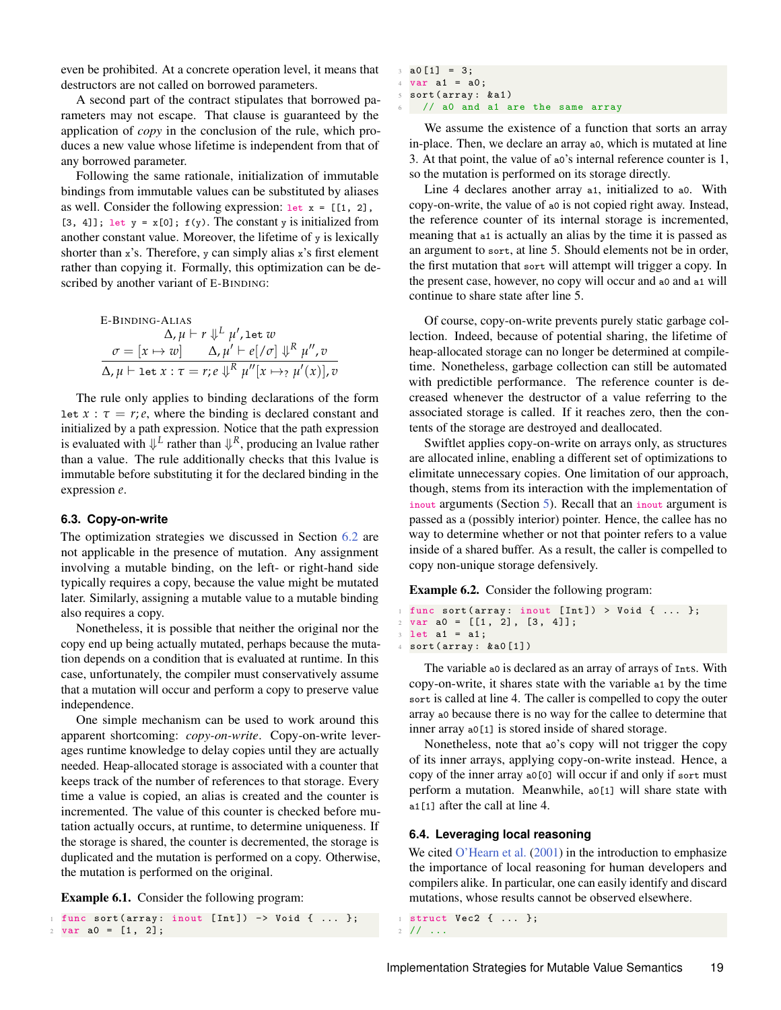even be prohibited. At a concrete operation level, it means that destructors are not called on borrowed parameters.

A second part of the contract stipulates that borrowed parameters may not escape. That clause is guaranteed by the application of *copy* in the conclusion of the rule, which produces a new value whose lifetime is independent from that of any borrowed parameter.

Following the same rationale, initialization of immutable bindings from immutable values can be substituted by aliases as well. Consider the following expression:  $let x = [[1, 2], ...)$ [3, 4]]; let  $y = x[0]$ ;  $f(y)$ . The constant y is initialized from another constant value. Moreover, the lifetime of y is lexically shorter than  $x$ 's. Therefore, y can simply alias  $x$ 's first element rather than copying it. Formally, this optimization can be described by another variant of E-BINDING:

E-BINDING-ALIAS  
\n
$$
\Delta, \mu \vdash r \Downarrow^{L} \mu', \text{let } w
$$
\n
$$
\sigma = [x \mapsto w] \qquad \Delta, \mu' \vdash e[\sqrt{\sigma}] \Downarrow^{R} \mu'', v
$$
\n
$$
\Delta, \mu \vdash \text{let } x : \tau = r, e \Downarrow^{R} \mu''[x \mapsto_{?} \mu'(x)], v
$$

The rule only applies to binding declarations of the form let  $x : \tau = r$ ;*e*, where the binding is declared constant and initialized by a path expression. Notice that the path expression is evaluated with  $\Downarrow^L$  rather than  $\Downarrow^R$ , producing an lvalue rather than a value. The rule additionally checks that this lvalue is immutable before substituting it for the declared binding in the expression *e*.

#### <span id="page-18-0"></span>**6.3. Copy-on-write**

The optimization strategies we discussed in Section [6.2](#page-17-1) are not applicable in the presence of mutation. Any assignment involving a mutable binding, on the left- or right-hand side typically requires a copy, because the value might be mutated later. Similarly, assigning a mutable value to a mutable binding also requires a copy.

Nonetheless, it is possible that neither the original nor the copy end up being actually mutated, perhaps because the mutation depends on a condition that is evaluated at runtime. In this case, unfortunately, the compiler must conservatively assume that a mutation will occur and perform a copy to preserve value independence.

One simple mechanism can be used to work around this apparent shortcoming: *copy-on-write*. Copy-on-write leverages runtime knowledge to delay copies until they are actually needed. Heap-allocated storage is associated with a counter that keeps track of the number of references to that storage. Every time a value is copied, an alias is created and the counter is incremented. The value of this counter is checked before mutation actually occurs, at runtime, to determine uniqueness. If the storage is shared, the counter is decremented, the storage is duplicated and the mutation is performed on a copy. Otherwise, the mutation is performed on the original.

Example 6.1. Consider the following program:

func sort ( array : inout [Int]) -> Void { ... };  $2 \text{ var } a0 = [1, 2];$ 

```
3 \text{ a}0 [1] = 3;4 \text{ var } at = a0;sort (array: & a1)
    // a0 and a1 are the same array
```
We assume the existence of a function that sorts an array in-place. Then, we declare an array a0, which is mutated at line 3. At that point, the value of a0's internal reference counter is 1, so the mutation is performed on its storage directly.

Line 4 declares another array a1, initialized to a0. With copy-on-write, the value of a0 is not copied right away. Instead, the reference counter of its internal storage is incremented, meaning that a1 is actually an alias by the time it is passed as an argument to sort, at line 5. Should elements not be in order, the first mutation that sort will attempt will trigger a copy. In the present case, however, no copy will occur and a0 and a1 will continue to share state after line 5.

Of course, copy-on-write prevents purely static garbage collection. Indeed, because of potential sharing, the lifetime of heap-allocated storage can no longer be determined at compiletime. Nonetheless, garbage collection can still be automated with predictible performance. The reference counter is decreased whenever the destructor of a value referring to the associated storage is called. If it reaches zero, then the contents of the storage are destroyed and deallocated.

Swiftlet applies copy-on-write on arrays only, as structures are allocated inline, enabling a different set of optimizations to elimitate unnecessary copies. One limitation of our approach, though, stems from its interaction with the implementation of inout arguments (Section [5\)](#page-14-0). Recall that an inout argument is passed as a (possibly interior) pointer. Hence, the callee has no way to determine whether or not that pointer refers to a value inside of a shared buffer. As a result, the caller is compelled to copy non-unique storage defensively.

Example 6.2. Consider the following program:

```
1 func sort (array: inout [Int]) > Void { ... };
2 \text{ var } a0 = [[1, 2], [3, 4]];3 let a1 = a1;
4 sort ( array : & a0 [1])
```
The variable a0 is declared as an array of arrays of Ints. With copy-on-write, it shares state with the variable a1 by the time sort is called at line 4. The caller is compelled to copy the outer array a0 because there is no way for the callee to determine that inner array a0[1] is stored inside of shared storage.

Nonetheless, note that a0's copy will not trigger the copy of its inner arrays, applying copy-on-write instead. Hence, a copy of the inner array a0[0] will occur if and only if sort must perform a mutation. Meanwhile, a0[1] will share state with a<sub>1[1]</sub> after the call at line 4.

#### **6.4. Leveraging local reasoning**

We cited [O'Hearn et al.](#page-23-0) [\(2001\)](#page-23-0) in the introduction to emphasize the importance of local reasoning for human developers and compilers alike. In particular, one can easily identify and discard mutations, whose results cannot be observed elsewhere.

```
struct Vec2 { ... };
2 / / / \ldots
```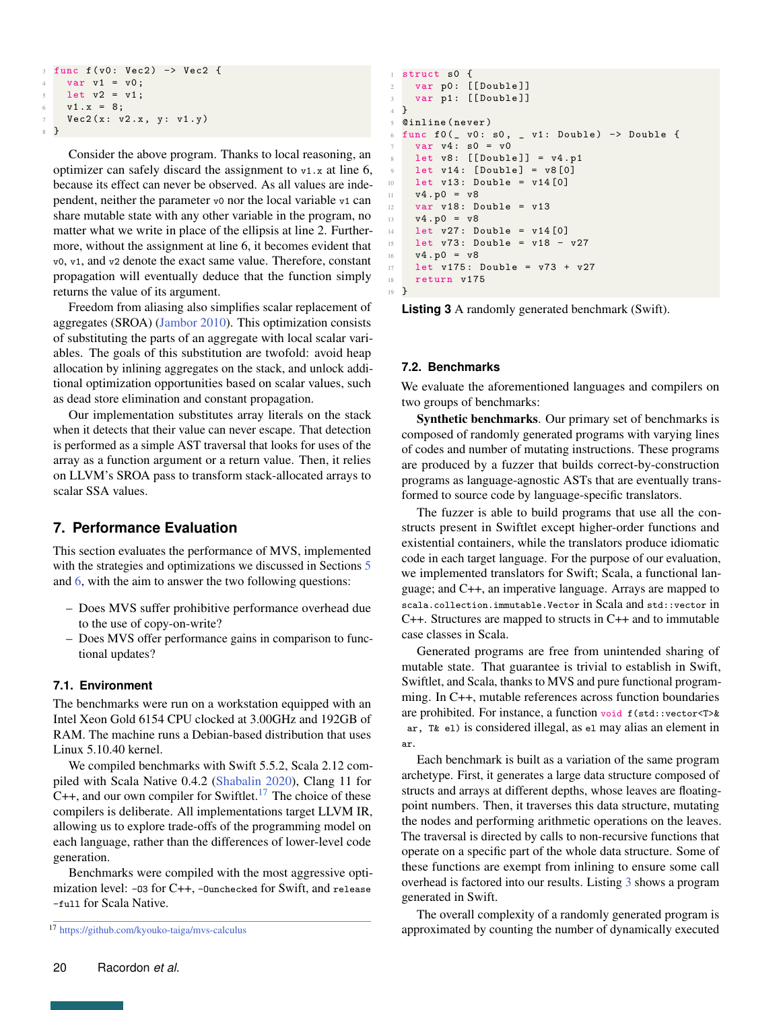```
func f(v0: Vec2) -> Vec2 {
   var v1 = v0;5 let v2 = v1;
   v1 x = 8;7 Vec2(x: v2.x, y: v1.y)
8 }
```
Consider the above program. Thanks to local reasoning, an optimizer can safely discard the assignment to  $v_1$ . x at line 6, because its effect can never be observed. As all values are independent, neither the parameter v0 nor the local variable v1 can share mutable state with any other variable in the program, no matter what we write in place of the ellipsis at line 2. Furthermore, without the assignment at line 6, it becomes evident that v0, v1, and v2 denote the exact same value. Therefore, constant propagation will eventually deduce that the function simply returns the value of its argument.

Freedom from aliasing also simplifies scalar replacement of aggregates (SROA) [\(Jambor](#page-23-16) [2010\)](#page-23-16). This optimization consists of substituting the parts of an aggregate with local scalar variables. The goals of this substitution are twofold: avoid heap allocation by inlining aggregates on the stack, and unlock additional optimization opportunities based on scalar values, such as dead store elimination and constant propagation.

Our implementation substitutes array literals on the stack when it detects that their value can never escape. That detection is performed as a simple AST traversal that looks for uses of the array as a function argument or a return value. Then, it relies on LLVM's SROA pass to transform stack-allocated arrays to scalar SSA values.

# <span id="page-19-0"></span>**7. Performance Evaluation**

This section evaluates the performance of MVS, implemented with the strategies and optimizations we discussed in Sections [5](#page-14-0) and [6,](#page-17-0) with the aim to answer the two following questions:

- Does MVS suffer prohibitive performance overhead due to the use of copy-on-write?
- Does MVS offer performance gains in comparison to functional updates?

# **7.1. Environment**

The benchmarks were run on a workstation equipped with an Intel Xeon Gold 6154 CPU clocked at 3.00GHz and 192GB of RAM. The machine runs a Debian-based distribution that uses Linux 5.10.40 kernel.

We compiled benchmarks with Swift 5.5.2, Scala 2.12 compiled with Scala Native 0.4.2 [\(Shabalin](#page-24-16) [2020\)](#page-24-16), Clang 11 for  $C++$ , and our own compiler for Swiftlet.<sup>[17](#page-0-0)</sup> The choice of these compilers is deliberate. All implementations target LLVM IR, allowing us to explore trade-offs of the programming model on each language, rather than the differences of lower-level code generation.

Benchmarks were compiled with the most aggressive optimization level: −O3 for C++, −Ounchecked for Swift, and release −full for Scala Native.

```
1 struct s0 {
2 var p0: [[Double]]
3 var p1: [[Double]]
4 \frac{1}{2}5 @inline ( never )
6 func f0 (_ v0 : s0 , _ v1 : Double ) −> Double {
    var v4: s0 = v0let v8: [[Double]] = v4.p1let v14: [Double] = v8 [0]10 let v13: Double = v14 [0]v4. p0 = v812 var v18: Double = v13
13 v4 . p0 = v8
14 let v27 : Double = v14 [0]
15 let v73: Double = v18 - v27
v4. p0 = v817 let v175: Double = v73 + v27
18 return v175
```
<sup>19</sup> }

**Listing 3** A randomly generated benchmark (Swift).

#### **7.2. Benchmarks**

We evaluate the aforementioned languages and compilers on two groups of benchmarks:

Synthetic benchmarks. Our primary set of benchmarks is composed of randomly generated programs with varying lines of codes and number of mutating instructions. These programs are produced by a fuzzer that builds correct-by-construction programs as language-agnostic ASTs that are eventually transformed to source code by language-specific translators.

The fuzzer is able to build programs that use all the constructs present in Swiftlet except higher-order functions and existential containers, while the translators produce idiomatic code in each target language. For the purpose of our evaluation, we implemented translators for Swift; Scala, a functional language; and C++, an imperative language. Arrays are mapped to scala.collection.immutable.Vector in Scala and std::vector in C++. Structures are mapped to structs in C++ and to immutable case classes in Scala.

Generated programs are free from unintended sharing of mutable state. That guarantee is trivial to establish in Swift, Swiftlet, and Scala, thanks to MVS and pure functional programming. In C++, mutable references across function boundaries are prohibited. For instance, a function void f(std::vector<T>& ar, T& el) is considered illegal, as el may alias an element in ar.

Each benchmark is built as a variation of the same program archetype. First, it generates a large data structure composed of structs and arrays at different depths, whose leaves are floatingpoint numbers. Then, it traverses this data structure, mutating the nodes and performing arithmetic operations on the leaves. The traversal is directed by calls to non-recursive functions that operate on a specific part of the whole data structure. Some of these functions are exempt from inlining to ensure some call overhead is factored into our results. Listing [3](#page-19-1) shows a program generated in Swift.

The overall complexity of a randomly generated program is approximated by counting the number of dynamically executed

<sup>17</sup> <https://github.com/kyouko-taiga/mvs-calculus>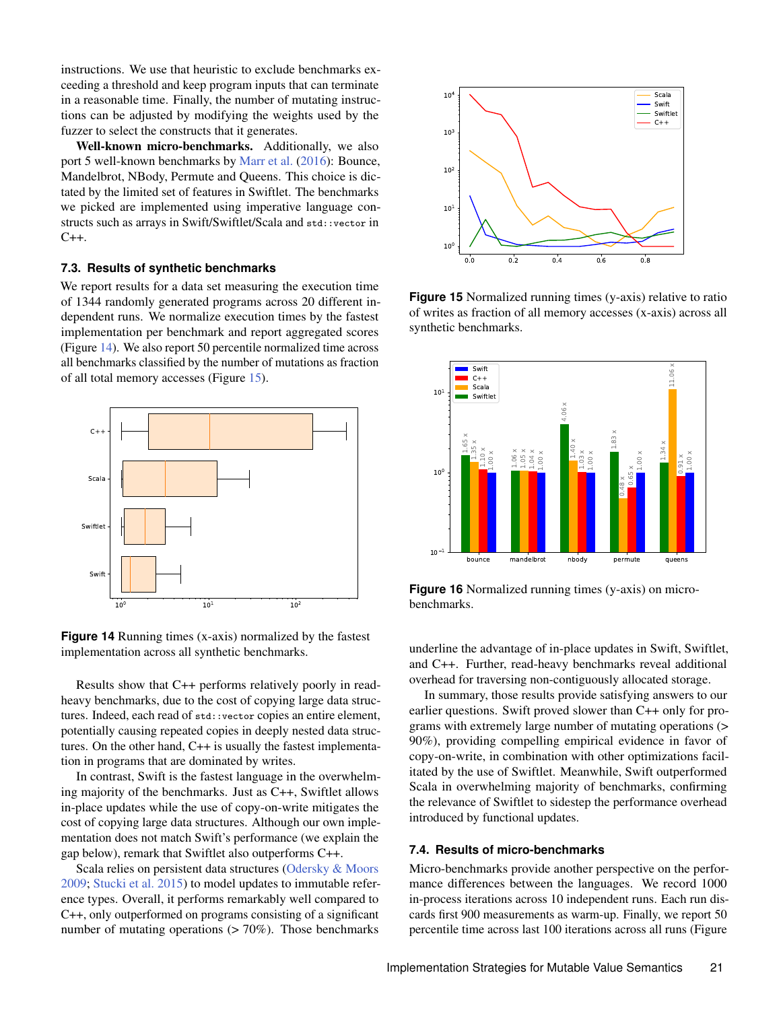instructions. We use that heuristic to exclude benchmarks exceeding a threshold and keep program inputs that can terminate in a reasonable time. Finally, the number of mutating instructions can be adjusted by modifying the weights used by the fuzzer to select the constructs that it generates.

Well-known micro-benchmarks. Additionally, we also port 5 well-known benchmarks by [Marr et al.](#page-23-17) [\(2016\)](#page-23-17): Bounce, Mandelbrot, NBody, Permute and Queens. This choice is dictated by the limited set of features in Swiftlet. The benchmarks we picked are implemented using imperative language constructs such as arrays in Swift/Swiftlet/Scala and std::vector in C++.

#### **7.3. Results of synthetic benchmarks**

We report results for a data set measuring the execution time of 1344 randomly generated programs across 20 different independent runs. We normalize execution times by the fastest implementation per benchmark and report aggregated scores (Figure [14\)](#page-20-0). We also report 50 percentile normalized time across all benchmarks classified by the number of mutations as fraction of all total memory accesses (Figure [15\)](#page-20-1).

<span id="page-20-0"></span>

**Figure 14** Running times (x-axis) normalized by the fastest implementation across all synthetic benchmarks.

Results show that C++ performs relatively poorly in readheavy benchmarks, due to the cost of copying large data structures. Indeed, each read of std::vector copies an entire element, potentially causing repeated copies in deeply nested data structures. On the other hand, C++ is usually the fastest implementation in programs that are dominated by writes.

In contrast, Swift is the fastest language in the overwhelming majority of the benchmarks. Just as C++, Swiftlet allows in-place updates while the use of copy-on-write mitigates the cost of copying large data structures. Although our own implementation does not match Swift's performance (we explain the gap below), remark that Swiftlet also outperforms C++.

Scala relies on persistent data structures [\(Odersky & Moors](#page-23-7) [2009;](#page-23-7) [Stucki et al.](#page-24-17) [2015\)](#page-24-17) to model updates to immutable reference types. Overall, it performs remarkably well compared to C++, only outperformed on programs consisting of a significant number of mutating operations  $(> 70\%)$ . Those benchmarks

<span id="page-20-1"></span>

**Figure 15** Normalized running times (y-axis) relative to ratio of writes as fraction of all memory accesses (x-axis) across all synthetic benchmarks.

<span id="page-20-2"></span>

**Figure 16** Normalized running times (y-axis) on microbenchmarks.

underline the advantage of in-place updates in Swift, Swiftlet, and C++. Further, read-heavy benchmarks reveal additional overhead for traversing non-contiguously allocated storage.

In summary, those results provide satisfying answers to our earlier questions. Swift proved slower than C++ only for programs with extremely large number of mutating operations (> 90%), providing compelling empirical evidence in favor of copy-on-write, in combination with other optimizations facilitated by the use of Swiftlet. Meanwhile, Swift outperformed Scala in overwhelming majority of benchmarks, confirming the relevance of Swiftlet to sidestep the performance overhead introduced by functional updates.

## **7.4. Results of micro-benchmarks**

Micro-benchmarks provide another perspective on the performance differences between the languages. We record 1000 in-process iterations across 10 independent runs. Each run discards first 900 measurements as warm-up. Finally, we report 50 percentile time across last 100 iterations across all runs (Figure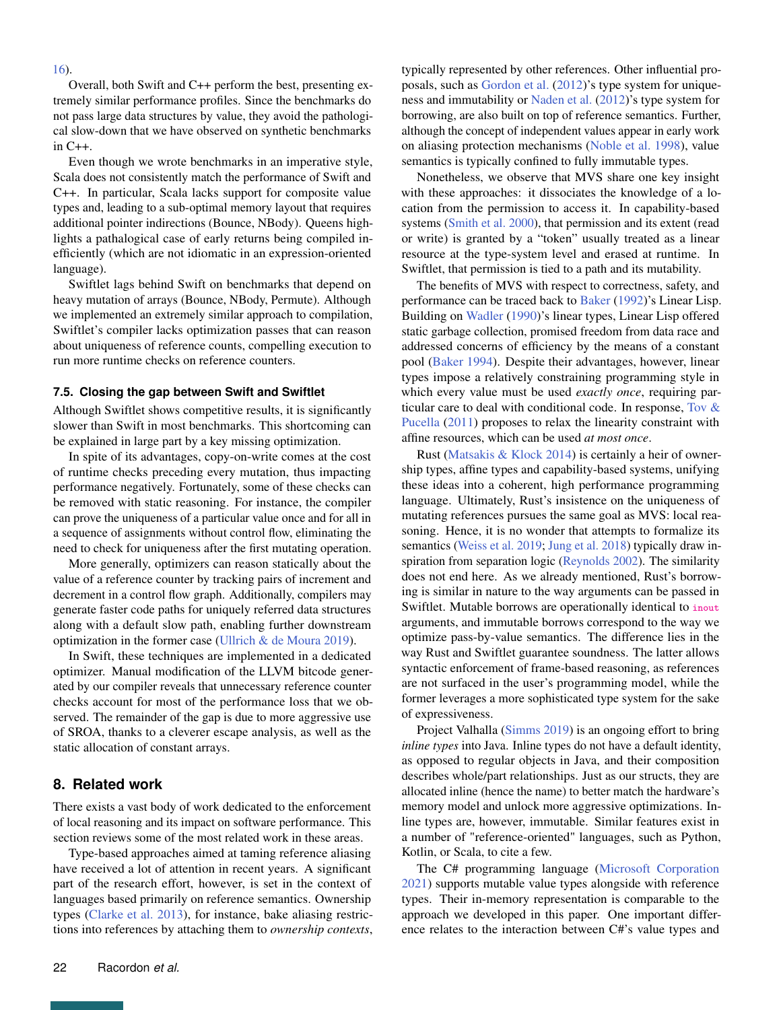#### [16\)](#page-20-2).

Overall, both Swift and C++ perform the best, presenting extremely similar performance profiles. Since the benchmarks do not pass large data structures by value, they avoid the pathological slow-down that we have observed on synthetic benchmarks in C++.

Even though we wrote benchmarks in an imperative style, Scala does not consistently match the performance of Swift and C++. In particular, Scala lacks support for composite value types and, leading to a sub-optimal memory layout that requires additional pointer indirections (Bounce, NBody). Queens highlights a pathalogical case of early returns being compiled inefficiently (which are not idiomatic in an expression-oriented language).

Swiftlet lags behind Swift on benchmarks that depend on heavy mutation of arrays (Bounce, NBody, Permute). Although we implemented an extremely similar approach to compilation, Swiftlet's compiler lacks optimization passes that can reason about uniqueness of reference counts, compelling execution to run more runtime checks on reference counters.

#### **7.5. Closing the gap between Swift and Swiftlet**

Although Swiftlet shows competitive results, it is significantly slower than Swift in most benchmarks. This shortcoming can be explained in large part by a key missing optimization.

In spite of its advantages, copy-on-write comes at the cost of runtime checks preceding every mutation, thus impacting performance negatively. Fortunately, some of these checks can be removed with static reasoning. For instance, the compiler can prove the uniqueness of a particular value once and for all in a sequence of assignments without control flow, eliminating the need to check for uniqueness after the first mutating operation.

More generally, optimizers can reason statically about the value of a reference counter by tracking pairs of increment and decrement in a control flow graph. Additionally, compilers may generate faster code paths for uniquely referred data structures along with a default slow path, enabling further downstream optimization in the former case [\(Ullrich & de Moura](#page-24-18) [2019\)](#page-24-18).

In Swift, these techniques are implemented in a dedicated optimizer. Manual modification of the LLVM bitcode generated by our compiler reveals that unnecessary reference counter checks account for most of the performance loss that we observed. The remainder of the gap is due to more aggressive use of SROA, thanks to a cleverer escape analysis, as well as the static allocation of constant arrays.

## **8. Related work**

There exists a vast body of work dedicated to the enforcement of local reasoning and its impact on software performance. This section reviews some of the most related work in these areas.

Type-based approaches aimed at taming reference aliasing have received a lot of attention in recent years. A significant part of the research effort, however, is set in the context of languages based primarily on reference semantics. Ownership types [\(Clarke et al.](#page-23-2) [2013\)](#page-23-2), for instance, bake aliasing restrictions into references by attaching them to *ownership contexts*, typically represented by other references. Other influential proposals, such as [Gordon et al.](#page-23-18) [\(2012\)](#page-23-18)'s type system for uniqueness and immutability or [Naden et al.](#page-23-9) [\(2012\)](#page-23-9)'s type system for borrowing, are also built on top of reference semantics. Further, although the concept of independent values appear in early work on aliasing protection mechanisms [\(Noble et al.](#page-23-6) [1998\)](#page-23-6), value semantics is typically confined to fully immutable types.

Nonetheless, we observe that MVS share one key insight with these approaches: it dissociates the knowledge of a location from the permission to access it. In capability-based systems [\(Smith et al.](#page-24-9) [2000\)](#page-24-9), that permission and its extent (read or write) is granted by a "token" usually treated as a linear resource at the type-system level and erased at runtime. In Swiftlet, that permission is tied to a path and its mutability.

The benefits of MVS with respect to correctness, safety, and performance can be traced back to [Baker](#page-22-2) [\(1992\)](#page-22-2)'s Linear Lisp. Building on [Wadler](#page-25-1) [\(1990\)](#page-25-1)'s linear types, Linear Lisp offered static garbage collection, promised freedom from data race and addressed concerns of efficiency by the means of a constant pool [\(Baker](#page-22-3) [1994\)](#page-22-3). Despite their advantages, however, linear types impose a relatively constraining programming style in which every value must be used *exactly once*, requiring particular care to deal with conditional code. In response, [Tov &](#page-24-19) [Pucella](#page-24-19) [\(2011\)](#page-24-19) proposes to relax the linearity constraint with affine resources, which can be used *at most once*.

Rust [\(Matsakis & Klock](#page-23-4) [2014\)](#page-23-4) is certainly a heir of ownership types, affine types and capability-based systems, unifying these ideas into a coherent, high performance programming language. Ultimately, Rust's insistence on the uniqueness of mutating references pursues the same goal as MVS: local reasoning. Hence, it is no wonder that attempts to formalize its semantics [\(Weiss et al.](#page-25-4) [2019;](#page-25-4) [Jung et al.](#page-23-19) [2018\)](#page-23-19) typically draw inspiration from separation logic [\(Reynolds](#page-24-20) [2002\)](#page-24-20). The similarity does not end here. As we already mentioned, Rust's borrowing is similar in nature to the way arguments can be passed in Swiftlet. Mutable borrows are operationally identical to inout arguments, and immutable borrows correspond to the way we optimize pass-by-value semantics. The difference lies in the way Rust and Swiftlet guarantee soundness. The latter allows syntactic enforcement of frame-based reasoning, as references are not surfaced in the user's programming model, while the former leverages a more sophisticated type system for the sake of expressiveness.

Project Valhalla [\(Simms](#page-24-21) [2019\)](#page-24-21) is an ongoing effort to bring *inline types* into Java. Inline types do not have a default identity, as opposed to regular objects in Java, and their composition describes whole/part relationships. Just as our structs, they are allocated inline (hence the name) to better match the hardware's memory model and unlock more aggressive optimizations. Inline types are, however, immutable. Similar features exist in a number of "reference-oriented" languages, such as Python, Kotlin, or Scala, to cite a few.

The C# programming language [\(Microsoft Corporation](#page-23-20) [2021\)](#page-23-20) supports mutable value types alongside with reference types. Their in-memory representation is comparable to the approach we developed in this paper. One important difference relates to the interaction between C#'s value types and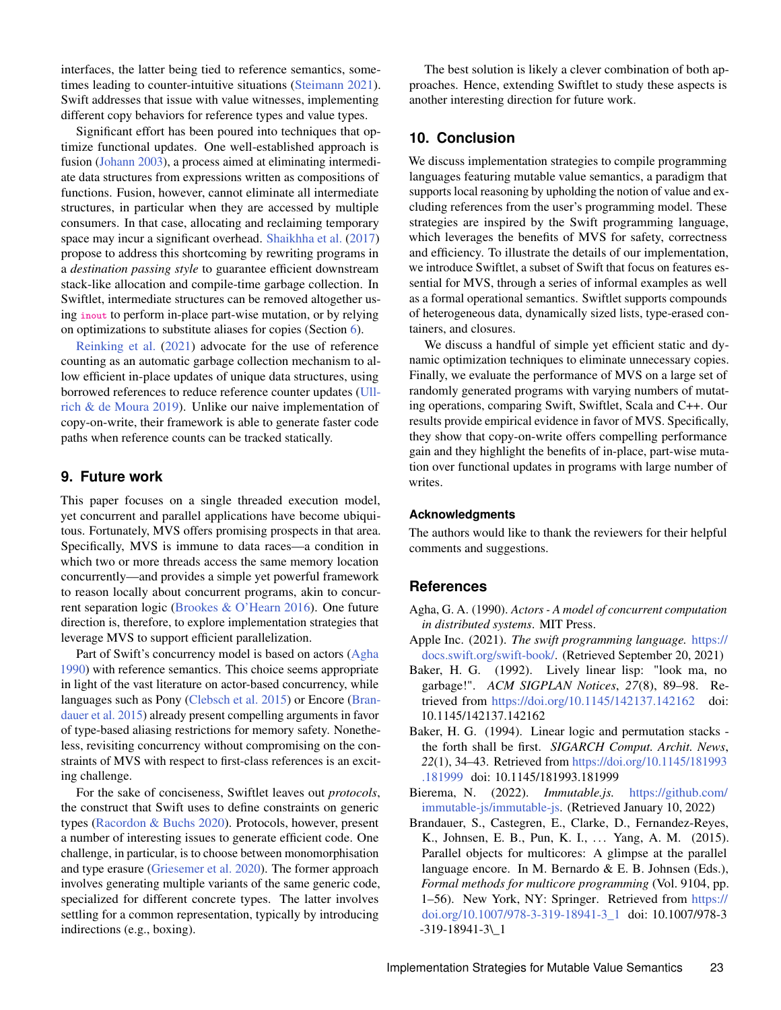interfaces, the latter being tied to reference semantics, sometimes leading to counter-intuitive situations [\(Steimann](#page-24-22) [2021\)](#page-24-22). Swift addresses that issue with value witnesses, implementing different copy behaviors for reference types and value types.

Significant effort has been poured into techniques that optimize functional updates. One well-established approach is fusion [\(Johann](#page-23-1) [2003\)](#page-23-1), a process aimed at eliminating intermediate data structures from expressions written as compositions of functions. Fusion, however, cannot eliminate all intermediate structures, in particular when they are accessed by multiple consumers. In that case, allocating and reclaiming temporary space may incur a significant overhead. [Shaikhha et al.](#page-24-8) [\(2017\)](#page-24-8) propose to address this shortcoming by rewriting programs in a *destination passing style* to guarantee efficient downstream stack-like allocation and compile-time garbage collection. In Swiftlet, intermediate structures can be removed altogether using inout to perform in-place part-wise mutation, or by relying on optimizations to substitute aliases for copies (Section [6\)](#page-17-0).

[Reinking et al.](#page-24-23) [\(2021\)](#page-24-23) advocate for the use of reference counting as an automatic garbage collection mechanism to allow efficient in-place updates of unique data structures, using borrowed references to reduce reference counter updates [\(Ull](#page-24-18)[rich & de Moura](#page-24-18) [2019\)](#page-24-18). Unlike our naive implementation of copy-on-write, their framework is able to generate faster code paths when reference counts can be tracked statically.

## **9. Future work**

This paper focuses on a single threaded execution model, yet concurrent and parallel applications have become ubiquitous. Fortunately, MVS offers promising prospects in that area. Specifically, MVS is immune to data races—a condition in which two or more threads access the same memory location concurrently—and provides a simple yet powerful framework to reason locally about concurrent programs, akin to concurrent separation logic [\(Brookes & O'Hearn](#page-23-21) [2016\)](#page-23-21). One future direction is, therefore, to explore implementation strategies that leverage MVS to support efficient parallelization.

Part of Swift's concurrency model is based on actors [\(Agha](#page-22-4) [1990\)](#page-22-4) with reference semantics. This choice seems appropriate in light of the vast literature on actor-based concurrency, while languages such as Pony [\(Clebsch et al.](#page-23-22) [2015\)](#page-23-22) or Encore [\(Bran](#page-22-5)[dauer et al.](#page-22-5) [2015\)](#page-22-5) already present compelling arguments in favor of type-based aliasing restrictions for memory safety. Nonetheless, revisiting concurrency without compromising on the constraints of MVS with respect to first-class references is an exciting challenge.

For the sake of conciseness, Swiftlet leaves out *protocols*, the construct that Swift uses to define constraints on generic types [\(Racordon & Buchs](#page-24-24) [2020\)](#page-24-24). Protocols, however, present a number of interesting issues to generate efficient code. One challenge, in particular, is to choose between monomorphisation and type erasure [\(Griesemer et al.](#page-23-23) [2020\)](#page-23-23). The former approach involves generating multiple variants of the same generic code, specialized for different concrete types. The latter involves settling for a common representation, typically by introducing indirections (e.g., boxing).

The best solution is likely a clever combination of both approaches. Hence, extending Swiftlet to study these aspects is another interesting direction for future work.

# **10. Conclusion**

We discuss implementation strategies to compile programming languages featuring mutable value semantics, a paradigm that supports local reasoning by upholding the notion of value and excluding references from the user's programming model. These strategies are inspired by the Swift programming language, which leverages the benefits of MVS for safety, correctness and efficiency. To illustrate the details of our implementation, we introduce Swiftlet, a subset of Swift that focus on features essential for MVS, through a series of informal examples as well as a formal operational semantics. Swiftlet supports compounds of heterogeneous data, dynamically sized lists, type-erased containers, and closures.

We discuss a handful of simple yet efficient static and dynamic optimization techniques to eliminate unnecessary copies. Finally, we evaluate the performance of MVS on a large set of randomly generated programs with varying numbers of mutating operations, comparing Swift, Swiftlet, Scala and C++. Our results provide empirical evidence in favor of MVS. Specifically, they show that copy-on-write offers compelling performance gain and they highlight the benefits of in-place, part-wise mutation over functional updates in programs with large number of writes.

#### **Acknowledgments**

The authors would like to thank the reviewers for their helpful comments and suggestions.

# **References**

- <span id="page-22-4"></span>Agha, G. A. (1990). *Actors - A model of concurrent computation in distributed systems*. MIT Press.
- <span id="page-22-0"></span>Apple Inc. (2021). *The swift programming language.* [https://](https://docs.swift.org/swift-book/) [docs.swift.org/swift-book/.](https://docs.swift.org/swift-book/) (Retrieved September 20, 2021)
- <span id="page-22-2"></span>Baker, H. G. (1992). Lively linear lisp: "look ma, no garbage!". *ACM SIGPLAN Notices*, *27*(8), 89–98. Retrieved from <https://doi.org/10.1145/142137.142162> doi: 10.1145/142137.142162
- <span id="page-22-3"></span>Baker, H. G. (1994). Linear logic and permutation stacks the forth shall be first. *SIGARCH Comput. Archit. News*, *22*(1), 34–43. Retrieved from [https://doi.org/10.1145/181993](https://doi.org/10.1145/181993.181999) [.181999](https://doi.org/10.1145/181993.181999) doi: 10.1145/181993.181999
- <span id="page-22-1"></span>Bierema, N. (2022). *Immutable.js.* [https://github.com/](https://github.com/immutable-js/immutable-js) [immutable-js/immutable-js.](https://github.com/immutable-js/immutable-js) (Retrieved January 10, 2022)
- <span id="page-22-5"></span>Brandauer, S., Castegren, E., Clarke, D., Fernandez-Reyes, K., Johnsen, E. B., Pun, K. I., ... Yang, A. M. (2015). Parallel objects for multicores: A glimpse at the parallel language encore. In M. Bernardo & E. B. Johnsen (Eds.), *Formal methods for multicore programming* (Vol. 9104, pp. 1–56). New York, NY: Springer. Retrieved from [https://](https://doi.org/10.1007/978-3-319-18941-3_1) [doi.org/10.1007/978-3-319-18941-3\\_1](https://doi.org/10.1007/978-3-319-18941-3_1) doi: 10.1007/978-3 -319-18941-3\\_1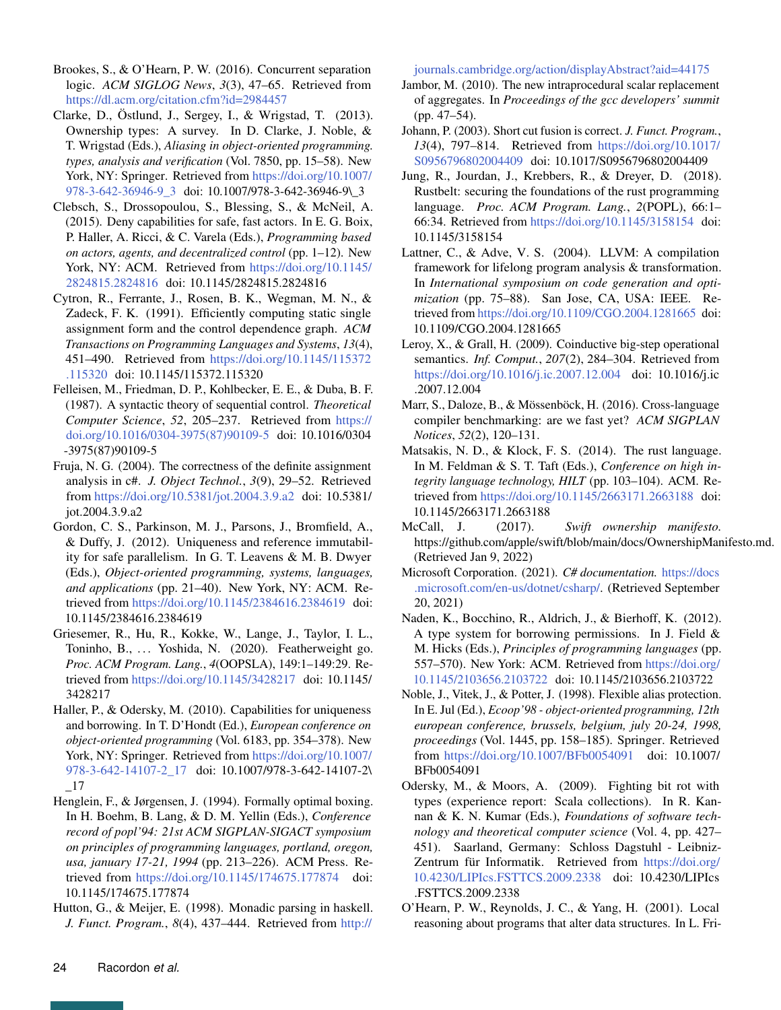- <span id="page-23-21"></span>Brookes, S., & O'Hearn, P. W. (2016). Concurrent separation logic. *ACM SIGLOG News*, *3*(3), 47–65. Retrieved from <https://dl.acm.org/citation.cfm?id=2984457>
- <span id="page-23-2"></span>Clarke, D., Östlund, J., Sergey, I., & Wrigstad, T. (2013). Ownership types: A survey. In D. Clarke, J. Noble, & T. Wrigstad (Eds.), *Aliasing in object-oriented programming. types, analysis and verification* (Vol. 7850, pp. 15–58). New York, NY: Springer. Retrieved from [https://doi.org/10.1007/](https://doi.org/10.1007/978-3-642-36946-9_3) [978-3-642-36946-9\\_3](https://doi.org/10.1007/978-3-642-36946-9_3) doi: 10.1007/978-3-642-36946-9\\_3
- <span id="page-23-22"></span>Clebsch, S., Drossopoulou, S., Blessing, S., & McNeil, A. (2015). Deny capabilities for safe, fast actors. In E. G. Boix, P. Haller, A. Ricci, & C. Varela (Eds.), *Programming based on actors, agents, and decentralized control* (pp. 1–12). New York, NY: ACM. Retrieved from [https://doi.org/10.1145/](https://doi.org/10.1145/2824815.2824816) [2824815.2824816](https://doi.org/10.1145/2824815.2824816) doi: 10.1145/2824815.2824816
- <span id="page-23-13"></span>Cytron, R., Ferrante, J., Rosen, B. K., Wegman, M. N., & Zadeck, F. K. (1991). Efficiently computing static single assignment form and the control dependence graph. *ACM Transactions on Programming Languages and Systems*, *13*(4), 451–490. Retrieved from [https://doi.org/10.1145/115372](https://doi.org/10.1145/115372.115320) [.115320](https://doi.org/10.1145/115372.115320) doi: 10.1145/115372.115320
- <span id="page-23-11"></span>Felleisen, M., Friedman, D. P., Kohlbecker, E. E., & Duba, B. F. (1987). A syntactic theory of sequential control. *Theoretical Computer Science*, *52*, 205–237. Retrieved from [https://](https://doi.org/10.1016/0304-3975(87)90109-5) [doi.org/10.1016/0304-3975\(87\)90109-5](https://doi.org/10.1016/0304-3975(87)90109-5) doi: 10.1016/0304 -3975(87)90109-5
- <span id="page-23-15"></span>Fruja, N. G. (2004). The correctness of the definite assignment analysis in c#. *J. Object Technol.*, *3*(9), 29–52. Retrieved from <https://doi.org/10.5381/jot.2004.3.9.a2> doi: 10.5381/ jot.2004.3.9.a2
- <span id="page-23-18"></span>Gordon, C. S., Parkinson, M. J., Parsons, J., Bromfield, A., & Duffy, J. (2012). Uniqueness and reference immutability for safe parallelism. In G. T. Leavens & M. B. Dwyer (Eds.), *Object-oriented programming, systems, languages, and applications* (pp. 21–40). New York, NY: ACM. Retrieved from <https://doi.org/10.1145/2384616.2384619> doi: 10.1145/2384616.2384619
- <span id="page-23-23"></span>Griesemer, R., Hu, R., Kokke, W., Lange, J., Taylor, I. L., Toninho, B., ... Yoshida, N. (2020). Featherweight go. *Proc. ACM Program. Lang.*, *4*(OOPSLA), 149:1–149:29. Retrieved from <https://doi.org/10.1145/3428217> doi: 10.1145/ 3428217
- <span id="page-23-3"></span>Haller, P., & Odersky, M. (2010). Capabilities for uniqueness and borrowing. In T. D'Hondt (Ed.), *European conference on object-oriented programming* (Vol. 6183, pp. 354–378). New York, NY: Springer. Retrieved from [https://doi.org/10.1007/](https://doi.org/10.1007/978-3-642-14107-2_17) [978-3-642-14107-2\\_17](https://doi.org/10.1007/978-3-642-14107-2_17) doi: 10.1007/978-3-642-14107-2\ \_17
- <span id="page-23-14"></span>Henglein, F., & Jørgensen, J. (1994). Formally optimal boxing. In H. Boehm, B. Lang, & D. M. Yellin (Eds.), *Conference record of popl'94: 21st ACM SIGPLAN-SIGACT symposium on principles of programming languages, portland, oregon, usa, january 17-21, 1994* (pp. 213–226). ACM Press. Retrieved from <https://doi.org/10.1145/174675.177874> doi: 10.1145/174675.177874
- <span id="page-23-12"></span>Hutton, G., & Meijer, E. (1998). Monadic parsing in haskell. *J. Funct. Program.*, *8*(4), 437–444. Retrieved from [http://](http://journals.cambridge.org/action/displayAbstract?aid=44175)

[journals.cambridge.org/action/displayAbstract?aid=44175](http://journals.cambridge.org/action/displayAbstract?aid=44175)

- <span id="page-23-16"></span>Jambor, M. (2010). The new intraprocedural scalar replacement of aggregates. In *Proceedings of the gcc developers' summit* (pp. 47–54).
- <span id="page-23-1"></span>Johann, P. (2003). Short cut fusion is correct. *J. Funct. Program.*, *13*(4), 797–814. Retrieved from [https://doi.org/10.1017/](https://doi.org/10.1017/S0956796802004409) [S0956796802004409](https://doi.org/10.1017/S0956796802004409) doi: 10.1017/S0956796802004409
- <span id="page-23-19"></span>Jung, R., Jourdan, J., Krebbers, R., & Dreyer, D. (2018). Rustbelt: securing the foundations of the rust programming language. *Proc. ACM Program. Lang.*, *2*(POPL), 66:1– 66:34. Retrieved from <https://doi.org/10.1145/3158154> doi: 10.1145/3158154
- <span id="page-23-5"></span>Lattner, C., & Adve, V. S. (2004). LLVM: A compilation framework for lifelong program analysis & transformation. In *International symposium on code generation and optimization* (pp. 75–88). San Jose, CA, USA: IEEE. Retrieved from <https://doi.org/10.1109/CGO.2004.1281665> doi: 10.1109/CGO.2004.1281665
- <span id="page-23-10"></span>Leroy, X., & Grall, H. (2009). Coinductive big-step operational semantics. *Inf. Comput.*, *207*(2), 284–304. Retrieved from <https://doi.org/10.1016/j.ic.2007.12.004> doi: 10.1016/j.ic .2007.12.004
- <span id="page-23-17"></span>Marr, S., Daloze, B., & Mössenböck, H. (2016). Cross-language compiler benchmarking: are we fast yet? *ACM SIGPLAN Notices*, *52*(2), 120–131.
- <span id="page-23-4"></span>Matsakis, N. D., & Klock, F. S. (2014). The rust language. In M. Feldman & S. T. Taft (Eds.), *Conference on high integrity language technology, HILT* (pp. 103–104). ACM. Retrieved from <https://doi.org/10.1145/2663171.2663188> doi: 10.1145/2663171.2663188
- <span id="page-23-8"></span>McCall, J. (2017). *Swift ownership manifesto.* https://github.com/apple/swift/blob/main/docs/OwnershipManifesto.md. (Retrieved Jan 9, 2022)
- <span id="page-23-20"></span>Microsoft Corporation. (2021). *C# documentation.* [https://docs](https://docs.microsoft.com/en-us/dotnet/csharp/) [.microsoft.com/en-us/dotnet/csharp/.](https://docs.microsoft.com/en-us/dotnet/csharp/) (Retrieved September 20, 2021)
- <span id="page-23-9"></span>Naden, K., Bocchino, R., Aldrich, J., & Bierhoff, K. (2012). A type system for borrowing permissions. In J. Field  $\&$ M. Hicks (Eds.), *Principles of programming languages* (pp. 557–570). New York: ACM. Retrieved from [https://doi.org/](https://doi.org/10.1145/2103656.2103722) [10.1145/2103656.2103722](https://doi.org/10.1145/2103656.2103722) doi: 10.1145/2103656.2103722
- <span id="page-23-6"></span>Noble, J., Vitek, J., & Potter, J. (1998). Flexible alias protection. In E. Jul (Ed.), *Ecoop'98 - object-oriented programming, 12th european conference, brussels, belgium, july 20-24, 1998, proceedings* (Vol. 1445, pp. 158–185). Springer. Retrieved from <https://doi.org/10.1007/BFb0054091> doi: 10.1007/ BFb0054091
- <span id="page-23-7"></span>Odersky, M., & Moors, A. (2009). Fighting bit rot with types (experience report: Scala collections). In R. Kannan & K. N. Kumar (Eds.), *Foundations of software technology and theoretical computer science* (Vol. 4, pp. 427– 451). Saarland, Germany: Schloss Dagstuhl - Leibniz-Zentrum für Informatik. Retrieved from [https://doi.org/](https://doi.org/10.4230/LIPIcs.FSTTCS.2009.2338) [10.4230/LIPIcs.FSTTCS.2009.2338](https://doi.org/10.4230/LIPIcs.FSTTCS.2009.2338) doi: 10.4230/LIPIcs .FSTTCS.2009.2338
- <span id="page-23-0"></span>O'Hearn, P. W., Reynolds, J. C., & Yang, H. (2001). Local reasoning about programs that alter data structures. In L. Fri-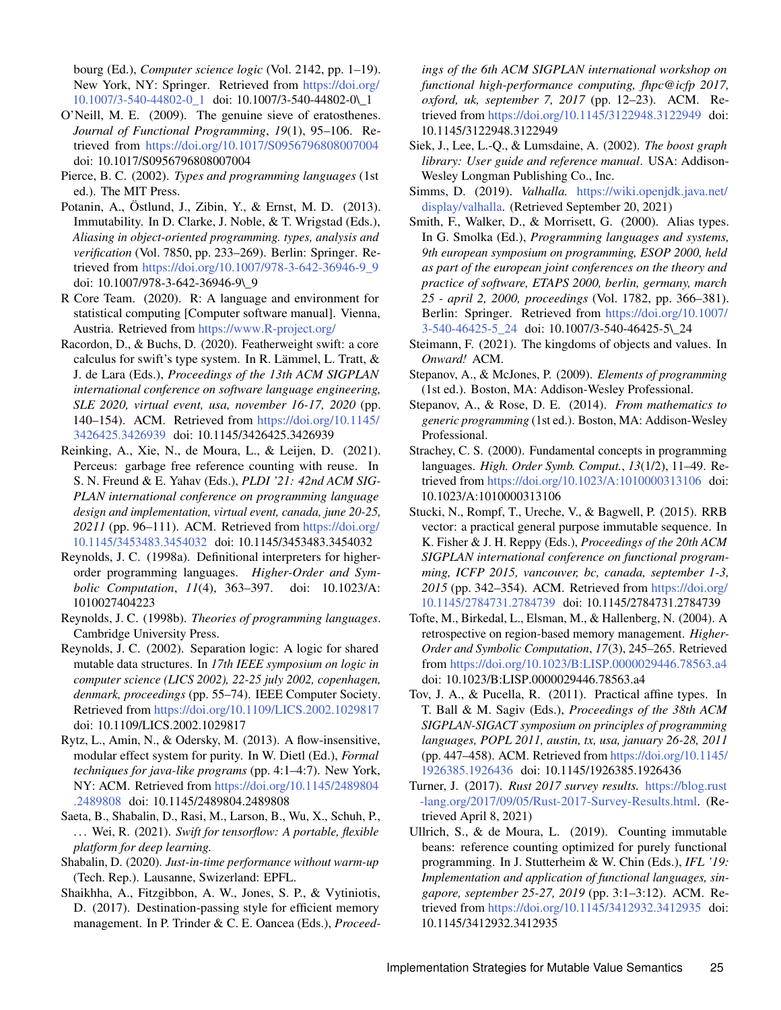bourg (Ed.), *Computer science logic* (Vol. 2142, pp. 1–19). New York, NY: Springer. Retrieved from [https://doi.org/](https://doi.org/10.1007/3-540-44802-0_1) [10.1007/3-540-44802-0\\_1](https://doi.org/10.1007/3-540-44802-0_1) doi: 10.1007/3-540-44802-0\\_1

- <span id="page-24-0"></span>O'Neill, M. E. (2009). The genuine sieve of eratosthenes. *Journal of Functional Programming*, *19*(1), 95–106. Retrieved from <https://doi.org/10.1017/S0956796808007004> doi: 10.1017/S0956796808007004
- <span id="page-24-14"></span>Pierce, B. C. (2002). *Types and programming languages* (1st ed.). The MIT Press.
- <span id="page-24-7"></span>Potanin, A., Östlund, J., Zibin, Y., & Ernst, M. D. (2013). Immutability. In D. Clarke, J. Noble, & T. Wrigstad (Eds.), *Aliasing in object-oriented programming. types, analysis and verification* (Vol. 7850, pp. 233–269). Berlin: Springer. Retrieved from [https://doi.org/10.1007/978-3-642-36946-9\\_9](https://doi.org/10.1007/978-3-642-36946-9_9) doi: 10.1007/978-3-642-36946-9\\_9
- <span id="page-24-6"></span>R Core Team. (2020). R: A language and environment for statistical computing [Computer software manual]. Vienna, Austria. Retrieved from <https://www.R-project.org/>
- <span id="page-24-24"></span>Racordon, D., & Buchs, D. (2020). Featherweight swift: a core calculus for swift's type system. In R. Lämmel, L. Tratt, & J. de Lara (Eds.), *Proceedings of the 13th ACM SIGPLAN international conference on software language engineering, SLE 2020, virtual event, usa, november 16-17, 2020* (pp. 140–154). ACM. Retrieved from [https://doi.org/10.1145/](https://doi.org/10.1145/3426425.3426939) [3426425.3426939](https://doi.org/10.1145/3426425.3426939) doi: 10.1145/3426425.3426939
- <span id="page-24-23"></span>Reinking, A., Xie, N., de Moura, L., & Leijen, D. (2021). Perceus: garbage free reference counting with reuse. In S. N. Freund & E. Yahav (Eds.), *PLDI '21: 42nd ACM SIG-PLAN international conference on programming language design and implementation, virtual event, canada, june 20-25, 20211* (pp. 96–111). ACM. Retrieved from [https://doi.org/](https://doi.org/10.1145/3453483.3454032) [10.1145/3453483.3454032](https://doi.org/10.1145/3453483.3454032) doi: 10.1145/3453483.3454032
- <span id="page-24-15"></span>Reynolds, J. C. (1998a). Definitional interpreters for higherorder programming languages. *Higher-Order and Symbolic Computation*, *11*(4), 363–397. doi: 10.1023/A: 1010027404223
- <span id="page-24-13"></span>Reynolds, J. C. (1998b). *Theories of programming languages*. Cambridge University Press.
- <span id="page-24-20"></span>Reynolds, J. C. (2002). Separation logic: A logic for shared mutable data structures. In *17th IEEE symposium on logic in computer science (LICS 2002), 22-25 july 2002, copenhagen, denmark, proceedings* (pp. 55–74). IEEE Computer Society. Retrieved from <https://doi.org/10.1109/LICS.2002.1029817> doi: 10.1109/LICS.2002.1029817
- <span id="page-24-12"></span>Rytz, L., Amin, N., & Odersky, M. (2013). A flow-insensitive, modular effect system for purity. In W. Dietl (Ed.), *Formal techniques for java-like programs* (pp. 4:1–4:7). New York, NY: ACM. Retrieved from [https://doi.org/10.1145/2489804](https://doi.org/10.1145/2489804.2489808) [.2489808](https://doi.org/10.1145/2489804.2489808) doi: 10.1145/2489804.2489808
- <span id="page-24-5"></span>Saeta, B., Shabalin, D., Rasi, M., Larson, B., Wu, X., Schuh, P., . . . Wei, R. (2021). *Swift for tensorflow: A portable, flexible platform for deep learning.*
- <span id="page-24-16"></span>Shabalin, D. (2020). *Just-in-time performance without warm-up* (Tech. Rep.). Lausanne, Swizerland: EPFL.
- <span id="page-24-8"></span>Shaikhha, A., Fitzgibbon, A. W., Jones, S. P., & Vytiniotis, D. (2017). Destination-passing style for efficient memory management. In P. Trinder & C. E. Oancea (Eds.), *Proceed-*

*ings of the 6th ACM SIGPLAN international workshop on functional high-performance computing, fhpc@icfp 2017, oxford, uk, september 7, 2017* (pp. 12–23). ACM. Retrieved from <https://doi.org/10.1145/3122948.3122949> doi: 10.1145/3122948.3122949

- <span id="page-24-3"></span>Siek, J., Lee, L.-Q., & Lumsdaine, A. (2002). *The boost graph library: User guide and reference manual*. USA: Addison-Wesley Longman Publishing Co., Inc.
- <span id="page-24-21"></span>Simms, D. (2019). *Valhalla.* [https://wiki.openjdk.java.net/](https://wiki.openjdk.java.net/display/valhalla) [display/valhalla.](https://wiki.openjdk.java.net/display/valhalla) (Retrieved September 20, 2021)
- <span id="page-24-9"></span>Smith, F., Walker, D., & Morrisett, G. (2000). Alias types. In G. Smolka (Ed.), *Programming languages and systems, 9th european symposium on programming, ESOP 2000, held as part of the european joint conferences on the theory and practice of software, ETAPS 2000, berlin, germany, march 25 - april 2, 2000, proceedings* (Vol. 1782, pp. 366–381). Berlin: Springer. Retrieved from [https://doi.org/10.1007/](https://doi.org/10.1007/3-540-46425-5_24) [3-540-46425-5\\_24](https://doi.org/10.1007/3-540-46425-5_24) doi: 10.1007/3-540-46425-5\\_24
- <span id="page-24-22"></span>Steimann, F. (2021). The kingdoms of objects and values. In *Onward!* ACM.
- <span id="page-24-10"></span>Stepanov, A., & McJones, P. (2009). *Elements of programming* (1st ed.). Boston, MA: Addison-Wesley Professional.
- <span id="page-24-4"></span>Stepanov, A., & Rose, D. E. (2014). *From mathematics to generic programming* (1st ed.). Boston, MA: Addison-Wesley Professional.
- <span id="page-24-11"></span>Strachey, C. S. (2000). Fundamental concepts in programming languages. *High. Order Symb. Comput.*, *13*(1/2), 11–49. Retrieved from <https://doi.org/10.1023/A:1010000313106> doi: 10.1023/A:1010000313106
- <span id="page-24-17"></span>Stucki, N., Rompf, T., Ureche, V., & Bagwell, P. (2015). RRB vector: a practical general purpose immutable sequence. In K. Fisher & J. H. Reppy (Eds.), *Proceedings of the 20th ACM SIGPLAN international conference on functional programming, ICFP 2015, vancouver, bc, canada, september 1-3, 2015* (pp. 342–354). ACM. Retrieved from [https://doi.org/](https://doi.org/10.1145/2784731.2784739) [10.1145/2784731.2784739](https://doi.org/10.1145/2784731.2784739) doi: 10.1145/2784731.2784739
- <span id="page-24-1"></span>Tofte, M., Birkedal, L., Elsman, M., & Hallenberg, N. (2004). A retrospective on region-based memory management. *Higher-Order and Symbolic Computation*, *17*(3), 245–265. Retrieved from <https://doi.org/10.1023/B:LISP.0000029446.78563.a4> doi: 10.1023/B:LISP.0000029446.78563.a4
- <span id="page-24-19"></span>Tov, J. A., & Pucella, R. (2011). Practical affine types. In T. Ball & M. Sagiv (Eds.), *Proceedings of the 38th ACM SIGPLAN-SIGACT symposium on principles of programming languages, POPL 2011, austin, tx, usa, january 26-28, 2011* (pp. 447–458). ACM. Retrieved from [https://doi.org/10.1145/](https://doi.org/10.1145/1926385.1926436) [1926385.1926436](https://doi.org/10.1145/1926385.1926436) doi: 10.1145/1926385.1926436
- <span id="page-24-2"></span>Turner, J. (2017). *Rust 2017 survey results.* [https://blog.rust](https://blog.rust-lang.org/2017/09/05/Rust-2017-Survey-Results.html) [-lang.org/2017/09/05/Rust-2017-Survey-Results.html.](https://blog.rust-lang.org/2017/09/05/Rust-2017-Survey-Results.html) (Retrieved April 8, 2021)
- <span id="page-24-18"></span>Ullrich, S., & de Moura, L. (2019). Counting immutable beans: reference counting optimized for purely functional programming. In J. Stutterheim & W. Chin (Eds.), *IFL '19: Implementation and application of functional languages, singapore, september 25-27, 2019* (pp. 3:1–3:12). ACM. Retrieved from <https://doi.org/10.1145/3412932.3412935> doi: 10.1145/3412932.3412935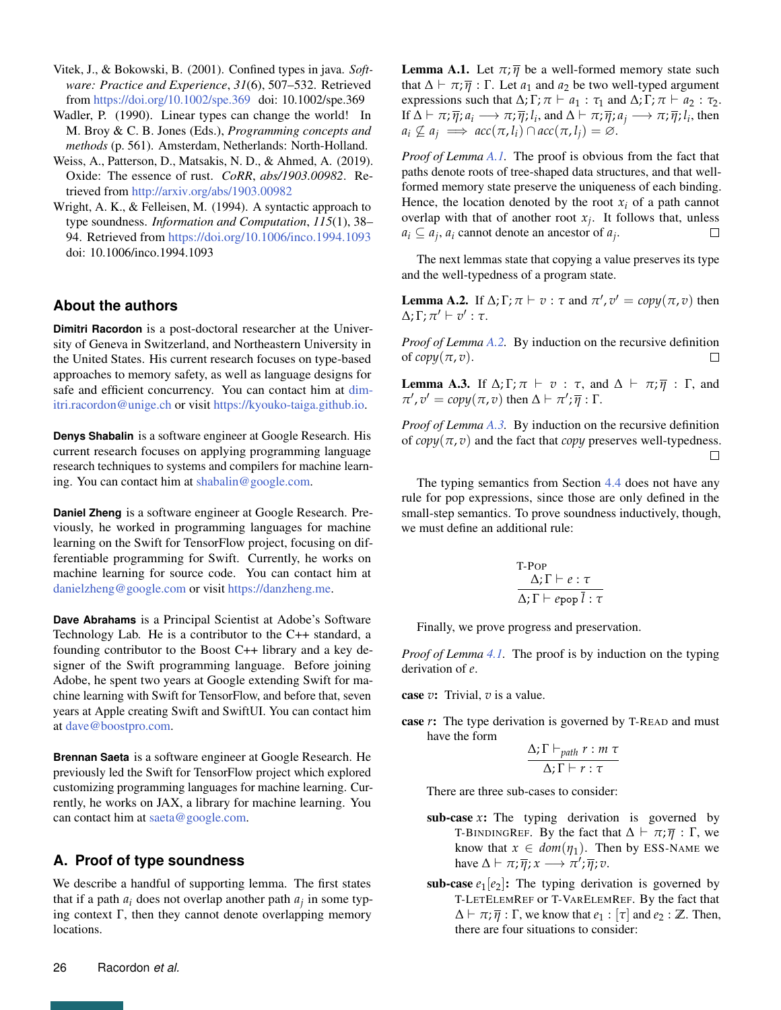- <span id="page-25-0"></span>Vitek, J., & Bokowski, B. (2001). Confined types in java. *Software: Practice and Experience*, *31*(6), 507–532. Retrieved from <https://doi.org/10.1002/spe.369> doi: 10.1002/spe.369
- <span id="page-25-1"></span>Wadler, P. (1990). Linear types can change the world! In M. Broy & C. B. Jones (Eds.), *Programming concepts and methods* (p. 561). Amsterdam, Netherlands: North-Holland.
- <span id="page-25-4"></span>Weiss, A., Patterson, D., Matsakis, N. D., & Ahmed, A. (2019). Oxide: The essence of rust. *CoRR*, *abs/1903.00982*. Retrieved from <http://arxiv.org/abs/1903.00982>
- <span id="page-25-2"></span>Wright, A. K., & Felleisen, M. (1994). A syntactic approach to type soundness. *Information and Computation*, *115*(1), 38– 94. Retrieved from <https://doi.org/10.1006/inco.1994.1093> doi: 10.1006/inco.1994.1093

# **About the authors**

**Dimitri Racordon** is a post-doctoral researcher at the University of Geneva in Switzerland, and Northeastern University in the United States. His current research focuses on type-based approaches to memory safety, as well as language designs for safe and efficient concurrency. You can contact him at [dim](mailto:dimitri.racordon@unige.ch?subject=Your paper "Implementation Strategies for Mutable Value Semantics")[itri.racordon@unige.ch](mailto:dimitri.racordon@unige.ch?subject=Your paper "Implementation Strategies for Mutable Value Semantics") or visit [https://kyouko-taiga.github.io.](https://kyouko-taiga.github.io)

**Denys Shabalin** is a software engineer at Google Research. His current research focuses on applying programming language research techniques to systems and compilers for machine learning. You can contact him at [shabalin@google.com.](mailto:shabalin@google.com?subject=Your paper "Implementation Strategies for Mutable Value Semantics")

**Daniel Zheng** is a software engineer at Google Research. Previously, he worked in programming languages for machine learning on the Swift for TensorFlow project, focusing on differentiable programming for Swift. Currently, he works on machine learning for source code. You can contact him at [danielzheng@google.com](mailto:danielzheng@google.com?subject=Your paper "Implementation Strategies for Mutable Value Semantics") or visit [https://danzheng.me.](https://danzheng.me)

**Dave Abrahams** is a Principal Scientist at Adobe's Software Technology Lab. He is a contributor to the C++ standard, a founding contributor to the Boost C++ library and a key designer of the Swift programming language. Before joining Adobe, he spent two years at Google extending Swift for machine learning with Swift for TensorFlow, and before that, seven years at Apple creating Swift and SwiftUI. You can contact him at [dave@boostpro.com.](mailto:dave@boostpro.com?subject=Your paper "Implementation Strategies for Mutable Value Semantics")

**Brennan Saeta** is a software engineer at Google Research. He previously led the Swift for TensorFlow project which explored customizing programming languages for machine learning. Currently, he works on JAX, a library for machine learning. You can contact him at [saeta@google.com.](mailto:saeta@google.com?subject=Your paper "Implementation Strategies for Mutable Value Semantics")

# <span id="page-25-3"></span>**A. Proof of type soundness**

We describe a handful of supporting lemma. The first states that if a path  $a_i$  does not overlap another path  $a_j$  in some typing context  $\Gamma$ , then they cannot denote overlapping memory locations.

<span id="page-25-5"></span>**Lemma A.1.** Let  $\pi$ ;  $\overline{\eta}$  be a well-formed memory state such that  $\Delta \vdash \pi$ ;  $\overline{\eta}$  :  $\Gamma$ . Let  $a_1$  and  $a_2$  be two well-typed argument expressions such that  $\Delta$ ;  $\Gamma$ ;  $\pi \vdash a_1 : \tau_1$  and  $\Delta$ ;  $\Gamma$ ;  $\pi \vdash a_2 : \tau_2$ . If  $\Delta \vdash \pi; \overline{\eta}; a_i \longrightarrow \pi; \overline{\eta}; l_i$ , and  $\Delta \vdash \pi; \overline{\eta}; a_j \longrightarrow \pi; \overline{\eta}; l_i$ , then  $a_i \nsubseteq a_j \implies acc(\pi, l_i) \cap acc(\pi, l_j) = \emptyset.$ 

*Proof of Lemma [A.1.](#page-25-5)* The proof is obvious from the fact that paths denote roots of tree-shaped data structures, and that wellformed memory state preserve the uniqueness of each binding. Hence, the location denoted by the root  $x_i$  of a path cannot overlap with that of another root  $x_j$ . It follows that, unless  $a_i \subseteq a_j$ ,  $a_i$  cannot denote an ancestor of  $a_j$ .

The next lemmas state that copying a value preserves its type and the well-typedness of a program state.

<span id="page-25-6"></span>**Lemma A.2.** If  $\Delta$ ;  $\Gamma$ ;  $\pi \vdash v : \tau$  and  $\pi', v' = copy(\pi, v)$  then  $Δ; Γ; π' ⊢ v' : τ.$ 

*Proof of Lemma [A.2.](#page-25-6)* By induction on the recursive definition of  $copy(\pi, v)$ .  $\Box$ 

<span id="page-25-7"></span>**Lemma A.3.** If  $\Delta$ ; Γ; π  $\vdash$  v : τ, and  $\Delta$   $\vdash$  π;  $\overline{\eta}$  : Γ, and  $\pi$ ',  $v' = copy(\pi, v)$  then  $\Delta \vdash \pi'; \overline{\eta} : \Gamma$ .

*Proof of Lemma [A.3.](#page-25-7)* By induction on the recursive definition of  $copy(\pi, v)$  and the fact that *copy* preserves well-typedness.  $\Box$ 

The typing semantics from Section [4.4](#page-9-0) does not have any rule for pop expressions, since those are only defined in the small-step semantics. To prove soundness inductively, though, we must define an additional rule:

$$
\text{T-Pop}\atop{\Delta;\Gamma\vdash e:\tau}\atop{\Delta;\Gamma\vdash e\text{pop}\,\overline{l}:\tau}
$$

Finally, we prove progress and preservation.

*Proof of Lemma [4.1.](#page-14-1)* The proof is by induction on the typing derivation of *e*.

case *v*: Trivial, *v* is a value.

case *r*: The type derivation is governed by T-READ and must have the form

$$
\frac{\Delta; \Gamma \vdash_{path} r : m \tau}{\Delta; \Gamma \vdash r : \tau}
$$

There are three sub-cases to consider:

- sub-case *x*: The typing derivation is governed by T-BINDINGREF. By the fact that  $\Delta \vdash \pi; \overline{\eta} : \Gamma$ , we know that  $x \in dom(\eta_1)$ . Then by ESS-NAME we have  $\Delta \vdash \pi; \overline{\eta}; x \longrightarrow \pi'; \overline{\eta}; v$ .
- sub-case  $e_1[e_2]$ : The typing derivation is governed by T-LETELEMREF or T-VARELEMREF. By the fact that  $\Delta \vdash \pi; \overline{\eta} : \Gamma$ , we know that  $e_1 : [\tau]$  and  $e_2 : \mathbb{Z}$ . Then, there are four situations to consider: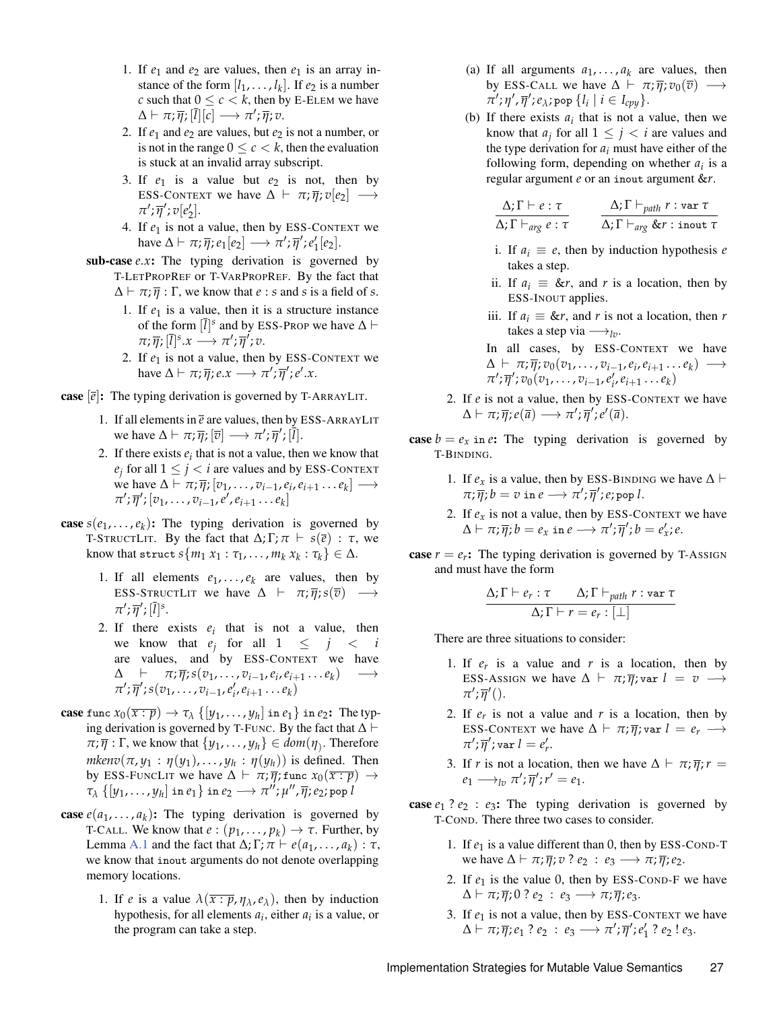- 1. If  $e_1$  and  $e_2$  are values, then  $e_1$  is an array instance of the form  $[l_1, \ldots, l_k]$ . If  $e_2$  is a number *c* such that  $0 \leq c \leq k$ , then by E-ELEM we have  $\Delta \vdash \pi; \overline{\eta}; [\overline{l}][c] \longrightarrow \pi'; \overline{\eta}; v.$
- 2. If  $e_1$  and  $e_2$  are values, but  $e_2$  is not a number, or is not in the range  $0 \leq c < k$ , then the evaluation is stuck at an invalid array subscript.
- 3. If  $e_1$  is a value but  $e_2$  is not, then by ESS-CONTEXT we have  $\Delta \vdash \pi; \overline{\eta}; v[e_2] \longrightarrow$  $\pi';\overline{\eta}';v[e'_2].$
- 4. If  $e_1$  is not a value, then by ESS-CONTEXT we have  $\Delta \vdash \pi; \overline{\eta}; e_1[e_2] \longrightarrow \pi'; \overline{\eta}'; e_1'[e_2].$
- sub-case *e.x*: The typing derivation is governed by T-LETPROPREF or T-VARPROPREF. By the fact that  $\Delta \vdash \pi$ ;  $\overline{\eta}$ :  $\Gamma$ , we know that *e* : *s* and *s* is a field of *s*.
	- 1. If  $e_1$  is a value, then it is a structure instance of the form  $[\bar{l}]^s$  and by ESS-PROP we have  $\Delta \vdash$  $\pi; \overline{\eta}; [\overline{l}]^s.x \longrightarrow \pi'; \overline{\eta}'; v.$
	- 2. If  $e_1$  is not a value, then by ESS-CONTEXT we have  $\Delta \vdash \pi; \overline{\eta}; e.x \longrightarrow \pi'; \overline{\eta}'; e'.x$ .
- **case**  $[\overline{e}]$ : The typing derivation is governed by T-ARRAYLIT.
	- 1. If all elements in  $\bar{e}$  are values, then by ESS-ARRAYLIT we have  $\Delta \vdash \pi; \overline{\eta}; [\overline{v}] \longrightarrow \pi'; \overline{\eta}'; [\overline{l}].$
	- 2. If there exists  $e_i$  that is not a value, then we know that  $e_j$  for all  $1 \leq j < i$  are values and by ESS-CONTEXT we have  $\Delta \vdash \pi; \overline{\eta}; [v_1, \ldots, v_{i-1}, e_i, e_{i+1} \ldots e_k] \longrightarrow$  $\pi'; \overline{\eta}'$ ;  $[v_1, \ldots, v_{i-1}, e', e_{i+1} \ldots e_k]$
- **case**  $s(e_1, \ldots, e_k)$ : The typing derivation is governed by T-STRUCTLIT. By the fact that  $\Delta$ ;  $\Gamma$ ;  $\pi \vdash s(\overline{e}) : \tau$ , we know that struct  $s{m_1 x_1 : \tau_1, \ldots, m_k x_k : \tau_k} \in \Delta$ .
	- 1. If all elements  $e_1, \ldots, e_k$  are values, then by ESS-STRUCTLIT we have  $\Delta \vdash \pi; \overline{\eta}; s(\overline{v}) \longrightarrow$  $\pi';\overline{\eta}';[\overline{l}]^s.$
	- 2. If there exists  $e_i$  that is not a value, then we know that  $e_j$  for all  $1 \leq j \leq i$ are values, and by ESS-CONTEXT we have  $\Delta \quad \vdash \quad \pi; \overline{\eta}; s(v_1, \ldots, v_{i-1}, e_i, e_{i+1} \ldots e_k) \quad \longrightarrow$  $\pi$ ';  $\overline{\eta}$ ';  $s(v_1, \ldots, v_{i-1}, e'_i, e_{i+1} \ldots e_k)$
- case func  $x_0(\overline{x:p}) \to \tau_\lambda \{[y_1, \ldots, y_h] \text{ in } e_1\}$  in  $e_2$ : The typing derivation is governed by T-FUNC. By the fact that  $\Delta \vdash$  $\pi$ ;  $\overline{\eta}$  :  $\Gamma$ , we know that  $\{y_1, \ldots, y_h\} \in \text{dom}(\eta)$ . Therefore  $mkenv(\pi, y_1 : \eta(y_1), \ldots, y_h : \eta(y_h))$  is defined. Then by ESS-FUNCLIT we have  $\Delta \vdash \pi; \overline{\eta}$ ; func  $x_0(\overline{x:p}) \rightarrow$  $\tau_\lambda$  {[ $y_1, \ldots, y_h$ ] in  $e_1$ } in  $e_2 \longrightarrow \pi''$ ;  $\mu''$ ,  $\overline{\eta}$ ;  $e_2$ ; pop *l*
- **case**  $e(a_1, \ldots, a_k)$ : The typing derivation is governed by T-CALL. We know that  $e: (p_1, \ldots, p_k) \to \tau$ . Further, by Lemma [A.1](#page-25-5) and the fact that  $\Delta$ ;  $\Gamma$ ;  $\pi \vdash e(a_1, \ldots, a_k) : \tau$ , we know that inout arguments do not denote overlapping memory locations.
	- 1. If *e* is a value  $\lambda(\overline{x:p}, \eta_{\lambda}, e_{\lambda})$ , then by induction hypothesis, for all elements  $a_i$ , either  $a_i$  is a value, or the program can take a step.
- (a) If all arguments  $a_1, \ldots, a_k$  are values, then by ESS-CALL we have  $\Delta \vdash \pi; \overline{\eta}; v_0(\overline{v}) \longrightarrow$  $\overline{\pi}'$ ;  $\eta'$ ,  $\overline{\eta}'$ ;  $e_{\lambda}$ ; pop  $\{l_i \mid i \in I_{cpy}\}$ .
- (b) If there exists  $a_i$  that is not a value, then we know that  $a_j$  for all  $1 \leq j < i$  are values and the type derivation for  $a_i$  must have either of the following form, depending on whether  $a_i$  is a regular argument *e* or an inout argument &*r*.

$$
\frac{\Delta; \Gamma \vdash e : \tau}{\Delta; \Gamma \vdash_{\textit{arg}} e : \tau} \qquad \frac{\Delta; \Gamma \vdash_{\textit{path}} r : \text{var } \tau}{\Delta; \Gamma \vdash_{\textit{arg}} \& r : \text{inout } \tau}
$$

- i. If  $a_i \equiv e$ , then by induction hypothesis *e* takes a step.
- ii. If  $a_i \equiv \&r$ , and *r* is a location, then by ESS-INOUT applies.
- iii. If  $a_i \equiv \&r$ , and *r* is not a location, then *r* takes a step via  $\longrightarrow_{lv}$ .
- In all cases, by ESS-CONTEXT we have  $\Delta \vdash \pi; \overline{\eta}; v_0(v_1, \ldots, v_{i-1}, e_i, e_{i+1} \ldots e_k) \longrightarrow$  $\pi$ <sup>*;*</sup> $\bar{\eta}$ </sup>*';*  $v_0(v_1, \ldots, v_{i-1}, e'_i, e_{i+1} \ldots e_k)$
- 2. If *e* is not a value, then by ESS-CONTEXT we have  $\Delta \vdash \pi; \overline{\eta}; e(\overline{a}) \longrightarrow \pi'; \overline{\eta}'; e'(\overline{a}).$
- case  $b = e_x$  in *e*: The typing derivation is governed by T-BINDING.
	- 1. If  $e_x$  is a value, then by ESS-BINDING we have  $\Delta \vdash$  $\pi$ ;  $\overline{\eta}$ ;  $b = v$  in  $e \longrightarrow \pi'$ ;  $\overline{\eta}'$ ;  $e$ ; pop *l*.
	- 2. If  $e_x$  is not a value, then by ESS-CONTEXT we have  $\Delta \vdash \pi; \overline{\eta}; b = e_x \text{ in } e \longrightarrow \pi'; \overline{\eta}'; b = e'_x; e.$
- case  $r = e_r$ : The typing derivation is governed by T-AssiGN and must have the form

$$
\frac{\Delta; \Gamma \vdash e_r : \tau \qquad \Delta; \Gamma \vdash_{path} r : \text{var } \tau}{\Delta; \Gamma \vdash r = e_r : [\bot]}
$$

There are three situations to consider:

- 1. If  $e_r$  is a value and  $r$  is a location, then by ESS-Assign we have  $\Delta \vdash \pi; \overline{\eta}; \text{var } l = v \longrightarrow$  $\pi';\overline{\eta}'()$ .
- 2. If  $e_r$  is not a value and  $r$  is a location, then by ESS-CONTEXT we have  $\Delta \vdash \pi; \overline{\eta}$ ; var  $l = e_r \longrightarrow$  $\pi'; \overline{\eta}'$ ; var  $l = e'_r$ .
- 3. If *r* is not a location, then we have  $\Delta \vdash \pi; \overline{\eta}; r =$  $e_1 \longrightarrow_{lv} \pi'; \overline{\eta}'; r' = e_1.$
- case  $e_1$  ?  $e_2$  :  $e_3$ : The typing derivation is governed by T-COND. There three two cases to consider.
	- 1. If  $e_1$  is a value different than 0, then by ESS-COND-T we have  $\Delta \vdash \pi; \overline{\eta}; v ? e_2 : e_3 \longrightarrow \pi; \overline{\eta}; e_2.$
	- 2. If  $e_1$  is the value 0, then by ESS-COND-F we have  $\Delta \vdash \pi; \overline{\eta}; 0 ? e_2 : e_3 \longrightarrow \pi; \overline{\eta}; e_3.$
	- 3. If  $e_1$  is not a value, then by ESS-CONTEXT we have  $\Delta \vdash \pi; \overline{\eta}; e_1 \; ? \; e_2 \; : \; e_3 \longrightarrow \pi'; \overline{\eta}'; e_1' \; ? \; e_2 \; ! \; e_3.$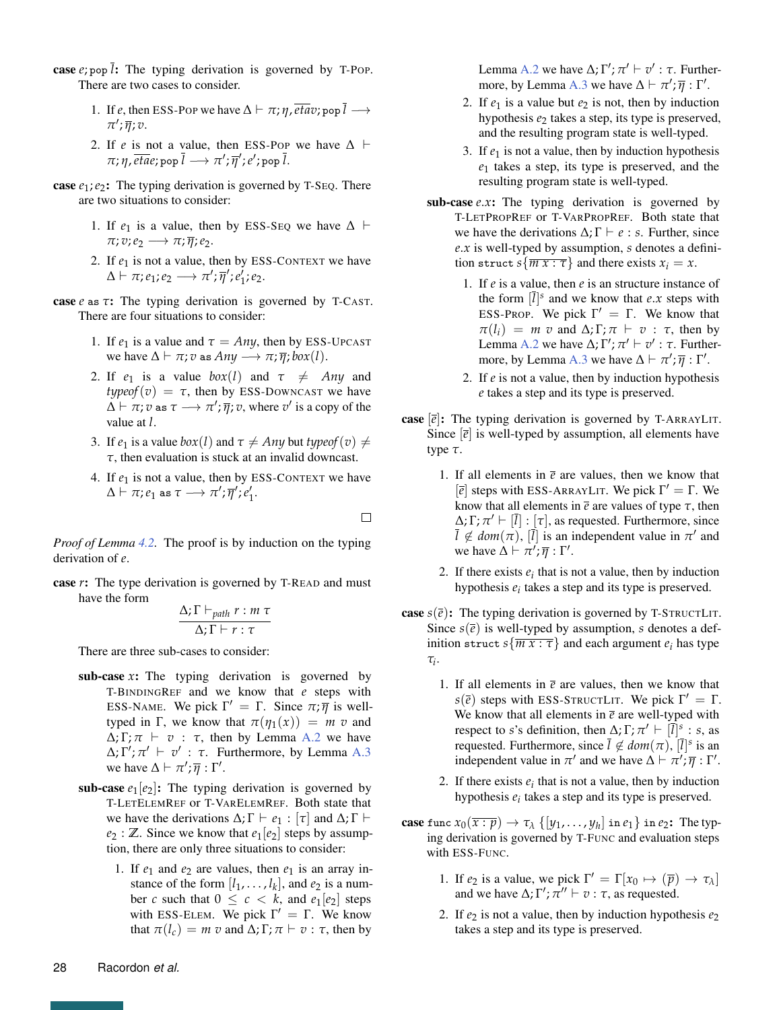- case  $e$ ; pop  $\overline{l}$ : The typing derivation is governed by T-POP. There are two cases to consider.
	- 1. If *e*, then ESS-POP we have  $\Delta \vdash \pi; \eta$ ,  $\overline{eta}$ ,  $\overline{p}$ ,  $\overline{p}$ *π* 0 ; *η*; *v*.
	- 2. If *e* is not a value, then ESS-Pop we have  $\Delta$   $\vdash$  $\pi$ ;  $\eta$ ,  $\overline{eta}$ ; pop  $\overline{l} \longrightarrow \pi'; \overline{\eta}'$ ;  $e'$ ; pop  $\overline{l}.$
- **case**  $e_1$ ;  $e_2$ : The typing derivation is governed by T-SEQ. There are two situations to consider:
	- 1. If  $e_1$  is a value, then by ESS-SEQ we have  $\Delta \vdash$  $\pi$ ;  $v$ ;  $e_2 \longrightarrow \pi$ ;  $\overline{\eta}$ ;  $e_2$ .
	- 2. If  $e_1$  is not a value, then by ESS-CONTEXT we have  $\Delta \vdash \pi; e_1; e_2 \longrightarrow \pi'; \overline{\eta}'; e_1'; e_2.$
- case *e* as *τ*: The typing derivation is governed by T-CAST. There are four situations to consider:
	- 1. If  $e_1$  is a value and  $\tau = Any$ , then by ESS-UPCAST we have  $\Delta \vdash \pi$ ; *v* as  $Any \rightarrow \pi$ ;  $\overline{\eta}$ ;  $box(l)$ .
	- 2. If  $e_1$  is a value  $box(l)$  and  $\tau \neq Any$  and *typeof*( $v$ ) =  $\tau$ , then by ESS-DOWNCAST we have  $\Delta \vdash \pi; v$  as  $\tau \longrightarrow \pi'; \overline{\eta}; v$ , where  $v'$  is a copy of the value at *l*.
	- 3. If  $e_1$  is a value  $box(l)$  and  $\tau \neq Any$  but *typeof*  $(v) \neq$ *τ*, then evaluation is stuck at an invalid downcast.
	- 4. If  $e_1$  is not a value, then by ESS-CONTEXT we have  $\Delta \vdash \pi; e_1 \text{ as } \tau \longrightarrow \pi'; \overline{\eta}'; e_1'.$

 $\Box$ 

*Proof of Lemma [4.2.](#page-14-2)* The proof is by induction on the typing derivation of *e*.

case *r*: The type derivation is governed by T-READ and must have the form

$$
\frac{\Delta; \Gamma \vdash_{path} r : m \tau}{\Delta; \Gamma \vdash r : \tau}
$$

There are three sub-cases to consider:

- sub-case *x*: The typing derivation is governed by T-BINDINGREF and we know that *e* steps with ESS-NAME. We pick  $\Gamma' = \Gamma$ . Since  $\pi$ ;  $\overline{\eta}$  is welltyped in Γ, we know that  $π(η_1(x)) = m v$  and  $\Delta$ ; Γ;  $\pi$   $\vdash$   $v$  :  $\tau$ , then by Lemma [A.2](#page-25-6) we have  $\Delta$ ;  $\Gamma'$ ;  $\pi' \vdash v'$ :  $\tau$ . Furthermore, by Lemma [A.3](#page-25-7) we have  $\Delta \vdash \pi'; \overline{\eta} : \Gamma'.$
- sub-case  $e_1[e_2]$ : The typing derivation is governed by T-LETELEMREF or T-VARELEMREF. Both state that we have the derivations  $\Delta; \Gamma \vdash e_1 : [\tau]$  and  $\Delta; \Gamma \vdash$  $e_2$ : **Z**. Since we know that  $e_1[e_2]$  steps by assumption, there are only three situations to consider:
	- 1. If  $e_1$  and  $e_2$  are values, then  $e_1$  is an array instance of the form  $[l_1, \ldots, l_k]$ , and  $e_2$  is a number *c* such that  $0 \leq c \leq k$ , and  $e_1[e_2]$  steps with ESS-ELEM. We pick  $\Gamma' = \Gamma$ . We know that  $\pi(l_c) = m \, v$  and  $\Delta; \Gamma; \pi \vdash v : \tau$ , then by

Lemma [A.2](#page-25-6) we have  $\Delta$ ;  $\Gamma'$ ;  $\pi' \vdash v' : \tau$ . Further-more, by Lemma [A.3](#page-25-7) we have  $\Delta \vdash \pi'; \overline{\eta} : \Gamma'.$ 

- 2. If  $e_1$  is a value but  $e_2$  is not, then by induction hypothesis *e*<sup>2</sup> takes a step, its type is preserved, and the resulting program state is well-typed.
- 3. If  $e_1$  is not a value, then by induction hypothesis *e*<sup>1</sup> takes a step, its type is preserved, and the resulting program state is well-typed.
- sub-case *e.x*: The typing derivation is governed by T-LETPROPREF or T-VARPROPREF. Both state that we have the derivations  $\Delta; \Gamma \vdash e : s$ . Further, since *e*.*x* is well-typed by assumption, *s* denotes a definition struct  $s\{\overline{mx : \tau}\}\$  and there exists  $x_i = x$ .
	- 1. If *e* is a value, then *e* is an structure instance of the form  $[\overline{l}]^s$  and we know that *e*.*x* steps with ESS-PROP. We pick  $\Gamma' = \Gamma$ . We know that  $\pi(l_i) = m \, v$  and  $\Delta$ ;  $\Gamma$ ;  $\pi \vdash v : \tau$ , then by Lemma [A.2](#page-25-6) we have  $\Delta$ ;  $\Gamma'$ ;  $\pi' \vdash v' : \tau$ . Further-more, by Lemma [A.3](#page-25-7) we have  $\Delta \vdash \pi'; \overline{\eta} : \Gamma'.$
	- 2. If *e* is not a value, then by induction hypothesis *e* takes a step and its type is preserved.
- **case**  $[\overline{e}]$ : The typing derivation is governed by T-ARRAYLIT. Since  $\left[\overline{e}\right]$  is well-typed by assumption, all elements have type *τ*.
	- 1. If all elements in  $\bar{e}$  are values, then we know that [ $\bar{e}$ ] steps with ESS-ARRAYLIT. We pick  $Γ' = Γ$ . We know that all elements in  $\bar{e}$  are values of type  $\tau$ , then  $\Delta$ ;  $\Gamma$ ;  $\pi' \vdash [\bar{l}] : [\tau]$ , as requested. Furthermore, since  $\overline{l} \notin dom(\pi)$ ,  $[\overline{l}]$  is an independent value in  $\pi'$  and we have  $\Delta \vdash \pi'; \overline{\eta} : \Gamma'.$
	- 2. If there exists  $e_i$  that is not a value, then by induction hypothesis  $e_i$  takes a step and its type is preserved.
- **case**  $s(\bar{e})$ : The typing derivation is governed by T-STRUCTLIT. Since  $s(\bar{e})$  is well-typed by assumption, *s* denotes a definition struct  $s\{\overline{mx : \tau}\}\$ and each argument  $e_i$  has type *τi* .
	- 1. If all elements in  $\bar{e}$  are values, then we know that  $s(\bar{e})$  steps with ESS-STRUCTLIT. We pick  $\Gamma' = \Gamma$ . We know that all elements in  $\bar{e}$  are well-typed with respect to *s*'s definition, then  $\Delta$ ;  $\Gamma$ ;  $\pi' \vdash [\bar{l}]^s$ : *s*, as requested. Furthermore, since  $\overline{l} \notin dom(\pi)$ ,  $[\overline{l}]^s$  is an independent value in  $\pi'$  and we have  $\Delta \vdash \pi'; \overline{\eta} : \Gamma'.$ 
		- 2. If there exists  $e_i$  that is not a value, then by induction hypothesis  $e_i$  takes a step and its type is preserved.
- case func  $x_0(\overline{x:p}) \to \tau_\lambda \{[y_1, \ldots, y_h] \text{ in } e_1\}$  in  $e_2$ : The typing derivation is governed by T-FUNC and evaluation steps with ESS-FUNC.
	- 1. If  $e_2$  is a value, we pick  $\Gamma' = \Gamma[x_0 \mapsto (\overline{p}) \to \tau_\lambda]$ and we have  $\Delta$ ;  $\Gamma'$ ;  $\pi'' \vdash v : \tau$ , as requested.
	- 2. If  $e_2$  is not a value, then by induction hypothesis  $e_2$ takes a step and its type is preserved.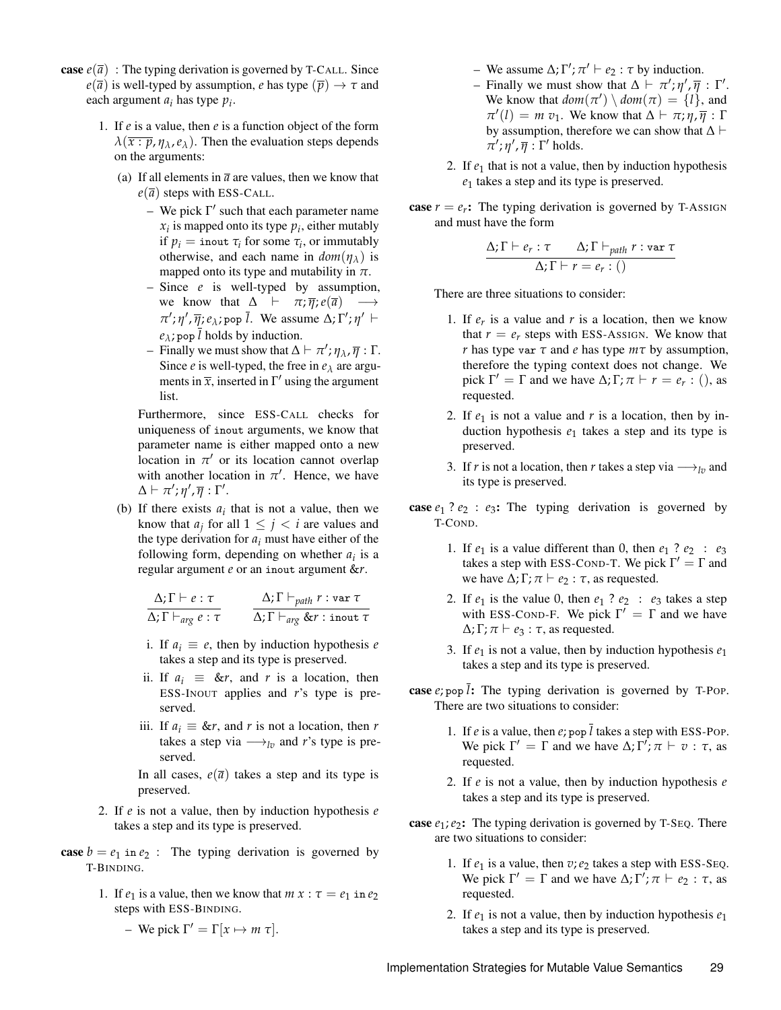- **case**  $e(\overline{a})$ : The typing derivation is governed by T-CALL. Since  $e(\overline{a})$  is well-typed by assumption, *e* has type  $(\overline{p}) \rightarrow \tau$  and each argument *a<sup>i</sup>* has type *p<sup>i</sup>* .
	- 1. If *e* is a value, then *e* is a function object of the form  $\lambda(\overline{x:p}, \eta_{\lambda}, e_{\lambda})$ . Then the evaluation steps depends on the arguments:
		- (a) If all elements in  $\bar{a}$  are values, then we know that  $e(\overline{a})$  steps with ESS-CALL.
			- We pick  $\Gamma'$  such that each parameter name  $x_i$  is mapped onto its type  $p_i$ , either mutably if  $p_i$  = inout  $\tau_i$  for some  $\tau_i$ , or immutably otherwise, and each name in  $dom(\eta_{\lambda})$  is mapped onto its type and mutability in  $\pi$ .
			- Since *e* is well-typed by assumption, we know that  $\Delta$   $\vdash \pi; \overline{\eta}; e(\overline{a}) \longrightarrow$  $\pi'$ ;  $\eta'$ ,  $\overline{\eta}$ ;  $e_{\lambda}$ ; pop  $\overline{l}$ . We assume  $\Delta$ ;  $\Gamma'$ ;  $\eta'$   $\vdash$  $e_{\lambda}$ ; pop  $\overline{l}$  holds by induction.
			- $\overline{\eta}$  Finally we must show that  $\Delta \vdash \pi'; \eta_{\lambda}, \overline{\eta} : \Gamma$ . Since *e* is well-typed, the free in  $e_{\lambda}$  are arguments in  $\bar{x}$ , inserted in  $\Gamma'$  using the argument list.

Furthermore, since ESS-CALL checks for uniqueness of inout arguments, we know that parameter name is either mapped onto a new location in  $\pi'$  or its location cannot overlap with another location in  $\pi'$ . Hence, we have  $\Delta \vdash \pi'; \eta', \overline{\eta} : \Gamma'.$ 

(b) If there exists  $a_i$  that is not a value, then we know that  $a_j$  for all  $1 \leq j < i$  are values and the type derivation for  $a_i$  must have either of the following form, depending on whether  $a_i$  is a regular argument *e* or an inout argument &*r*.

$$
\frac{\Delta; \Gamma \vdash e : \tau}{\Delta; \Gamma \vdash_{\textit{arg}} e : \tau} \qquad \frac{\Delta; \Gamma \vdash_{\textit{path}} r : \text{var } \tau}{\Delta; \Gamma \vdash_{\textit{arg}} \& r : \text{inout } \tau}
$$

- i. If  $a_i \equiv e$ , then by induction hypothesis *e* takes a step and its type is preserved.
- ii. If  $a_i \equiv \& r$ , and *r* is a location, then ESS-INOUT applies and *r*'s type is preserved.
- iii. If  $a_i \equiv \&r$ , and *r* is not a location, then *r* takes a step via  $\longrightarrow_{lv}$  and *r*'s type is preserved.

In all cases,  $e(\bar{a})$  takes a step and its type is preserved.

- 2. If *e* is not a value, then by induction hypothesis *e* takes a step and its type is preserved.
- **case**  $b = e_1$  in  $e_2$ : The typing derivation is governed by T-BINDING.
	- 1. If  $e_1$  is a value, then we know that  $m \times \tau = e_1$  in  $e_2$ steps with ESS-BINDING.

- We pick 
$$
\Gamma' = \Gamma[x \mapsto m \tau]
$$
.

- $\sim$  We assume Δ; Γ';  $π' \vdash e_2 : τ$  by induction.
- $-$  Finally we must show that  $Δ$   $\vdash$   $π'$ ;  $η'$ ,  $\overline{η}$  : Γ'. We know that  $dom(\pi') \setminus dom(\pi) = \{l\}$ , and  $\pi'(l) = m v_1$ . We know that  $\Delta \vdash \pi; \eta, \overline{\eta} : \Gamma$ by assumption, therefore we can show that  $\Delta \vdash$  $\pi'$ ; *η'*,  $\overline{\eta}$  : Γ' holds.
- 2. If  $e_1$  that is not a value, then by induction hypothesis *e*<sup>1</sup> takes a step and its type is preserved.
- case  $r = e_r$ : The typing derivation is governed by T-Assign and must have the form

$$
\frac{\Delta; \Gamma \vdash e_r : \tau \quad \Delta; \Gamma \vdash_{path} r : \text{var } \tau}{\Delta; \Gamma \vdash r = e_r : ()}
$$

There are three situations to consider:

- 1. If  $e_r$  is a value and  $r$  is a location, then we know that  $r = e_r$  steps with ESS-Assign. We know that *r* has type var *τ* and *e* has type *mτ* by assumption, therefore the typing context does not change. We pick  $\Gamma' = \Gamma$  and we have  $\Delta; \Gamma; \pi \vdash r = e_r : ($ , as requested.
- 2. If  $e_1$  is not a value and  $r$  is a location, then by induction hypothesis  $e_1$  takes a step and its type is preserved.
- 3. If *r* is not a location, then *r* takes a step via  $\longrightarrow_{lv}$  and its type is preserved.
- **case**  $e_1$  ?  $e_2$  :  $e_3$ : The typing derivation is governed by T-COND.
	- 1. If  $e_1$  is a value different than 0, then  $e_1$  ?  $e_2$  :  $e_3$ takes a step with ESS-COND-T. We pick  $\Gamma' = \Gamma$  and we have  $\Delta$ ;  $\Gamma$ ;  $\pi \vdash e_2 : \tau$ , as requested.
	- 2. If  $e_1$  is the value 0, then  $e_1$  ?  $e_2$  :  $e_3$  takes a step with ESS-COND-F. We pick  $\Gamma' = \Gamma$  and we have  $\Delta$ ;  $\Gamma$ ;  $\pi \vdash e_3 : \tau$ , as requested.
	- 3. If  $e_1$  is not a value, then by induction hypothesis  $e_1$ takes a step and its type is preserved.
- case *e*; pop *l*: The typing derivation is governed by T-POP. There are two situations to consider:
	- 1. If *e* is a value, then *e*; pop *l* takes a step with ESS-POP. We pick  $\Gamma' = \Gamma$  and we have  $\Delta; \Gamma'; \pi \vdash v : \tau$ , as requested.
	- 2. If *e* is not a value, then by induction hypothesis *e* takes a step and its type is preserved.
- case  $e_1$ ;  $e_2$ : The typing derivation is governed by T-SEQ. There are two situations to consider:
	- 1. If  $e_1$  is a value, then  $v$ ;  $e_2$  takes a step with ESS-SEQ. We pick  $\Gamma' = \Gamma$  and we have  $\Delta; \Gamma'; \pi \vdash e_2 : \tau$ , as requested.
	- 2. If  $e_1$  is not a value, then by induction hypothesis  $e_1$ takes a step and its type is preserved.